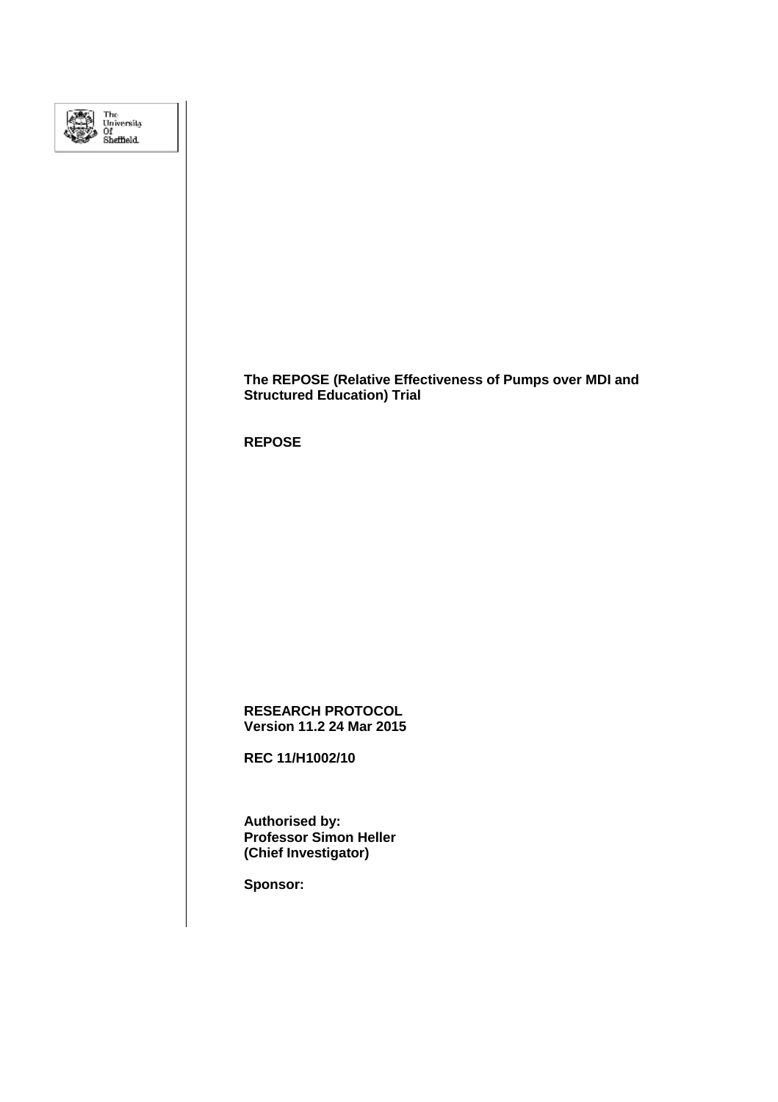

## **The REPOSE (Relative Effectiveness of Pumps over MDI and Structured Education) Trial**

**REPOSE**

**RESEARCH PROTOCOL Version 11.2 24 Mar 2015**

**REC 11/H1002/10**

**Authorised by: Professor Simon Heller (Chief Investigator)**

**Sponsor:**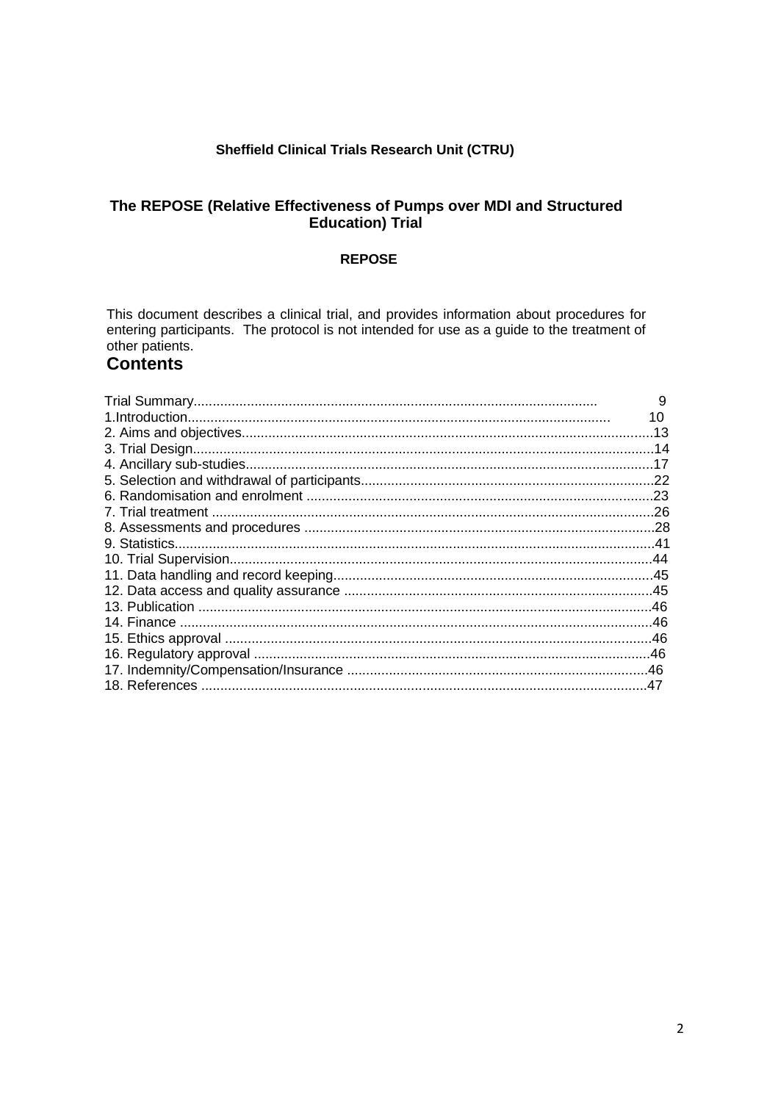## **Sheffield Clinical Trials Research Unit (CTRU)**

## The REPOSE (Relative Effectiveness of Pumps over MDI and Structured **Education) Trial**

## **REPOSE**

This document describes a clinical trial, and provides information about procedures for entering participants. The protocol is not intended for use as a guide to the treatment of other patients.

## **Contents**

| 9  |
|----|
| 10 |
|    |
|    |
|    |
|    |
|    |
|    |
|    |
|    |
|    |
|    |
|    |
|    |
|    |
|    |
|    |
|    |
|    |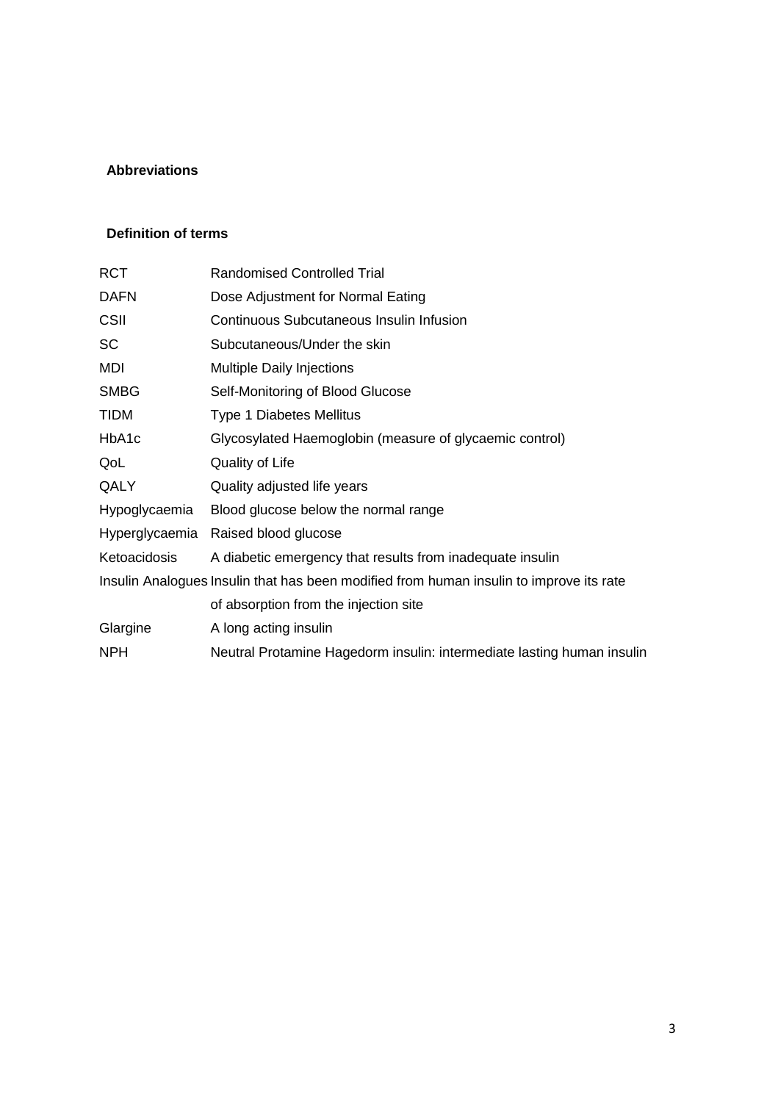## **Abbreviations**

## **Definition of terms**

| <b>RCT</b>     | <b>Randomised Controlled Trial</b>                                                      |  |  |  |  |  |
|----------------|-----------------------------------------------------------------------------------------|--|--|--|--|--|
| <b>DAFN</b>    | Dose Adjustment for Normal Eating                                                       |  |  |  |  |  |
| CSII           | Continuous Subcutaneous Insulin Infusion                                                |  |  |  |  |  |
| SC             | Subcutaneous/Under the skin                                                             |  |  |  |  |  |
| <b>MDI</b>     | Multiple Daily Injections                                                               |  |  |  |  |  |
| <b>SMBG</b>    | Self-Monitoring of Blood Glucose                                                        |  |  |  |  |  |
| <b>TIDM</b>    | Type 1 Diabetes Mellitus                                                                |  |  |  |  |  |
| HbA1c          | Glycosylated Haemoglobin (measure of glycaemic control)                                 |  |  |  |  |  |
| QoL            | Quality of Life                                                                         |  |  |  |  |  |
| QALY           | Quality adjusted life years                                                             |  |  |  |  |  |
| Hypoglycaemia  | Blood glucose below the normal range                                                    |  |  |  |  |  |
| Hyperglycaemia | Raised blood glucose                                                                    |  |  |  |  |  |
| Ketoacidosis   | A diabetic emergency that results from inadequate insulin                               |  |  |  |  |  |
|                | Insulin Analogues Insulin that has been modified from human insulin to improve its rate |  |  |  |  |  |
|                | of absorption from the injection site                                                   |  |  |  |  |  |
| Glargine       | A long acting insulin                                                                   |  |  |  |  |  |
| <b>NPH</b>     | Neutral Protamine Hagedorm insulin: intermediate lasting human insulin                  |  |  |  |  |  |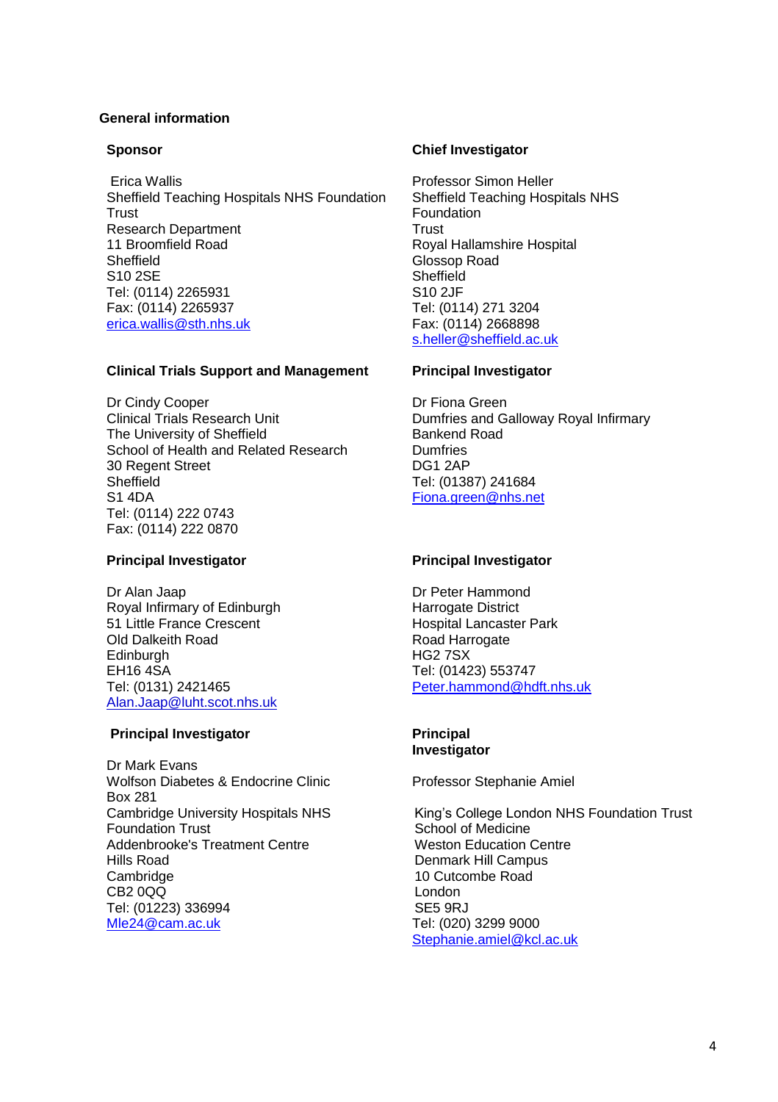## **General information**

#### **Sponsor**

Erica Wallis Sheffield Teaching Hospitals NHS Foundation **Trust** Research Department 11 Broomfield Road Sheffield S10 2SE Tel: (0114) 2265931 Fax: (0114) 2265937 [erica.wallis@sth.nhs.uk](mailto:erica.wallis@sth.nhs.uk)

#### **Clinical Trials Support and Management**

Dr Cindy Cooper Clinical Trials Research Unit The University of Sheffield School of Health and Related Research 30 Regent Street **Sheffield** S1 4DA Tel: (0114) 222 0743 Fax: (0114) 222 0870

#### **Principal Investigator**

Dr Alan Jaap Royal Infirmary of Edinburgh 51 Little France Crescent Old Dalkeith Road **Edinburgh** EH16 4SA Tel: (0131) 2421465 [Alan.Jaap@luht.scot.nhs.uk](mailto:Alan.Jaap@luht.scot.nhs.uk)

#### **Principal Investigator**

Dr Mark Evans Wolfson Diabetes & Endocrine Clinic Box 281 Cambridge University Hospitals NHS Foundation Trust Addenbrooke's Treatment Centre Hills Road Cambridge CB2 0QQ Tel: (01223) 336994 [Mle24@cam.ac.uk](mailto:Mle24@cam.ac.uk)

#### **Chief Investigator**

Professor Simon Heller Sheffield Teaching Hospitals NHS Foundation **Trust** Royal Hallamshire Hospital Glossop Road **Sheffield** S10 2JF Tel: (0114) 271 3204 Fax: (0114) 2668898 [s.heller@sheffield.ac.uk](mailto:s.heller@sheffield.ac.uk)

#### **Principal Investigator**

Dr Fiona Green Dumfries and Galloway Royal Infirmary Bankend Road **Dumfries** DG1 2AP Tel: (01387) 241684 [Fiona.green@nhs.net](mailto:Fiona.green@nhs.net)

#### **Principal Investigator**

Dr Peter Hammond Harrogate District Hospital Lancaster Park Road Harrogate HG2 7SX Tel: (01423) 553747 [Peter.hammond@hdft.nhs.uk](mailto:Peter.hammond@hdft.nhs.uk)

#### **Principal Investigator**

Professor Stephanie Amiel

King's College London NHS Foundation Trust School of Medicine Weston Education Centre Denmark Hill Campus 10 Cutcombe Road London SE5 9RJ Tel: (020) 3299 9000 [Stephanie.amiel@kcl.ac.uk](mailto:Stephanie.amiel@kcl.ac.uk)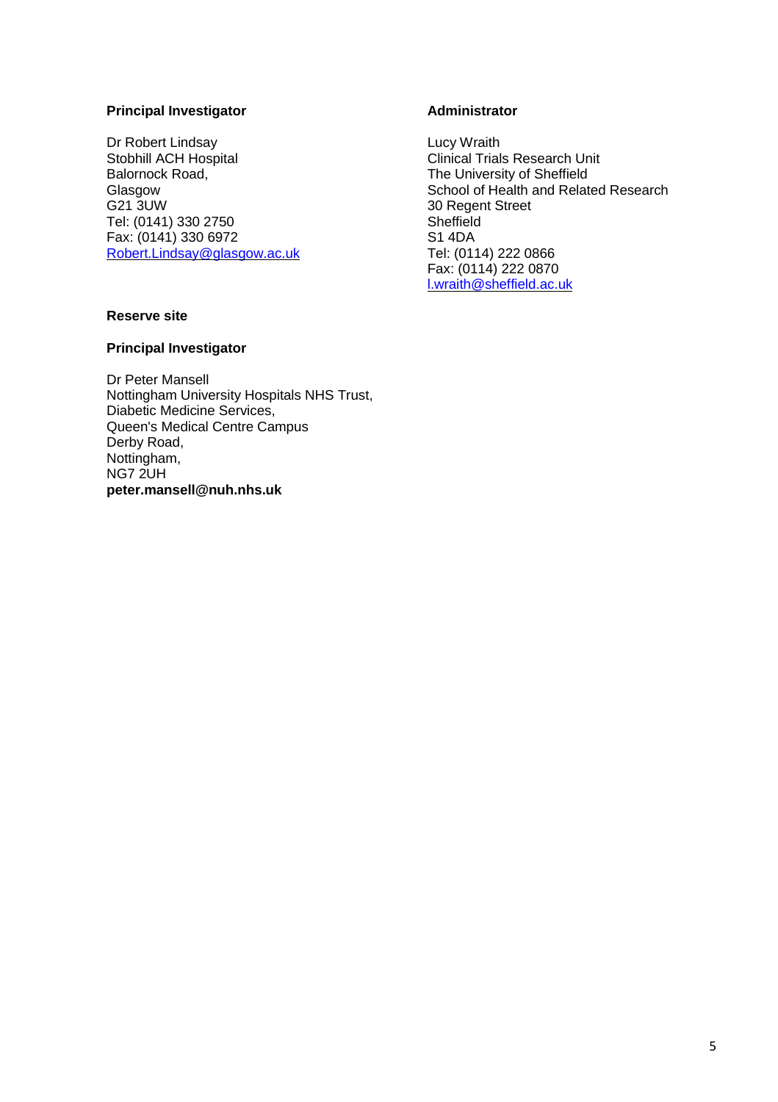## **Principal Investigator**

Dr Robert Lindsay Stobhill ACH Hospital Balornock Road, Glasgow G21 3UW Tel: (0141) 330 2750 Fax: (0141) 330 6972 [Robert.Lindsay@glasgow.ac.uk](mailto:Robert.Lindsay@glasgow.ac.uk)

## **Administrator**

Lucy Wraith Clinical Trials Research Unit The University of Sheffield School of Health and Related Research 30 Regent Street Sheffield S1 4DA Tel: (0114) 222 0866 Fax: (0114) 222 0870 [l.wraith@sheffield.ac.uk](file://LANGSETT/SCHARR/projects/REPOSE/Ethics%20and%20R&D/Ethics%20amendments/Sub%20amend%207-consent,%20blinded%20review,%20withdrawal%20and%20eligibility%20criteria%20and%20others/l.wraith@sheffield.ac.uk)

## **Reserve site**

### **Principal Investigator**

Dr Peter Mansell Nottingham University Hospitals NHS Trust, Diabetic Medicine Services, Queen's Medical Centre Campus Derby Road, Nottingham, NG7 2UH **peter.mansell@nuh.nhs.uk**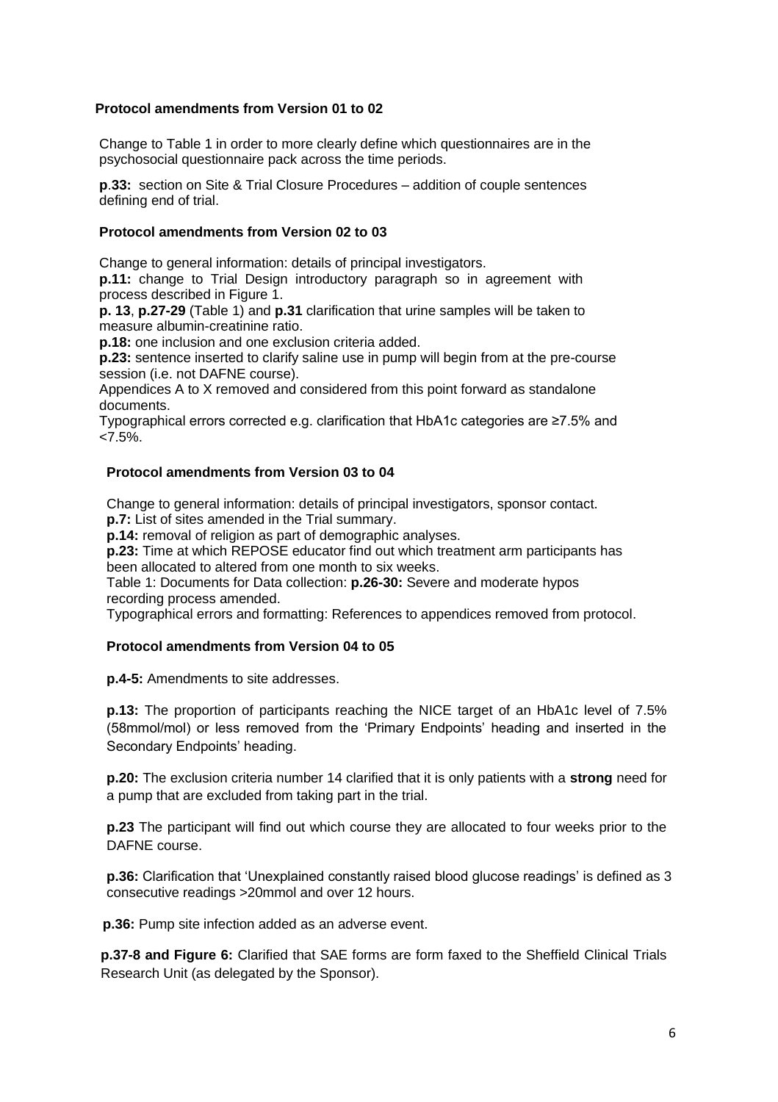## **Protocol amendments from Version 01 to 02**

Change to Table 1 in order to more clearly define which questionnaires are in the psychosocial questionnaire pack across the time periods.

**p**.**33:** section on Site & Trial Closure Procedures – addition of couple sentences defining end of trial.

### **Protocol amendments from Version 02 to 03**

Change to general information: details of principal investigators.

**p.11:** change to Trial Design introductory paragraph so in agreement with process described in Figure 1.

**p. 13**, **p.27-29** (Table 1) and **p.31** clarification that urine samples will be taken to measure albumin-creatinine ratio.

**p.18:** one inclusion and one exclusion criteria added.

**p.23:** sentence inserted to clarify saline use in pump will begin from at the pre-course session (i.e. not DAFNE course).

Appendices A to X removed and considered from this point forward as standalone documents.

Typographical errors corrected e.g. clarification that HbA1c categories are ≥7.5% and  $< 7.5\%$ .

## **Protocol amendments from Version 03 to 04**

Change to general information: details of principal investigators, sponsor contact. **p.7:** List of sites amended in the Trial summary.

**p.14:** removal of religion as part of demographic analyses.

**p.23:** Time at which REPOSE educator find out which treatment arm participants has been allocated to altered from one month to six weeks.

Table 1: Documents for Data collection: **p.26-30:** Severe and moderate hypos recording process amended.

Typographical errors and formatting: References to appendices removed from protocol.

#### **Protocol amendments from Version 04 to 05**

**p.4-5:** Amendments to site addresses.

**p.13:** The proportion of participants reaching the NICE target of an HbA1c level of 7.5% (58mmol/mol) or less removed from the 'Primary Endpoints' heading and inserted in the Secondary Endpoints' heading.

**p.20:** The exclusion criteria number 14 clarified that it is only patients with a **strong** need for a pump that are excluded from taking part in the trial.

**p.23** The participant will find out which course they are allocated to four weeks prior to the DAFNE course.

**p.36:** Clarification that 'Unexplained constantly raised blood glucose readings' is defined as 3 consecutive readings >20mmol and over 12 hours.

 **p.36:** Pump site infection added as an adverse event.

**p.37-8 and Figure 6:** Clarified that SAE forms are form faxed to the Sheffield Clinical Trials Research Unit (as delegated by the Sponsor).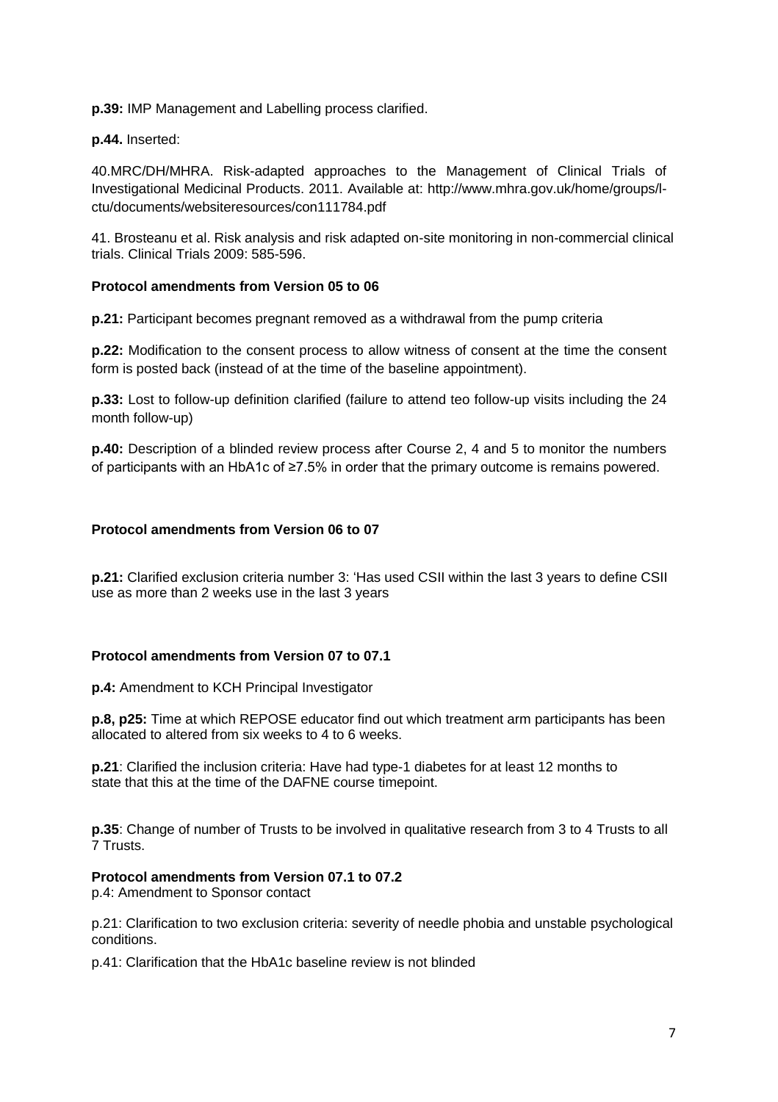**p.39:** IMP Management and Labelling process clarified.

## **p.44.** Inserted:

40.MRC/DH/MHRA. Risk-adapted approaches to the Management of Clinical Trials of Investigational Medicinal Products. 2011. Available at: http://www.mhra.gov.uk/home/groups/lctu/documents/websiteresources/con111784.pdf

41. Brosteanu et al. Risk analysis and risk adapted on-site monitoring in non-commercial clinical trials. Clinical Trials 2009: 585-596.

## **Protocol amendments from Version 05 to 06**

**p.21:** Participant becomes pregnant removed as a withdrawal from the pump criteria

**p.22:** Modification to the consent process to allow witness of consent at the time the consent form is posted back (instead of at the time of the baseline appointment).

**p.33:** Lost to follow-up definition clarified (failure to attend teo follow-up visits including the 24 month follow-up)

**p.40:** Description of a blinded review process after Course 2, 4 and 5 to monitor the numbers of participants with an HbA1c of ≥7.5% in order that the primary outcome is remains powered.

## **Protocol amendments from Version 06 to 07**

**p.21:** Clarified exclusion criteria number 3: 'Has used CSII within the last 3 years to define CSII use as more than 2 weeks use in the last 3 years

#### **Protocol amendments from Version 07 to 07.1**

**p.4:** Amendment to KCH Principal Investigator

**p.8, p25:** Time at which REPOSE educator find out which treatment arm participants has been allocated to altered from six weeks to 4 to 6 weeks.

**p.21**: Clarified the inclusion criteria: Have had type-1 diabetes for at least 12 months to state that this at the time of the DAFNE course timepoint.

**p.35**: Change of number of Trusts to be involved in qualitative research from 3 to 4 Trusts to all 7 Trusts.

#### **Protocol amendments from Version 07.1 to 07.2**

p.4: Amendment to Sponsor contact

p.21: Clarification to two exclusion criteria: severity of needle phobia and unstable psychological conditions.

p.41: Clarification that the HbA1c baseline review is not blinded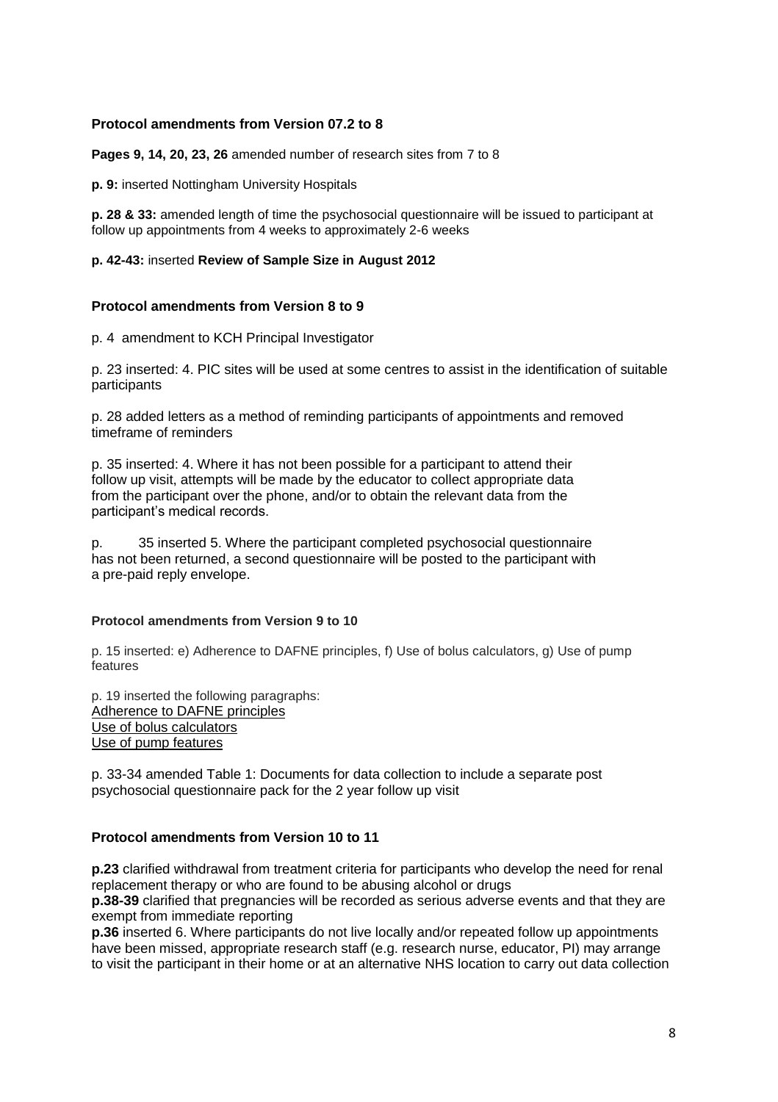## **Protocol amendments from Version 07.2 to 8**

**Pages 9, 14, 20, 23, 26** amended number of research sites from 7 to 8

**p. 9:** inserted Nottingham University Hospitals

**p. 28 & 33:** amended length of time the psychosocial questionnaire will be issued to participant at follow up appointments from 4 weeks to approximately 2-6 weeks

#### **p. 42-43:** inserted **Review of Sample Size in August 2012**

#### **Protocol amendments from Version 8 to 9**

p. 4 amendment to KCH Principal Investigator

p. 23 inserted: 4. PIC sites will be used at some centres to assist in the identification of suitable participants

p. 28 added letters as a method of reminding participants of appointments and removed timeframe of reminders

p. 35 inserted: 4. Where it has not been possible for a participant to attend their follow up visit, attempts will be made by the educator to collect appropriate data from the participant over the phone, and/or to obtain the relevant data from the participant's medical records.

p. 35 inserted 5. Where the participant completed psychosocial questionnaire has not been returned, a second questionnaire will be posted to the participant with a pre-paid reply envelope.

#### **Protocol amendments from Version 9 to 10**

p. 15 inserted: e) Adherence to DAFNE principles, f) Use of bolus calculators, g) Use of pump features

p. 19 inserted the following paragraphs: Adherence to DAFNE principles Use of bolus calculators Use of pump features

p. 33-34 amended Table 1: Documents for data collection to include a separate post psychosocial questionnaire pack for the 2 year follow up visit

#### **Protocol amendments from Version 10 to 11**

**p.23** clarified withdrawal from treatment criteria for participants who develop the need for renal replacement therapy or who are found to be abusing alcohol or drugs

**p.38-39** clarified that pregnancies will be recorded as serious adverse events and that they are exempt from immediate reporting

**p.36** inserted 6. Where participants do not live locally and/or repeated follow up appointments have been missed, appropriate research staff (e.g. research nurse, educator, PI) may arrange to visit the participant in their home or at an alternative NHS location to carry out data collection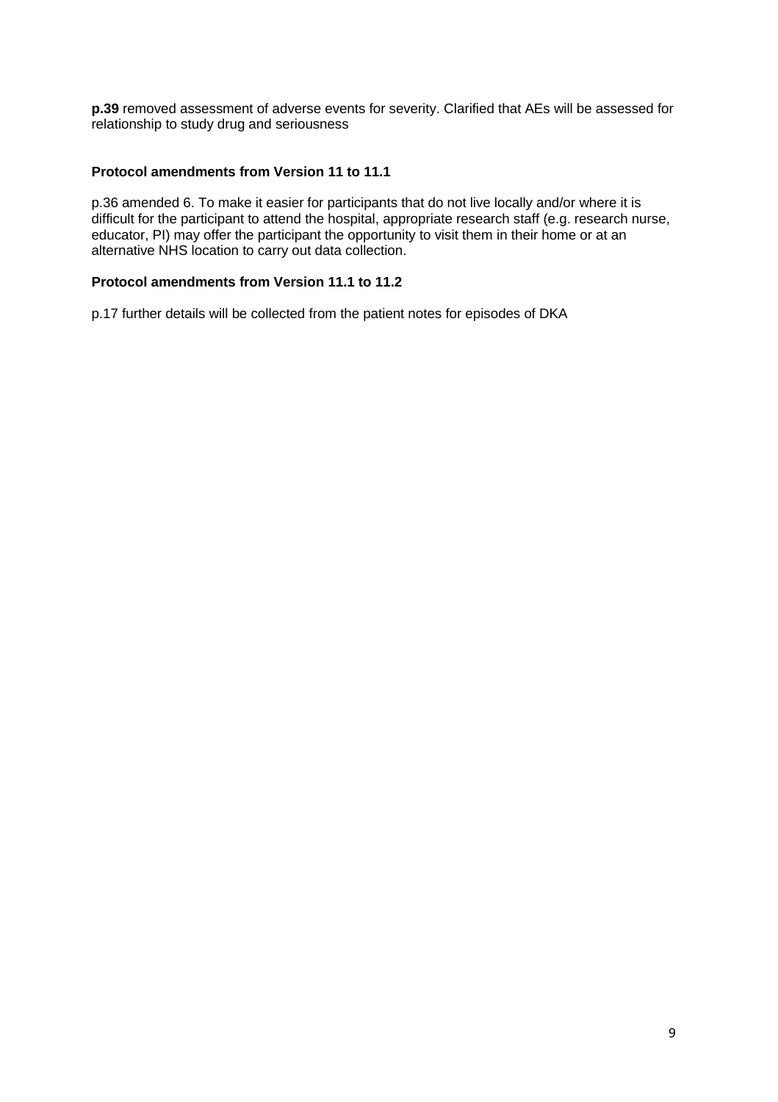**p.39** removed assessment of adverse events for severity. Clarified that AEs will be assessed for relationship to study drug and seriousness

## **Protocol amendments from Version 11 to 11.1**

p.36 amended 6. To make it easier for participants that do not live locally and/or where it is difficult for the participant to attend the hospital, appropriate research staff (e.g. research nurse, educator, PI) may offer the participant the opportunity to visit them in their home or at an alternative NHS location to carry out data collection.

#### **Protocol amendments from Version 11.1 to 11.2**

p.17 further details will be collected from the patient notes for episodes of DKA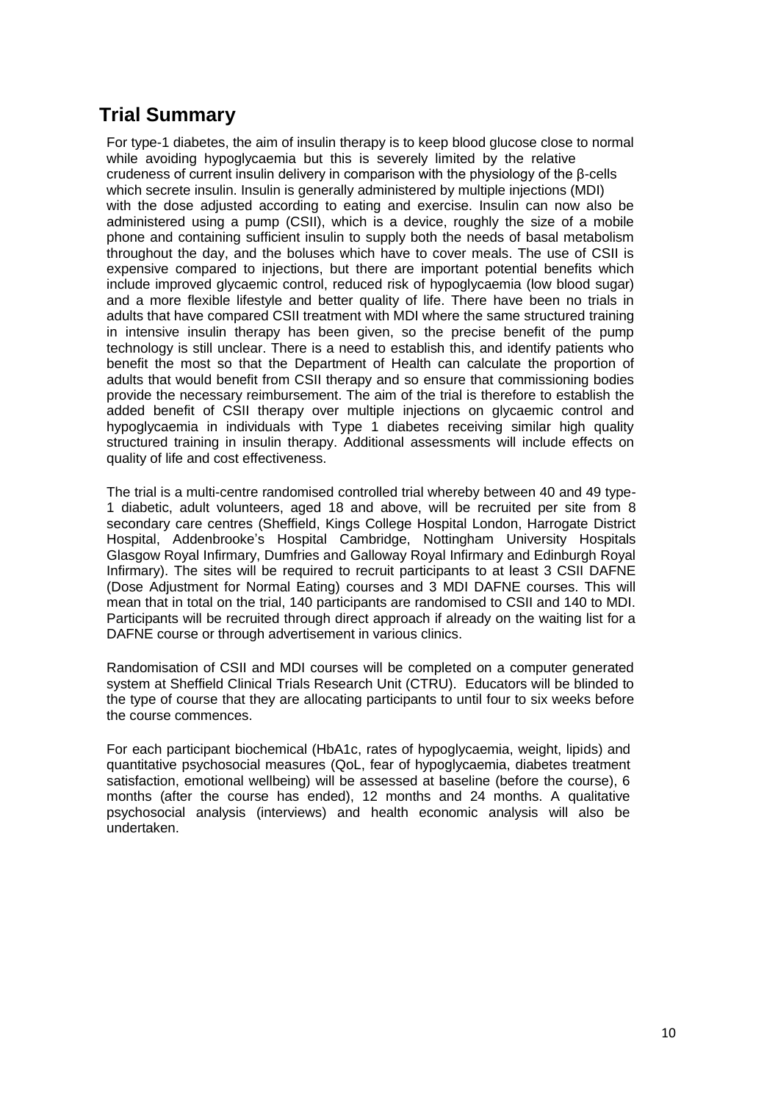# **Trial Summary**

For type-1 diabetes, the aim of insulin therapy is to keep blood glucose close to normal while avoiding hypoglycaemia but this is severely limited by the relative crudeness of current insulin delivery in comparison with the physiology of the β-cells which secrete insulin. Insulin is generally administered by multiple injections (MDI) with the dose adjusted according to eating and exercise. Insulin can now also be administered using a pump (CSII), which is a device, roughly the size of a mobile phone and containing sufficient insulin to supply both the needs of basal metabolism throughout the day, and the boluses which have to cover meals. The use of CSII is expensive compared to injections, but there are important potential benefits which include improved glycaemic control, reduced risk of hypoglycaemia (low blood sugar) and a more flexible lifestyle and better quality of life. There have been no trials in adults that have compared CSII treatment with MDI where the same structured training in intensive insulin therapy has been given, so the precise benefit of the pump technology is still unclear. There is a need to establish this, and identify patients who benefit the most so that the Department of Health can calculate the proportion of adults that would benefit from CSII therapy and so ensure that commissioning bodies provide the necessary reimbursement. The aim of the trial is therefore to establish the added benefit of CSII therapy over multiple injections on glycaemic control and hypoglycaemia in individuals with Type 1 diabetes receiving similar high quality structured training in insulin therapy. Additional assessments will include effects on quality of life and cost effectiveness.

The trial is a multi-centre randomised controlled trial whereby between 40 and 49 type-1 diabetic, adult volunteers, aged 18 and above, will be recruited per site from 8 secondary care centres (Sheffield, Kings College Hospital London, Harrogate District Hospital, Addenbrooke's Hospital Cambridge, Nottingham University Hospitals Glasgow Royal Infirmary, Dumfries and Galloway Royal Infirmary and Edinburgh Royal Infirmary). The sites will be required to recruit participants to at least 3 CSII DAFNE (Dose Adjustment for Normal Eating) courses and 3 MDI DAFNE courses. This will mean that in total on the trial, 140 participants are randomised to CSII and 140 to MDI. Participants will be recruited through direct approach if already on the waiting list for a DAFNE course or through advertisement in various clinics.

Randomisation of CSII and MDI courses will be completed on a computer generated system at Sheffield Clinical Trials Research Unit (CTRU). Educators will be blinded to the type of course that they are allocating participants to until four to six weeks before the course commences.

For each participant biochemical (HbA1c, rates of hypoglycaemia, weight, lipids) and quantitative psychosocial measures (QoL, fear of hypoglycaemia, diabetes treatment satisfaction, emotional wellbeing) will be assessed at baseline (before the course), 6 months (after the course has ended), 12 months and 24 months. A qualitative psychosocial analysis (interviews) and health economic analysis will also be undertaken.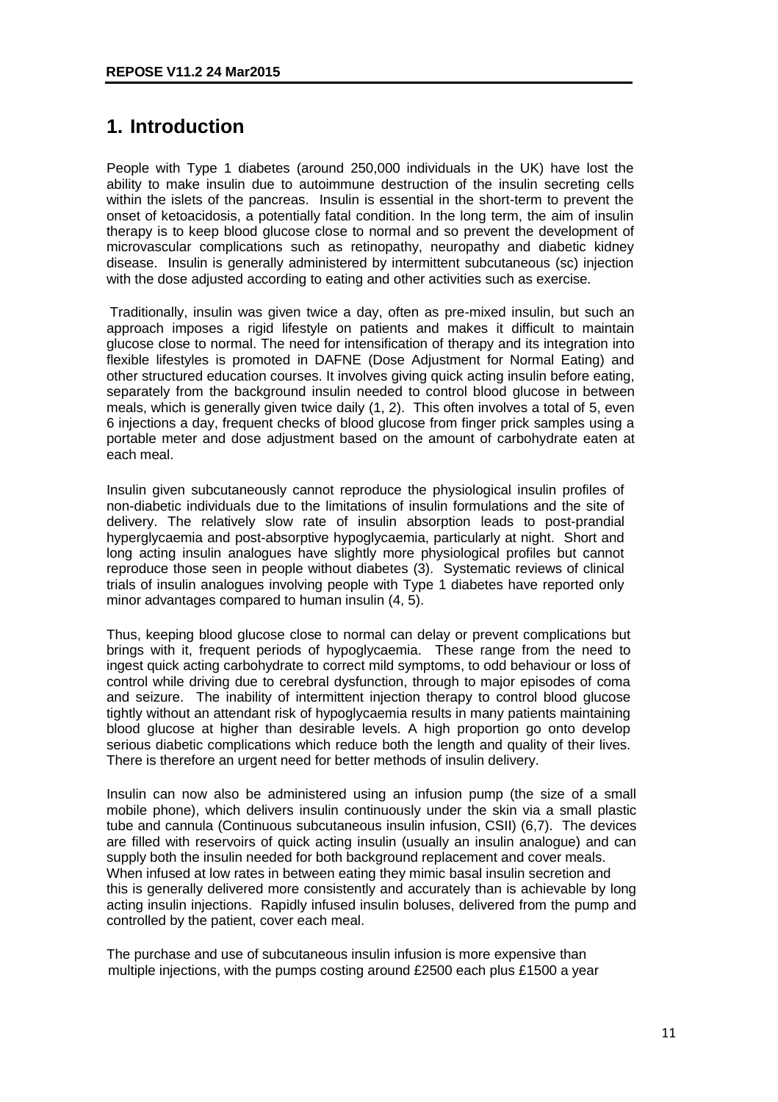# **1. Introduction**

People with Type 1 diabetes (around 250,000 individuals in the UK) have lost the ability to make insulin due to autoimmune destruction of the insulin secreting cells within the islets of the pancreas. Insulin is essential in the short-term to prevent the onset of ketoacidosis, a potentially fatal condition. In the long term, the aim of insulin therapy is to keep blood glucose close to normal and so prevent the development of microvascular complications such as retinopathy, neuropathy and diabetic kidney disease. Insulin is generally administered by intermittent subcutaneous (sc) injection with the dose adjusted according to eating and other activities such as exercise.

Traditionally, insulin was given twice a day, often as pre-mixed insulin, but such an approach imposes a rigid lifestyle on patients and makes it difficult to maintain glucose close to normal. The need for intensification of therapy and its integration into flexible lifestyles is promoted in DAFNE (Dose Adjustment for Normal Eating) and other structured education courses. It involves giving quick acting insulin before eating, separately from the background insulin needed to control blood glucose in between meals, which is generally given twice daily (1, 2). This often involves a total of 5, even 6 injections a day, frequent checks of blood glucose from finger prick samples using a portable meter and dose adjustment based on the amount of carbohydrate eaten at each meal.

Insulin given subcutaneously cannot reproduce the physiological insulin profiles of non-diabetic individuals due to the limitations of insulin formulations and the site of delivery. The relatively slow rate of insulin absorption leads to post-prandial hyperglycaemia and post-absorptive hypoglycaemia, particularly at night. Short and long acting insulin analogues have slightly more physiological profiles but cannot reproduce those seen in people without diabetes (3). Systematic reviews of clinical trials of insulin analogues involving people with Type 1 diabetes have reported only minor advantages compared to human insulin (4, 5).

Thus, keeping blood glucose close to normal can delay or prevent complications but brings with it, frequent periods of hypoglycaemia. These range from the need to ingest quick acting carbohydrate to correct mild symptoms, to odd behaviour or loss of control while driving due to cerebral dysfunction, through to major episodes of coma and seizure. The inability of intermittent injection therapy to control blood glucose tightly without an attendant risk of hypoglycaemia results in many patients maintaining blood glucose at higher than desirable levels. A high proportion go onto develop serious diabetic complications which reduce both the length and quality of their lives. There is therefore an urgent need for better methods of insulin delivery.

Insulin can now also be administered using an infusion pump (the size of a small mobile phone), which delivers insulin continuously under the skin via a small plastic tube and cannula (Continuous subcutaneous insulin infusion, CSII) (6,7). The devices are filled with reservoirs of quick acting insulin (usually an insulin analogue) and can supply both the insulin needed for both background replacement and cover meals. When infused at low rates in between eating they mimic basal insulin secretion and this is generally delivered more consistently and accurately than is achievable by long acting insulin injections. Rapidly infused insulin boluses, delivered from the pump and controlled by the patient, cover each meal.

The purchase and use of subcutaneous insulin infusion is more expensive than multiple injections, with the pumps costing around £2500 each plus £1500 a year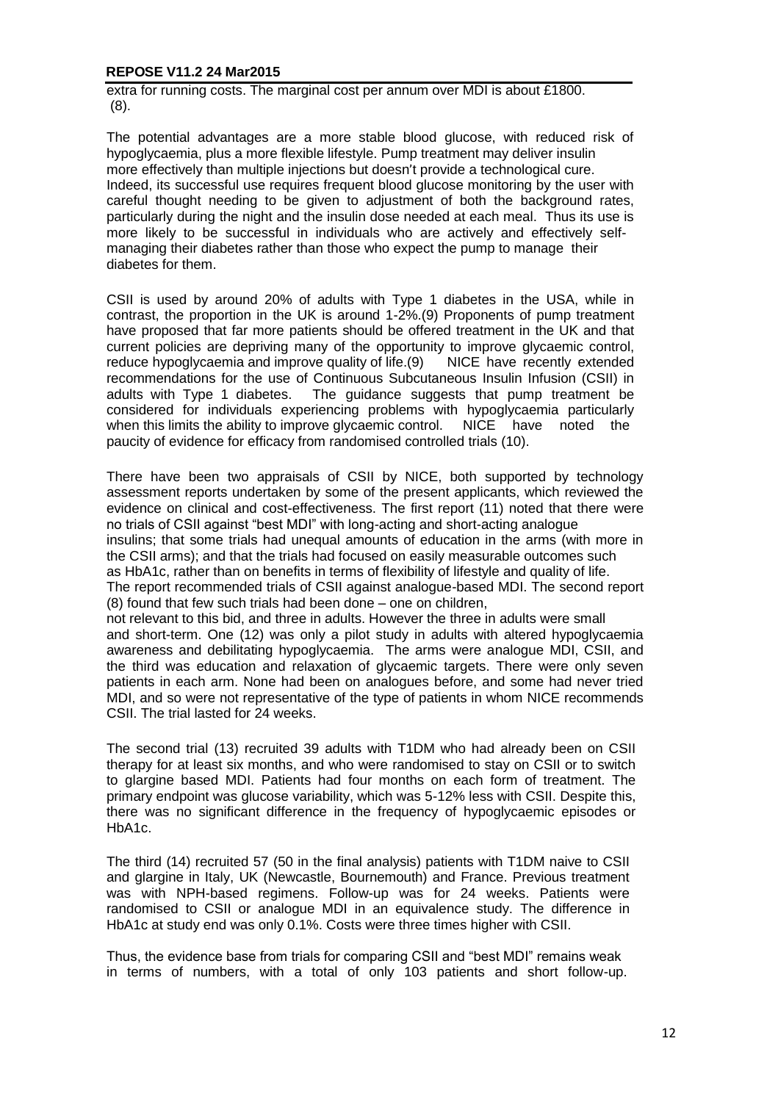extra for running costs. The marginal cost per annum over MDI is about £1800. (8).

The potential advantages are a more stable blood glucose, with reduced risk of hypoglycaemia, plus a more flexible lifestyle. Pump treatment may deliver insulin more effectively than multiple injections but doesn't provide a technological cure. Indeed, its successful use requires frequent blood glucose monitoring by the user with careful thought needing to be given to adjustment of both the background rates, particularly during the night and the insulin dose needed at each meal. Thus its use is more likely to be successful in individuals who are actively and effectively selfmanaging their diabetes rather than those who expect the pump to manage their diabetes for them.

CSII is used by around 20% of adults with Type 1 diabetes in the USA, while in contrast, the proportion in the UK is around 1-2%.(9) Proponents of pump treatment have proposed that far more patients should be offered treatment in the UK and that current policies are depriving many of the opportunity to improve glycaemic control, reduce hypoglycaemia and improve quality of life.(9) NICE have recently extended recommendations for the use of Continuous Subcutaneous Insulin Infusion (CSII) in adults with Type 1 diabetes. The guidance suggests that pump treatment be considered for individuals experiencing problems with hypoglycaemia particularly when this limits the ability to improve glycaemic control. NICE have noted the paucity of evidence for efficacy from randomised controlled trials (10).

There have been two appraisals of CSII by NICE, both supported by technology assessment reports undertaken by some of the present applicants, which reviewed the evidence on clinical and cost-effectiveness. The first report (11) noted that there were no trials of CSII against "best MDI" with long-acting and short-acting analogue insulins; that some trials had unequal amounts of education in the arms (with more in the CSII arms); and that the trials had focused on easily measurable outcomes such as HbA1c, rather than on benefits in terms of flexibility of lifestyle and quality of life. The report recommended trials of CSII against analogue-based MDI. The second report (8) found that few such trials had been done – one on children, not relevant to this bid, and three in adults. However the three in adults were small

and short-term. One (12) was only a pilot study in adults with altered hypoglycaemia awareness and debilitating hypoglycaemia. The arms were analogue MDI, CSII, and the third was education and relaxation of glycaemic targets. There were only seven patients in each arm. None had been on analogues before, and some had never tried MDI, and so were not representative of the type of patients in whom NICE recommends CSII. The trial lasted for 24 weeks.

The second trial (13) recruited 39 adults with T1DM who had already been on CSII therapy for at least six months, and who were randomised to stay on CSII or to switch to glargine based MDI. Patients had four months on each form of treatment. The primary endpoint was glucose variability, which was 5-12% less with CSII. Despite this, there was no significant difference in the frequency of hypoglycaemic episodes or HbA1c.

The third (14) recruited 57 (50 in the final analysis) patients with T1DM naive to CSII and glargine in Italy, UK (Newcastle, Bournemouth) and France. Previous treatment was with NPH-based regimens. Follow-up was for 24 weeks. Patients were randomised to CSII or analogue MDI in an equivalence study. The difference in HbA1c at study end was only 0.1%. Costs were three times higher with CSII.

Thus, the evidence base from trials for comparing CSII and "best MDI" remains weak in terms of numbers, with a total of only 103 patients and short follow-up.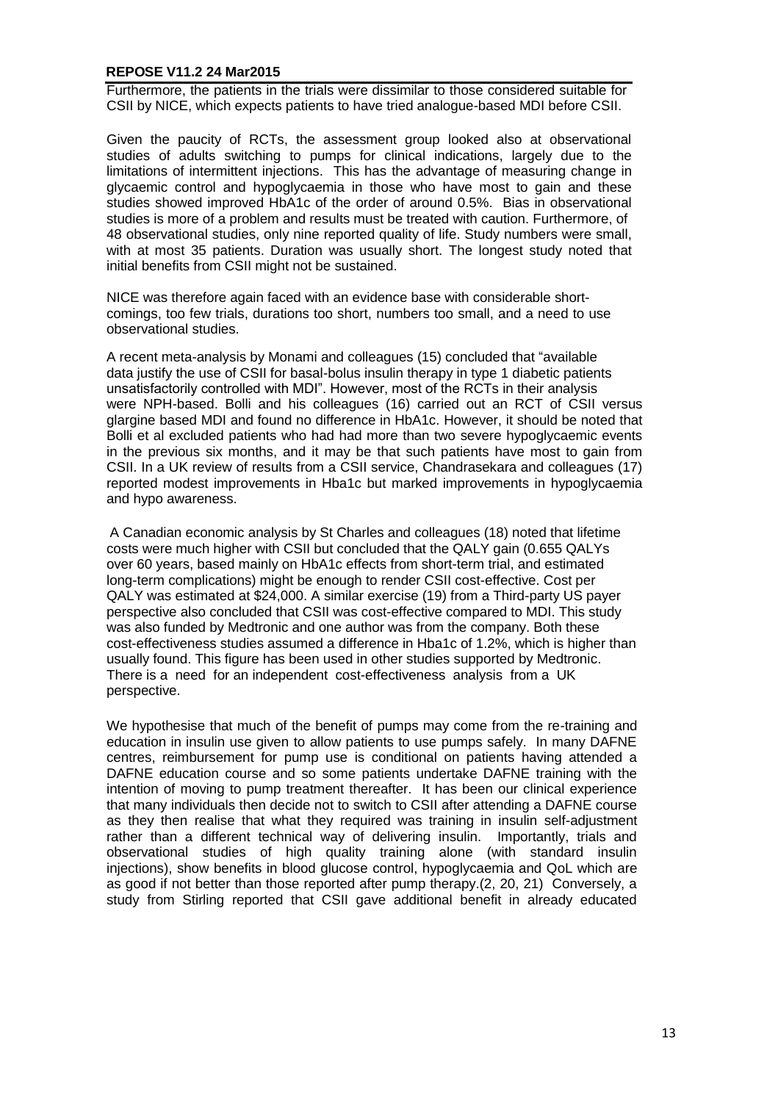Furthermore, the patients in the trials were dissimilar to those considered suitable for CSII by NICE, which expects patients to have tried analogue-based MDI before CSII.

Given the paucity of RCTs, the assessment group looked also at observational studies of adults switching to pumps for clinical indications, largely due to the limitations of intermittent injections. This has the advantage of measuring change in glycaemic control and hypoglycaemia in those who have most to gain and these studies showed improved HbA1c of the order of around 0.5%. Bias in observational studies is more of a problem and results must be treated with caution. Furthermore, of 48 observational studies, only nine reported quality of life. Study numbers were small, with at most 35 patients. Duration was usually short. The longest study noted that initial benefits from CSII might not be sustained.

NICE was therefore again faced with an evidence base with considerable shortcomings, too few trials, durations too short, numbers too small, and a need to use observational studies.

A recent meta-analysis by Monami and colleagues (15) concluded that "available data justify the use of CSII for basal-bolus insulin therapy in type 1 diabetic patients unsatisfactorily controlled with MDI". However, most of the RCTs in their analysis were NPH-based. Bolli and his colleagues (16) carried out an RCT of CSII versus glargine based MDI and found no difference in HbA1c. However, it should be noted that Bolli et al excluded patients who had had more than two severe hypoglycaemic events in the previous six months, and it may be that such patients have most to gain from CSII. In a UK review of results from a CSII service, Chandrasekara and colleagues (17) reported modest improvements in Hba1c but marked improvements in hypoglycaemia and hypo awareness.

A Canadian economic analysis by St Charles and colleagues (18) noted that lifetime costs were much higher with CSII but concluded that the QALY gain (0.655 QALYs over 60 years, based mainly on HbA1c effects from short-term trial, and estimated long-term complications) might be enough to render CSII cost-effective. Cost per QALY was estimated at \$24,000. A similar exercise (19) from a Third-party US payer perspective also concluded that CSII was cost-effective compared to MDI. This study was also funded by Medtronic and one author was from the company. Both these cost-effectiveness studies assumed a difference in Hba1c of 1.2%, which is higher than usually found. This figure has been used in other studies supported by Medtronic. There is a need for an independent cost-effectiveness analysis from a UK perspective.

We hypothesise that much of the benefit of pumps may come from the re-training and education in insulin use given to allow patients to use pumps safely. In many DAFNE centres, reimbursement for pump use is conditional on patients having attended a DAFNE education course and so some patients undertake DAFNE training with the intention of moving to pump treatment thereafter. It has been our clinical experience that many individuals then decide not to switch to CSII after attending a DAFNE course as they then realise that what they required was training in insulin self-adjustment rather than a different technical way of delivering insulin. Importantly, trials and observational studies of high quality training alone (with standard insulin injections), show benefits in blood glucose control, hypoglycaemia and QoL which are as good if not better than those reported after pump therapy.(2, 20, 21) Conversely, a study from Stirling reported that CSII gave additional benefit in already educated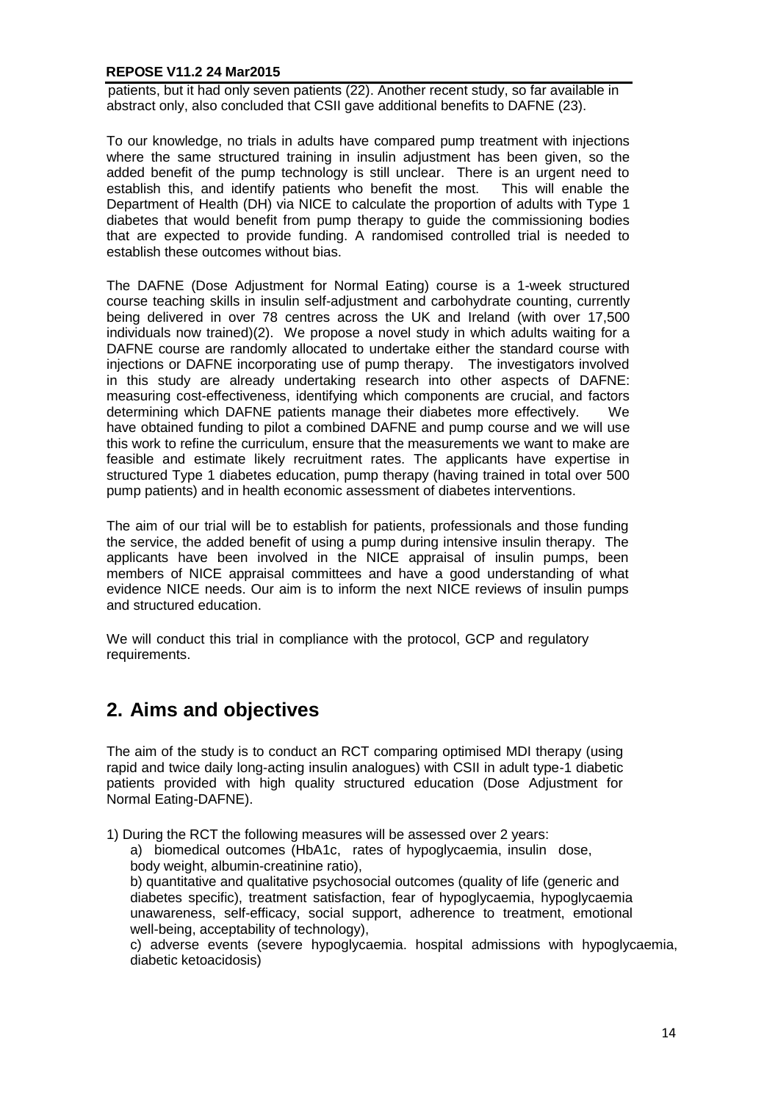patients, but it had only seven patients (22). Another recent study, so far available in abstract only, also concluded that CSII gave additional benefits to DAFNE (23).

To our knowledge, no trials in adults have compared pump treatment with injections where the same structured training in insulin adjustment has been given, so the added benefit of the pump technology is still unclear. There is an urgent need to establish this, and identify patients who benefit the most. This will enable the Department of Health (DH) via NICE to calculate the proportion of adults with Type 1 diabetes that would benefit from pump therapy to guide the commissioning bodies that are expected to provide funding. A randomised controlled trial is needed to establish these outcomes without bias.

The DAFNE (Dose Adjustment for Normal Eating) course is a 1-week structured course teaching skills in insulin self-adjustment and carbohydrate counting, currently being delivered in over 78 centres across the UK and Ireland (with over 17,500 individuals now trained)(2). We propose a novel study in which adults waiting for a DAFNE course are randomly allocated to undertake either the standard course with injections or DAFNE incorporating use of pump therapy. The investigators involved in this study are already undertaking research into other aspects of DAFNE: measuring cost-effectiveness, identifying which components are crucial, and factors determining which DAFNE patients manage their diabetes more effectively. We have obtained funding to pilot a combined DAFNE and pump course and we will use this work to refine the curriculum, ensure that the measurements we want to make are feasible and estimate likely recruitment rates. The applicants have expertise in structured Type 1 diabetes education, pump therapy (having trained in total over 500 pump patients) and in health economic assessment of diabetes interventions.

The aim of our trial will be to establish for patients, professionals and those funding the service, the added benefit of using a pump during intensive insulin therapy. The applicants have been involved in the NICE appraisal of insulin pumps, been members of NICE appraisal committees and have a good understanding of what evidence NICE needs. Our aim is to inform the next NICE reviews of insulin pumps and structured education.

We will conduct this trial in compliance with the protocol, GCP and regulatory requirements.

## **2. Aims and objectives**

The aim of the study is to conduct an RCT comparing optimised MDI therapy (using rapid and twice daily long-acting insulin analogues) with CSII in adult type-1 diabetic patients provided with high quality structured education (Dose Adjustment for Normal Eating-DAFNE).

- 1) During the RCT the following measures will be assessed over 2 years:
	- a) biomedical outcomes (HbA1c, rates of hypoglycaemia, insulin dose, body weight, albumin-creatinine ratio),

b) quantitative and qualitative psychosocial outcomes (quality of life (generic and diabetes specific), treatment satisfaction, fear of hypoglycaemia, hypoglycaemia unawareness, self-efficacy, social support, adherence to treatment, emotional well-being, acceptability of technology),

c) adverse events (severe hypoglycaemia. hospital admissions with hypoglycaemia, diabetic ketoacidosis)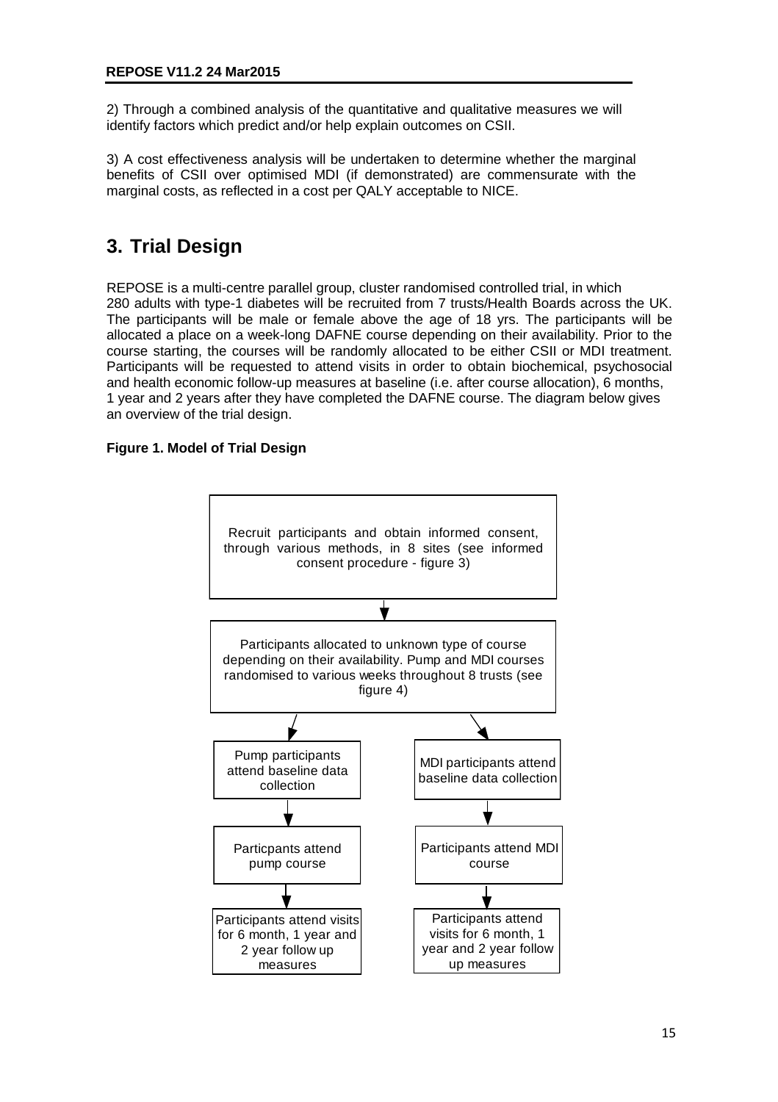2) Through a combined analysis of the quantitative and qualitative measures we will identify factors which predict and/or help explain outcomes on CSII.

3) A cost effectiveness analysis will be undertaken to determine whether the marginal benefits of CSII over optimised MDI (if demonstrated) are commensurate with the marginal costs, as reflected in a cost per QALY acceptable to NICE.

# **3. Trial Design**

REPOSE is a multi-centre parallel group, cluster randomised controlled trial, in which 280 adults with type-1 diabetes will be recruited from 7 trusts/Health Boards across the UK. The participants will be male or female above the age of 18 yrs. The participants will be allocated a place on a week-long DAFNE course depending on their availability. Prior to the course starting, the courses will be randomly allocated to be either CSII or MDI treatment. Participants will be requested to attend visits in order to obtain biochemical, psychosocial and health economic follow-up measures at baseline (i.e. after course allocation), 6 months, 1 year and 2 years after they have completed the DAFNE course. The diagram below gives an overview of the trial design.

## **Figure 1. Model of Trial Design**

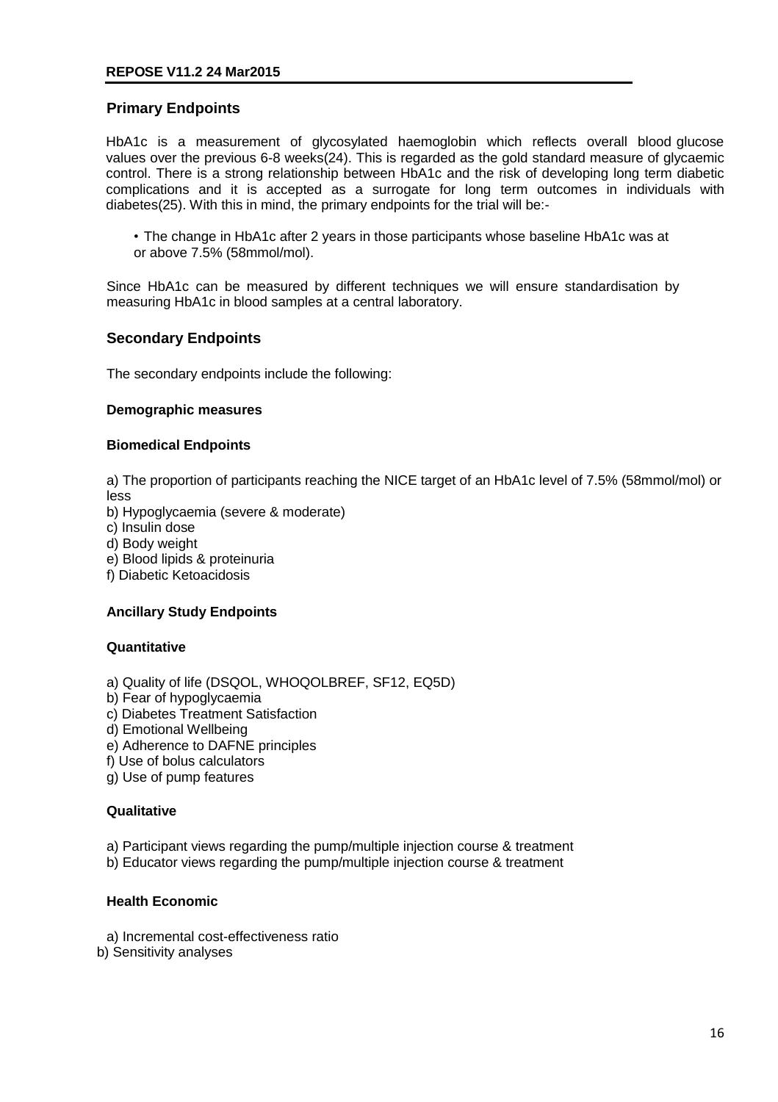## **Primary Endpoints**

HbA1c is a measurement of glycosylated haemoglobin which reflects overall blood glucose values over the previous 6-8 weeks(24). This is regarded as the gold standard measure of glycaemic control. There is a strong relationship between HbA1c and the risk of developing long term diabetic complications and it is accepted as a surrogate for long term outcomes in individuals with diabetes(25). With this in mind, the primary endpoints for the trial will be:-

• The change in HbA1c after 2 years in those participants whose baseline HbA1c was at or above 7.5% (58mmol/mol).

Since HbA1c can be measured by different techniques we will ensure standardisation by measuring HbA1c in blood samples at a central laboratory.

## **Secondary Endpoints**

The secondary endpoints include the following:

## **Demographic measures**

## **Biomedical Endpoints**

a) The proportion of participants reaching the NICE target of an HbA1c level of 7.5% (58mmol/mol) or less

- b) Hypoglycaemia (severe & moderate)
- c) Insulin dose
- d) Body weight
- e) Blood lipids & proteinuria
- f) Diabetic Ketoacidosis

## **Ancillary Study Endpoints**

#### **Quantitative**

- a) Quality of life (DSQOL, WHOQOLBREF, SF12, EQ5D)
- b) Fear of hypoglycaemia
- c) Diabetes Treatment Satisfaction
- d) Emotional Wellbeing
- e) Adherence to DAFNE principles
- f) Use of bolus calculators
- g) Use of pump features

#### **Qualitative**

- a) Participant views regarding the pump/multiple injection course & treatment
- b) Educator views regarding the pump/multiple injection course & treatment

## **Health Economic**

- a) Incremental cost-effectiveness ratio
- b) Sensitivity analyses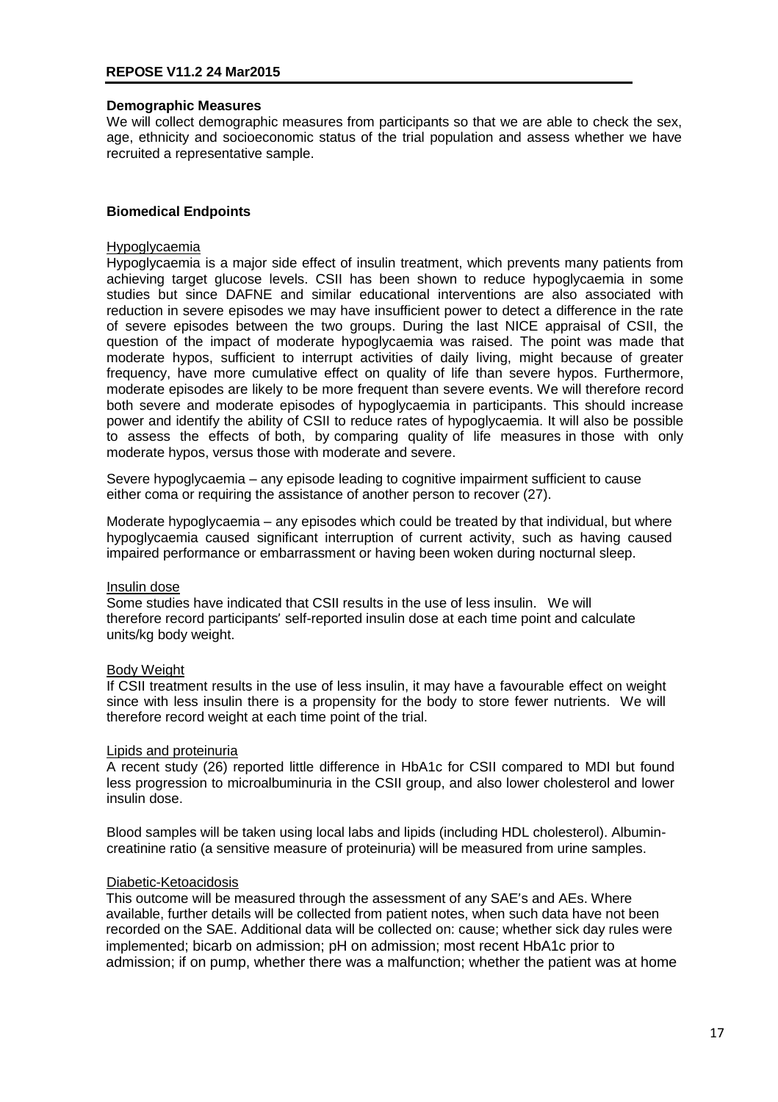#### **Demographic Measures**

We will collect demographic measures from participants so that we are able to check the sex, age, ethnicity and socioeconomic status of the trial population and assess whether we have recruited a representative sample.

#### **Biomedical Endpoints**

#### Hypoglycaemia

Hypoglycaemia is a major side effect of insulin treatment, which prevents many patients from achieving target glucose levels. CSII has been shown to reduce hypoglycaemia in some studies but since DAFNE and similar educational interventions are also associated with reduction in severe episodes we may have insufficient power to detect a difference in the rate of severe episodes between the two groups. During the last NICE appraisal of CSII, the question of the impact of moderate hypoglycaemia was raised. The point was made that moderate hypos, sufficient to interrupt activities of daily living, might because of greater frequency, have more cumulative effect on quality of life than severe hypos. Furthermore, moderate episodes are likely to be more frequent than severe events. We will therefore record both severe and moderate episodes of hypoglycaemia in participants. This should increase power and identify the ability of CSII to reduce rates of hypoglycaemia. It will also be possible to assess the effects of both, by comparing quality of life measures in those with only moderate hypos, versus those with moderate and severe.

Severe hypoglycaemia – any episode leading to cognitive impairment sufficient to cause either coma or requiring the assistance of another person to recover (27).

Moderate hypoglycaemia – any episodes which could be treated by that individual, but where hypoglycaemia caused significant interruption of current activity, such as having caused impaired performance or embarrassment or having been woken during nocturnal sleep.

#### Insulin dose

Some studies have indicated that CSII results in the use of less insulin. We will therefore record participants' self-reported insulin dose at each time point and calculate units/kg body weight.

#### Body Weight

If CSII treatment results in the use of less insulin, it may have a favourable effect on weight since with less insulin there is a propensity for the body to store fewer nutrients. We will therefore record weight at each time point of the trial.

#### Lipids and proteinuria

A recent study (26) reported little difference in HbA1c for CSII compared to MDI but found less progression to microalbuminuria in the CSII group, and also lower cholesterol and lower insulin dose.

Blood samples will be taken using local labs and lipids (including HDL cholesterol). Albumincreatinine ratio (a sensitive measure of proteinuria) will be measured from urine samples.

#### Diabetic-Ketoacidosis

This outcome will be measured through the assessment of any SAE's and AEs. Where available, further details will be collected from patient notes, when such data have not been recorded on the SAE. Additional data will be collected on: cause; whether sick day rules were implemented; bicarb on admission; pH on admission; most recent HbA1c prior to admission; if on pump, whether there was a malfunction; whether the patient was at home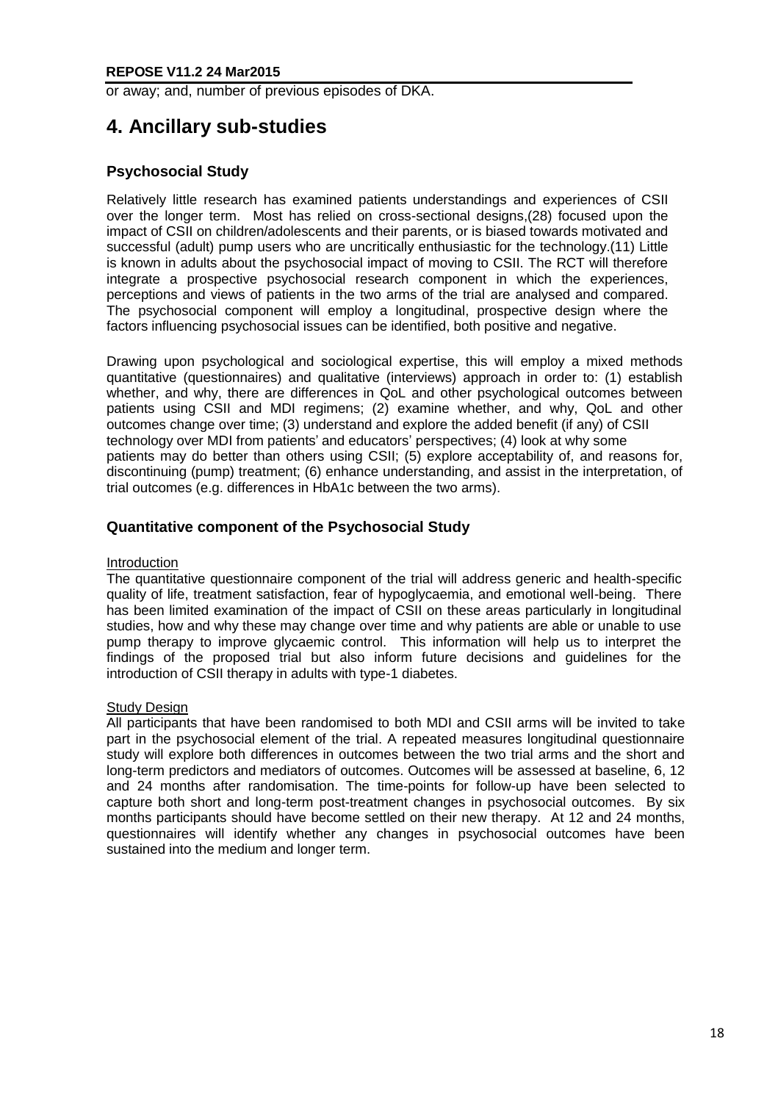or away; and, number of previous episodes of DKA.

## **4. Ancillary sub-studies**

## **Psychosocial Study**

Relatively little research has examined patients understandings and experiences of CSII over the longer term. Most has relied on cross-sectional designs,(28) focused upon the impact of CSII on children/adolescents and their parents, or is biased towards motivated and successful (adult) pump users who are uncritically enthusiastic for the technology.(11) Little is known in adults about the psychosocial impact of moving to CSII. The RCT will therefore integrate a prospective psychosocial research component in which the experiences, perceptions and views of patients in the two arms of the trial are analysed and compared. The psychosocial component will employ a longitudinal, prospective design where the factors influencing psychosocial issues can be identified, both positive and negative.

Drawing upon psychological and sociological expertise, this will employ a mixed methods quantitative (questionnaires) and qualitative (interviews) approach in order to: (1) establish whether, and why, there are differences in QoL and other psychological outcomes between patients using CSII and MDI regimens; (2) examine whether, and why, QoL and other outcomes change over time; (3) understand and explore the added benefit (if any) of CSII technology over MDI from patients' and educators' perspectives; (4) look at why some patients may do better than others using CSII; (5) explore acceptability of, and reasons for, discontinuing (pump) treatment; (6) enhance understanding, and assist in the interpretation, of trial outcomes (e.g. differences in HbA1c between the two arms).

## **Quantitative component of the Psychosocial Study**

#### Introduction

The quantitative questionnaire component of the trial will address generic and health-specific quality of life, treatment satisfaction, fear of hypoglycaemia, and emotional well-being. There has been limited examination of the impact of CSII on these areas particularly in longitudinal studies, how and why these may change over time and why patients are able or unable to use pump therapy to improve glycaemic control. This information will help us to interpret the findings of the proposed trial but also inform future decisions and guidelines for the introduction of CSII therapy in adults with type-1 diabetes.

#### Study Design

All participants that have been randomised to both MDI and CSII arms will be invited to take part in the psychosocial element of the trial. A repeated measures longitudinal questionnaire study will explore both differences in outcomes between the two trial arms and the short and long-term predictors and mediators of outcomes. Outcomes will be assessed at baseline, 6, 12 and 24 months after randomisation. The time-points for follow-up have been selected to capture both short and long-term post-treatment changes in psychosocial outcomes. By six months participants should have become settled on their new therapy. At 12 and 24 months, questionnaires will identify whether any changes in psychosocial outcomes have been sustained into the medium and longer term.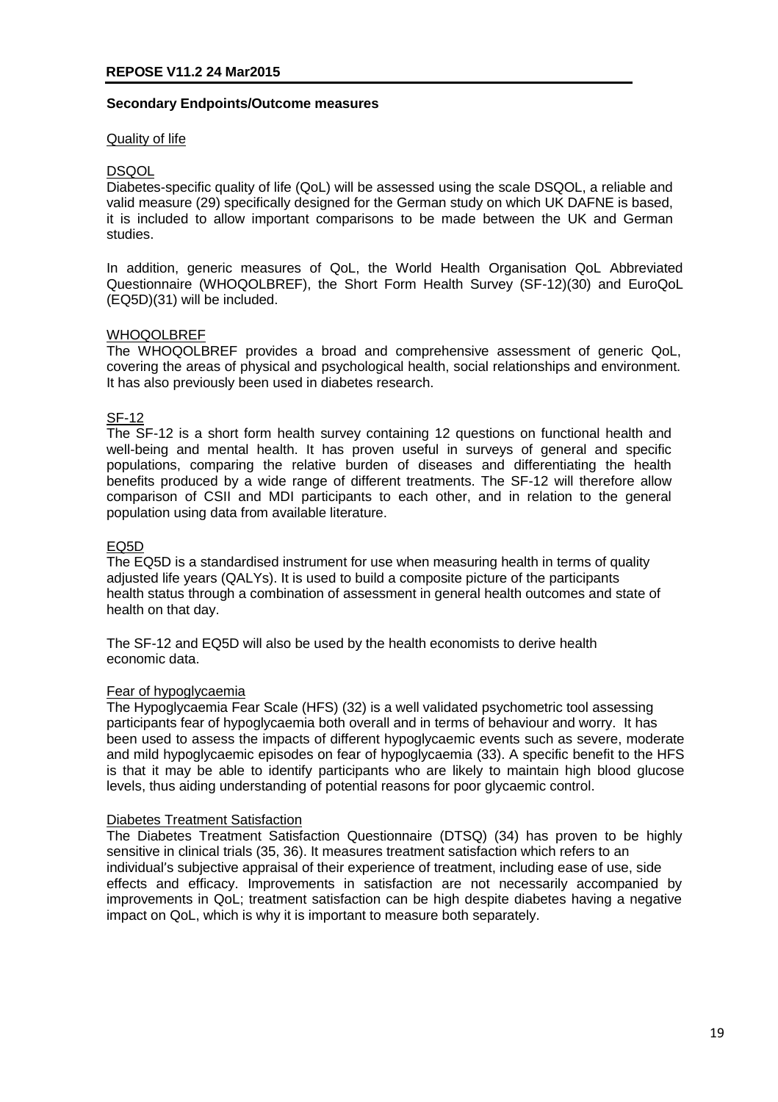#### **Secondary Endpoints/Outcome measures**

#### Quality of life

#### DSQOL

Diabetes-specific quality of life (QoL) will be assessed using the scale DSQOL, a reliable and valid measure (29) specifically designed for the German study on which UK DAFNE is based, it is included to allow important comparisons to be made between the UK and German studies.

In addition, generic measures of QoL, the World Health Organisation QoL Abbreviated Questionnaire (WHOQOLBREF), the Short Form Health Survey (SF-12)(30) and EuroQoL (EQ5D)(31) will be included.

#### WHOQOLBREF

The WHOQOLBREF provides a broad and comprehensive assessment of generic QoL, covering the areas of physical and psychological health, social relationships and environment. It has also previously been used in diabetes research.

## SF-12

The SF-12 is a short form health survey containing 12 questions on functional health and well-being and mental health. It has proven useful in surveys of general and specific populations, comparing the relative burden of diseases and differentiating the health benefits produced by a wide range of different treatments. The SF-12 will therefore allow comparison of CSII and MDI participants to each other, and in relation to the general population using data from available literature.

#### EQ5D

The EQ5D is a standardised instrument for use when measuring health in terms of quality adjusted life years (QALYs). It is used to build a composite picture of the participants health status through a combination of assessment in general health outcomes and state of health on that day.

The SF-12 and EQ5D will also be used by the health economists to derive health economic data.

#### Fear of hypoglycaemia

The Hypoglycaemia Fear Scale (HFS) (32) is a well validated psychometric tool assessing participants fear of hypoglycaemia both overall and in terms of behaviour and worry. It has been used to assess the impacts of different hypoglycaemic events such as severe, moderate and mild hypoglycaemic episodes on fear of hypoglycaemia (33). A specific benefit to the HFS is that it may be able to identify participants who are likely to maintain high blood glucose levels, thus aiding understanding of potential reasons for poor glycaemic control.

#### Diabetes Treatment Satisfaction

The Diabetes Treatment Satisfaction Questionnaire (DTSQ) (34) has proven to be highly sensitive in clinical trials (35, 36). It measures treatment satisfaction which refers to an individual's subjective appraisal of their experience of treatment, including ease of use, side effects and efficacy. Improvements in satisfaction are not necessarily accompanied by improvements in QoL; treatment satisfaction can be high despite diabetes having a negative impact on QoL, which is why it is important to measure both separately.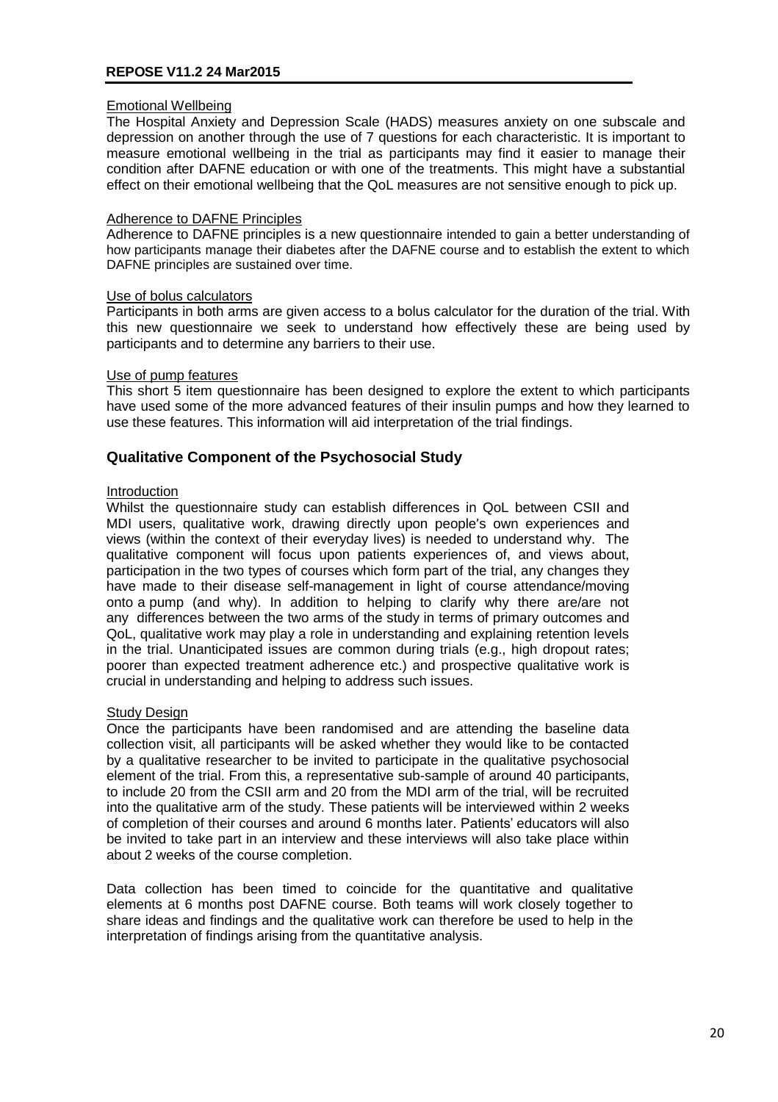#### Emotional Wellbeing

The Hospital Anxiety and Depression Scale (HADS) measures anxiety on one subscale and depression on another through the use of 7 questions for each characteristic. It is important to measure emotional wellbeing in the trial as participants may find it easier to manage their condition after DAFNE education or with one of the treatments. This might have a substantial effect on their emotional wellbeing that the QoL measures are not sensitive enough to pick up.

#### Adherence to DAFNE Principles

Adherence to DAFNE principles is a new questionnaire intended to gain a better understanding of how participants manage their diabetes after the DAFNE course and to establish the extent to which DAFNE principles are sustained over time.

#### Use of bolus calculators

Participants in both arms are given access to a bolus calculator for the duration of the trial. With this new questionnaire we seek to understand how effectively these are being used by participants and to determine any barriers to their use.

#### Use of pump features

This short 5 item questionnaire has been designed to explore the extent to which participants have used some of the more advanced features of their insulin pumps and how they learned to use these features. This information will aid interpretation of the trial findings.

## **Qualitative Component of the Psychosocial Study**

#### Introduction

Whilst the questionnaire study can establish differences in QoL between CSII and MDI users, qualitative work, drawing directly upon people's own experiences and views (within the context of their everyday lives) is needed to understand why. The qualitative component will focus upon patients experiences of, and views about, participation in the two types of courses which form part of the trial, any changes they have made to their disease self-management in light of course attendance/moving onto a pump (and why). In addition to helping to clarify why there are/are not any differences between the two arms of the study in terms of primary outcomes and QoL, qualitative work may play a role in understanding and explaining retention levels in the trial. Unanticipated issues are common during trials (e.g., high dropout rates; poorer than expected treatment adherence etc.) and prospective qualitative work is crucial in understanding and helping to address such issues.

#### Study Design

Once the participants have been randomised and are attending the baseline data collection visit, all participants will be asked whether they would like to be contacted by a qualitative researcher to be invited to participate in the qualitative psychosocial element of the trial. From this, a representative sub-sample of around 40 participants, to include 20 from the CSII arm and 20 from the MDI arm of the trial, will be recruited into the qualitative arm of the study. These patients will be interviewed within 2 weeks of completion of their courses and around 6 months later. Patients' educators will also be invited to take part in an interview and these interviews will also take place within about 2 weeks of the course completion.

Data collection has been timed to coincide for the quantitative and qualitative elements at 6 months post DAFNE course. Both teams will work closely together to share ideas and findings and the qualitative work can therefore be used to help in the interpretation of findings arising from the quantitative analysis.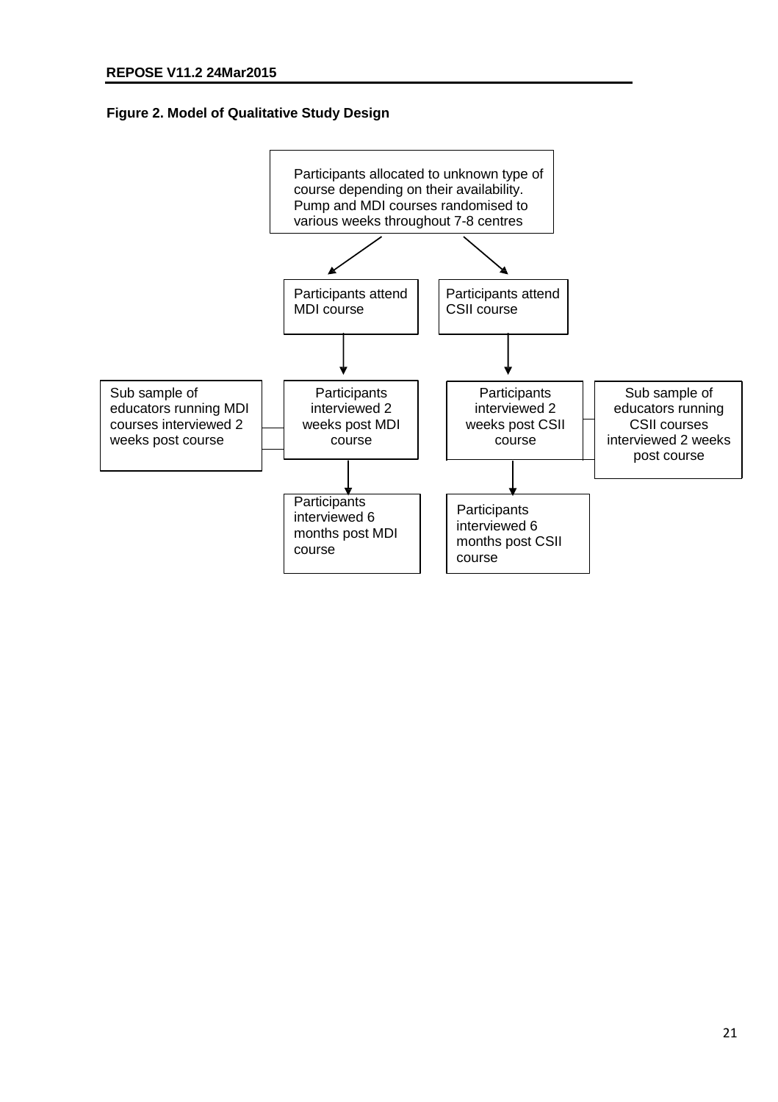## **Figure 2. Model of Qualitative Study Design**

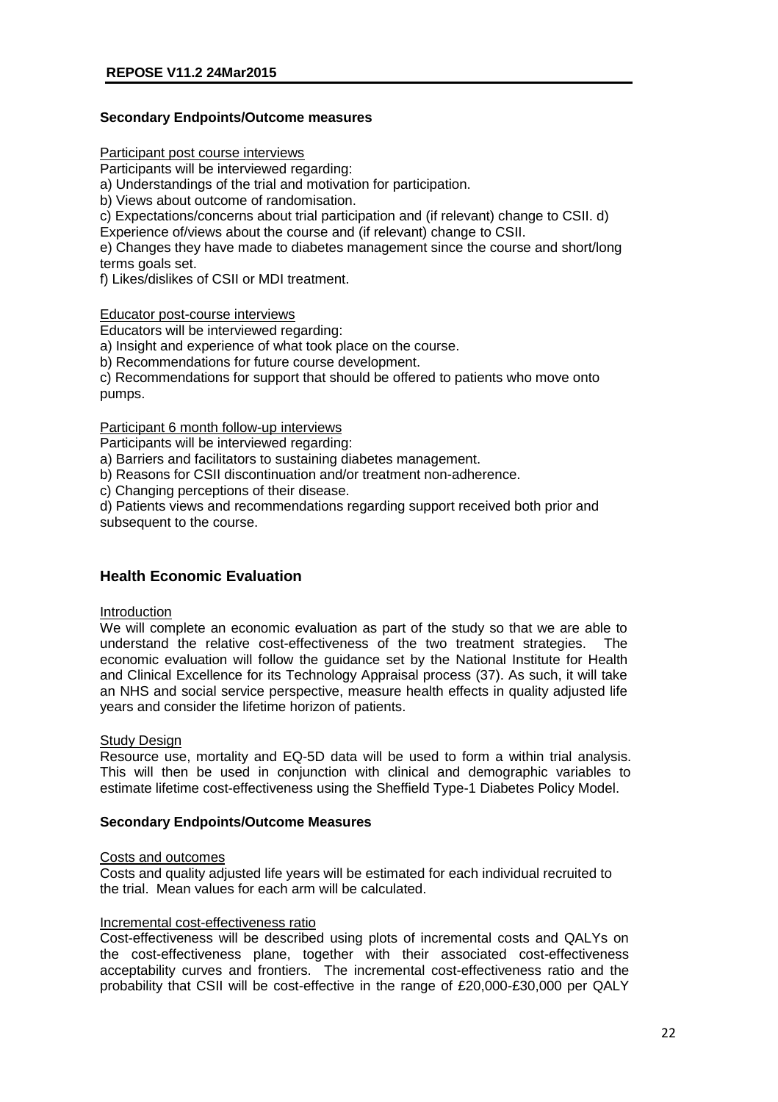## **Secondary Endpoints/Outcome measures**

Participant post course interviews

Participants will be interviewed regarding:

a) Understandings of the trial and motivation for participation.

b) Views about outcome of randomisation.

c) Expectations/concerns about trial participation and (if relevant) change to CSII. d)

Experience of/views about the course and (if relevant) change to CSII.

e) Changes they have made to diabetes management since the course and short/long terms goals set.

f) Likes/dislikes of CSII or MDI treatment.

Educator post-course interviews

Educators will be interviewed regarding:

a) Insight and experience of what took place on the course.

b) Recommendations for future course development.

c) Recommendations for support that should be offered to patients who move onto pumps.

Participant 6 month follow-up interviews

Participants will be interviewed regarding:

a) Barriers and facilitators to sustaining diabetes management.

b) Reasons for CSII discontinuation and/or treatment non-adherence.

c) Changing perceptions of their disease.

d) Patients views and recommendations regarding support received both prior and subsequent to the course.

## **Health Economic Evaluation**

#### Introduction

We will complete an economic evaluation as part of the study so that we are able to understand the relative cost-effectiveness of the two treatment strategies. The economic evaluation will follow the guidance set by the National Institute for Health and Clinical Excellence for its Technology Appraisal process (37). As such, it will take an NHS and social service perspective, measure health effects in quality adjusted life years and consider the lifetime horizon of patients.

#### Study Design

Resource use, mortality and EQ-5D data will be used to form a within trial analysis. This will then be used in conjunction with clinical and demographic variables to estimate lifetime cost-effectiveness using the Sheffield Type-1 Diabetes Policy Model.

#### **Secondary Endpoints/Outcome Measures**

#### Costs and outcomes

Costs and quality adjusted life years will be estimated for each individual recruited to the trial. Mean values for each arm will be calculated.

#### Incremental cost-effectiveness ratio

Cost-effectiveness will be described using plots of incremental costs and QALYs on the cost-effectiveness plane, together with their associated cost-effectiveness acceptability curves and frontiers. The incremental cost-effectiveness ratio and the probability that CSII will be cost-effective in the range of £20,000-£30,000 per QALY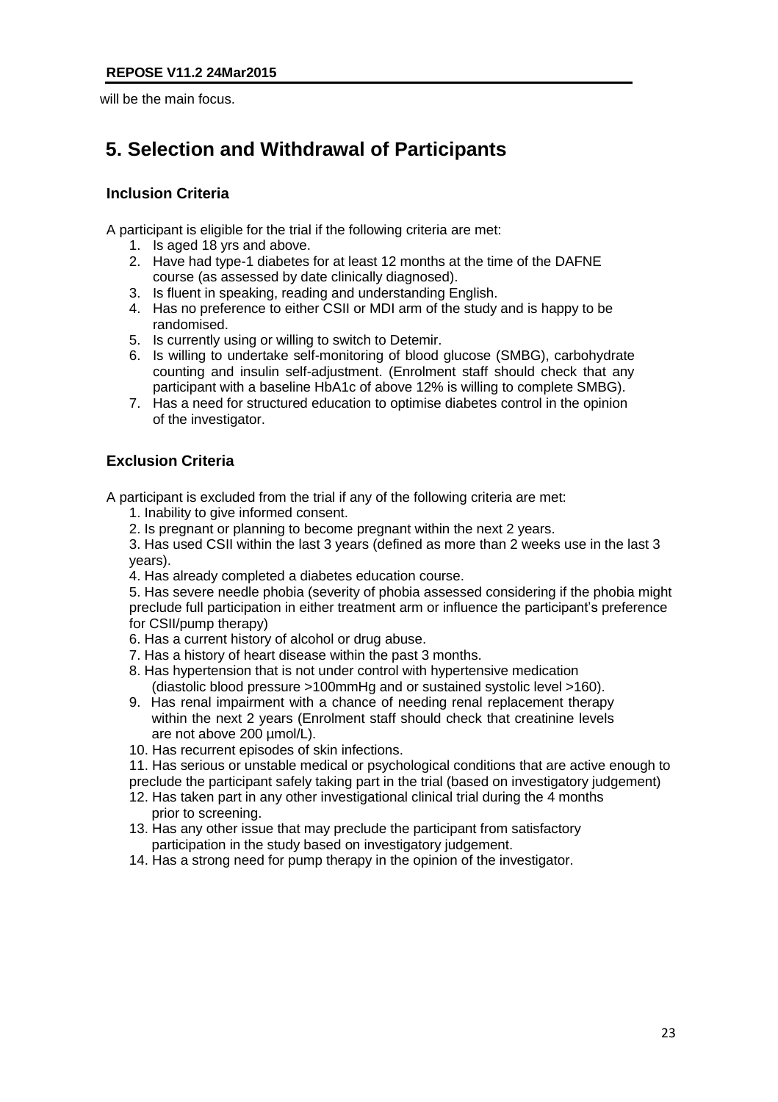will be the main focus.

# **5. Selection and Withdrawal of Participants**

## **Inclusion Criteria**

A participant is eligible for the trial if the following criteria are met:

- 1. Is aged 18 yrs and above.
- 2. Have had type-1 diabetes for at least 12 months at the time of the DAFNE course (as assessed by date clinically diagnosed).
- 3. Is fluent in speaking, reading and understanding English.
- 4. Has no preference to either CSII or MDI arm of the study and is happy to be randomised.
- 5. Is currently using or willing to switch to Detemir.
- 6. Is willing to undertake self-monitoring of blood glucose (SMBG), carbohydrate counting and insulin self-adjustment. (Enrolment staff should check that any participant with a baseline HbA1c of above 12% is willing to complete SMBG).
- 7. Has a need for structured education to optimise diabetes control in the opinion of the investigator.

## **Exclusion Criteria**

A participant is excluded from the trial if any of the following criteria are met:

- 1. Inability to give informed consent.
- 2. Is pregnant or planning to become pregnant within the next 2 years.

3. Has used CSII within the last 3 years (defined as more than 2 weeks use in the last 3 years).

4. Has already completed a diabetes education course.

5. Has severe needle phobia (severity of phobia assessed considering if the phobia might preclude full participation in either treatment arm or influence the participant's preference for CSII/pump therapy)

- 6. Has a current history of alcohol or drug abuse.
- 7. Has a history of heart disease within the past 3 months.
- 8. Has hypertension that is not under control with hypertensive medication (diastolic blood pressure >100mmHg and or sustained systolic level >160).
- 9. Has renal impairment with a chance of needing renal replacement therapy within the next 2 years (Enrolment staff should check that creatinine levels are not above 200 µmol/L).
- 10. Has recurrent episodes of skin infections.
- 11. Has serious or unstable medical or psychological conditions that are active enough to
- preclude the participant safely taking part in the trial (based on investigatory judgement)
- 12. Has taken part in any other investigational clinical trial during the 4 months prior to screening.
- 13. Has any other issue that may preclude the participant from satisfactory participation in the study based on investigatory judgement.
- 14. Has a strong need for pump therapy in the opinion of the investigator.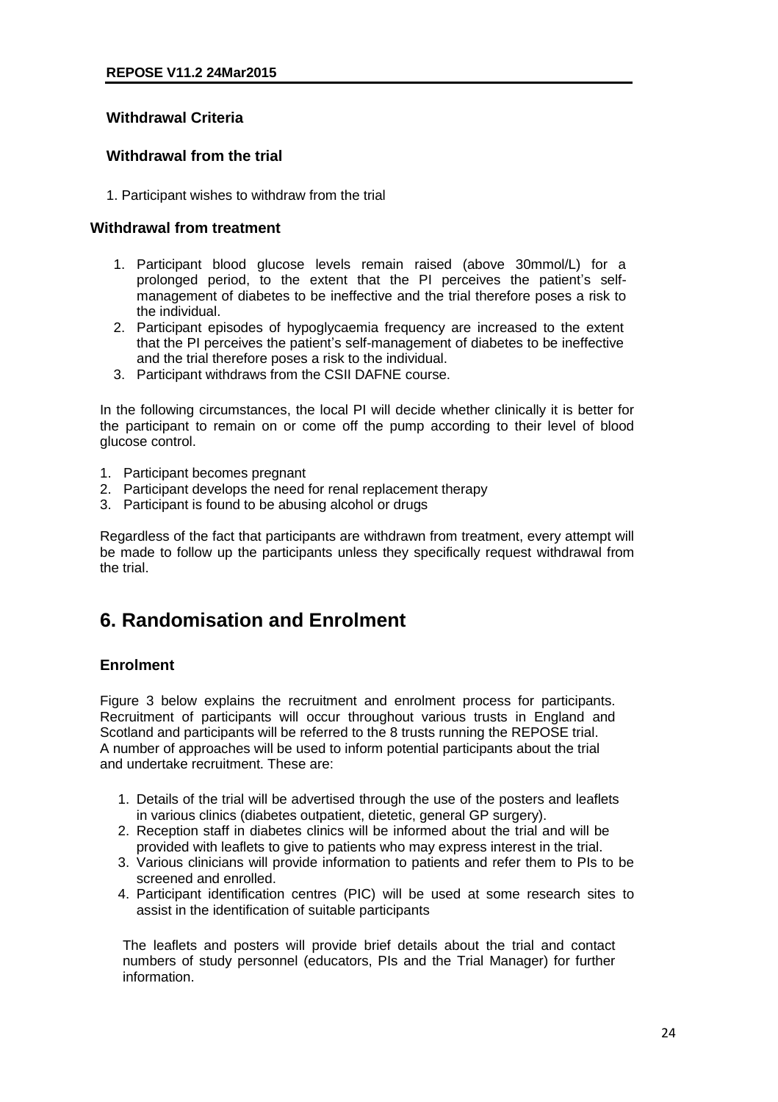## **Withdrawal Criteria**

## **Withdrawal from the trial**

1. Participant wishes to withdraw from the trial

#### **Withdrawal from treatment**

- 1. Participant blood glucose levels remain raised (above 30mmol/L) for a prolonged period, to the extent that the PI perceives the patient's selfmanagement of diabetes to be ineffective and the trial therefore poses a risk to the individual.
- 2. Participant episodes of hypoglycaemia frequency are increased to the extent that the PI perceives the patient's self-management of diabetes to be ineffective and the trial therefore poses a risk to the individual.
- 3. Participant withdraws from the CSII DAFNE course.

In the following circumstances, the local PI will decide whether clinically it is better for the participant to remain on or come off the pump according to their level of blood glucose control.

- 1. Participant becomes pregnant
- 2. Participant develops the need for renal replacement therapy
- 3. Participant is found to be abusing alcohol or drugs

Regardless of the fact that participants are withdrawn from treatment, every attempt will be made to follow up the participants unless they specifically request withdrawal from the trial.

# **6. Randomisation and Enrolment**

#### **Enrolment**

Figure 3 below explains the recruitment and enrolment process for participants. Recruitment of participants will occur throughout various trusts in England and Scotland and participants will be referred to the 8 trusts running the REPOSE trial. A number of approaches will be used to inform potential participants about the trial and undertake recruitment. These are:

- 1. Details of the trial will be advertised through the use of the posters and leaflets in various clinics (diabetes outpatient, dietetic, general GP surgery).
- 2. Reception staff in diabetes clinics will be informed about the trial and will be provided with leaflets to give to patients who may express interest in the trial.
- 3. Various clinicians will provide information to patients and refer them to PIs to be screened and enrolled.
- 4. Participant identification centres (PIC) will be used at some research sites to assist in the identification of suitable participants

The leaflets and posters will provide brief details about the trial and contact numbers of study personnel (educators, PIs and the Trial Manager) for further information.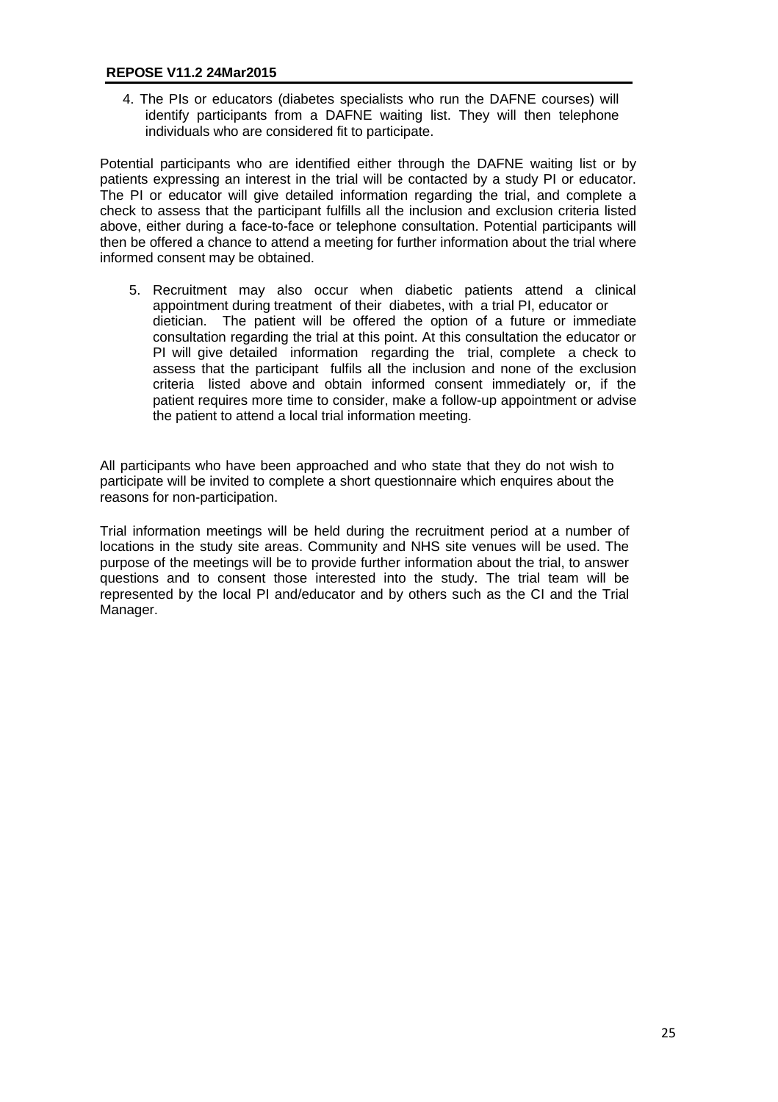4. The PIs or educators (diabetes specialists who run the DAFNE courses) will identify participants from a DAFNE waiting list. They will then telephone individuals who are considered fit to participate.

Potential participants who are identified either through the DAFNE waiting list or by patients expressing an interest in the trial will be contacted by a study PI or educator. The PI or educator will give detailed information regarding the trial, and complete a check to assess that the participant fulfills all the inclusion and exclusion criteria listed above, either during a face-to-face or telephone consultation. Potential participants will then be offered a chance to attend a meeting for further information about the trial where informed consent may be obtained.

5. Recruitment may also occur when diabetic patients attend a clinical appointment during treatment of their diabetes, with a trial PI, educator or dietician. The patient will be offered the option of a future or immediate consultation regarding the trial at this point. At this consultation the educator or PI will give detailed information regarding the trial, complete a check to assess that the participant fulfils all the inclusion and none of the exclusion criteria listed above and obtain informed consent immediately or, if the patient requires more time to consider, make a follow-up appointment or advise the patient to attend a local trial information meeting.

All participants who have been approached and who state that they do not wish to participate will be invited to complete a short questionnaire which enquires about the reasons for non-participation.

Trial information meetings will be held during the recruitment period at a number of locations in the study site areas. Community and NHS site venues will be used. The purpose of the meetings will be to provide further information about the trial, to answer questions and to consent those interested into the study. The trial team will be represented by the local PI and/educator and by others such as the CI and the Trial Manager.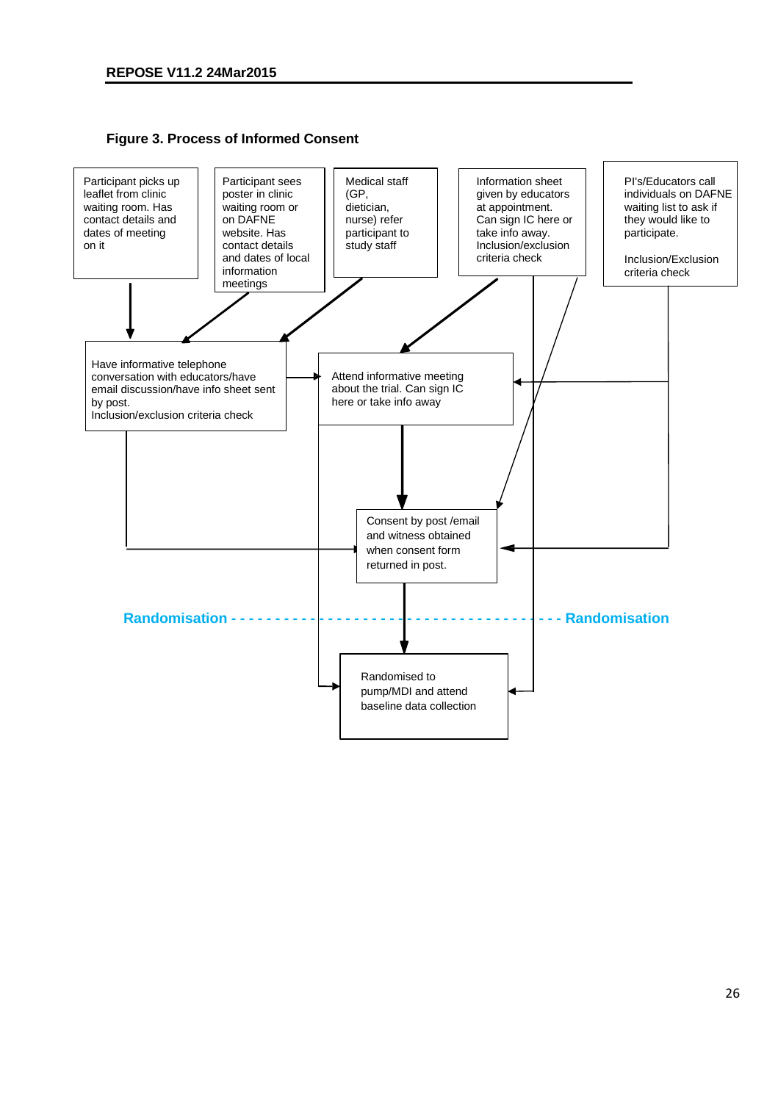

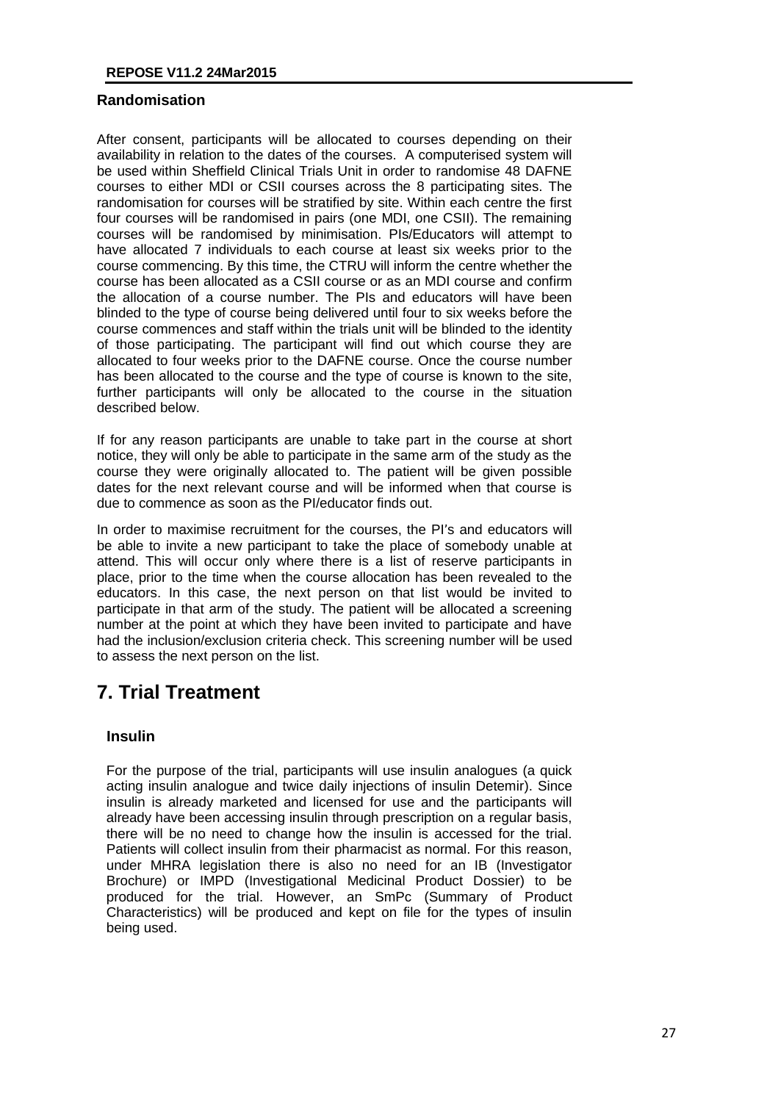## **Randomisation**

After consent, participants will be allocated to courses depending on their availability in relation to the dates of the courses. A computerised system will be used within Sheffield Clinical Trials Unit in order to randomise 48 DAFNE courses to either MDI or CSII courses across the 8 participating sites. The randomisation for courses will be stratified by site. Within each centre the first four courses will be randomised in pairs (one MDI, one CSII). The remaining courses will be randomised by minimisation. PIs/Educators will attempt to have allocated 7 individuals to each course at least six weeks prior to the course commencing. By this time, the CTRU will inform the centre whether the course has been allocated as a CSII course or as an MDI course and confirm the allocation of a course number. The PIs and educators will have been blinded to the type of course being delivered until four to six weeks before the course commences and staff within the trials unit will be blinded to the identity of those participating. The participant will find out which course they are allocated to four weeks prior to the DAFNE course. Once the course number has been allocated to the course and the type of course is known to the site, further participants will only be allocated to the course in the situation described below.

If for any reason participants are unable to take part in the course at short notice, they will only be able to participate in the same arm of the study as the course they were originally allocated to. The patient will be given possible dates for the next relevant course and will be informed when that course is due to commence as soon as the PI/educator finds out.

In order to maximise recruitment for the courses, the PI's and educators will be able to invite a new participant to take the place of somebody unable at attend. This will occur only where there is a list of reserve participants in place, prior to the time when the course allocation has been revealed to the educators. In this case, the next person on that list would be invited to participate in that arm of the study. The patient will be allocated a screening number at the point at which they have been invited to participate and have had the inclusion/exclusion criteria check. This screening number will be used to assess the next person on the list.

## **7. Trial Treatment**

## **Insulin**

For the purpose of the trial, participants will use insulin analogues (a quick acting insulin analogue and twice daily injections of insulin Detemir). Since insulin is already marketed and licensed for use and the participants will already have been accessing insulin through prescription on a regular basis, there will be no need to change how the insulin is accessed for the trial. Patients will collect insulin from their pharmacist as normal. For this reason, under MHRA legislation there is also no need for an IB (Investigator Brochure) or IMPD (Investigational Medicinal Product Dossier) to be produced for the trial. However, an SmPc (Summary of Product Characteristics) will be produced and kept on file for the types of insulin being used.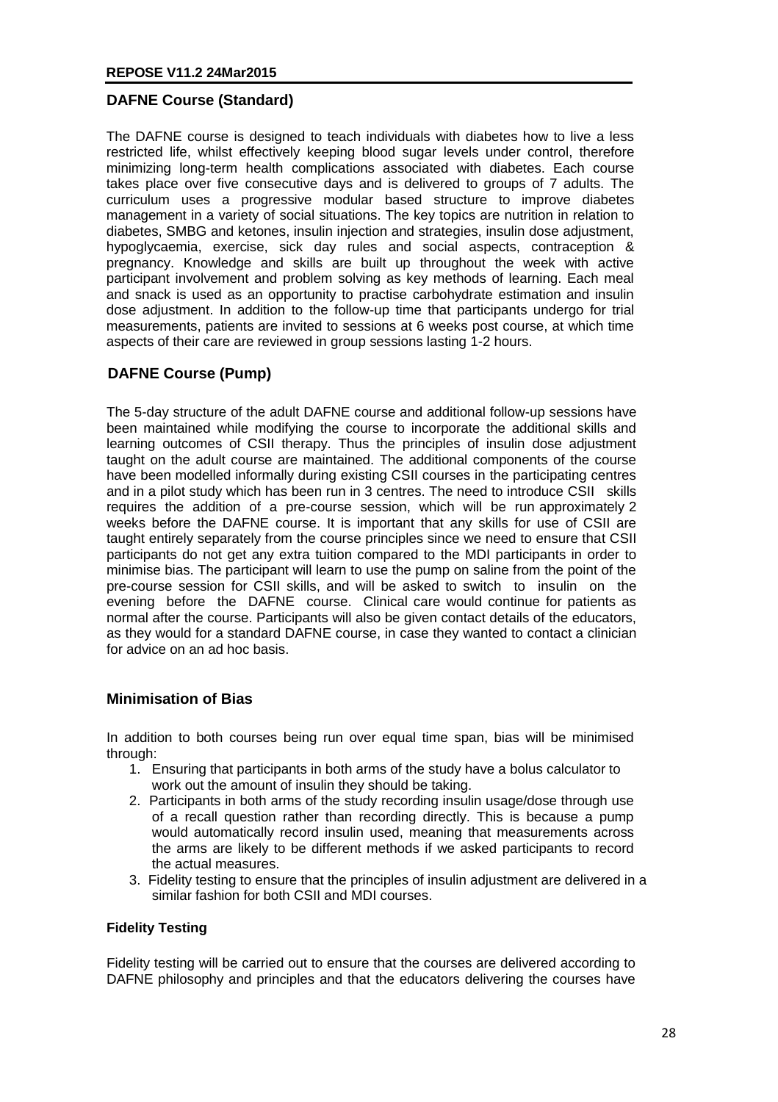## **DAFNE Course (Standard)**

The DAFNE course is designed to teach individuals with diabetes how to live a less restricted life, whilst effectively keeping blood sugar levels under control, therefore minimizing long-term health complications associated with diabetes. Each course takes place over five consecutive days and is delivered to groups of 7 adults. The curriculum uses a progressive modular based structure to improve diabetes management in a variety of social situations. The key topics are nutrition in relation to diabetes, SMBG and ketones, insulin injection and strategies, insulin dose adjustment, hypoglycaemia, exercise, sick day rules and social aspects, contraception & pregnancy. Knowledge and skills are built up throughout the week with active participant involvement and problem solving as key methods of learning. Each meal and snack is used as an opportunity to practise carbohydrate estimation and insulin dose adjustment. In addition to the follow-up time that participants undergo for trial measurements, patients are invited to sessions at 6 weeks post course, at which time aspects of their care are reviewed in group sessions lasting 1-2 hours.

## **DAFNE Course (Pump)**

The 5-day structure of the adult DAFNE course and additional follow-up sessions have been maintained while modifying the course to incorporate the additional skills and learning outcomes of CSII therapy. Thus the principles of insulin dose adjustment taught on the adult course are maintained. The additional components of the course have been modelled informally during existing CSII courses in the participating centres and in a pilot study which has been run in 3 centres. The need to introduce CSII skills requires the addition of a pre-course session, which will be run approximately 2 weeks before the DAFNE course. It is important that any skills for use of CSII are taught entirely separately from the course principles since we need to ensure that CSII participants do not get any extra tuition compared to the MDI participants in order to minimise bias. The participant will learn to use the pump on saline from the point of the pre-course session for CSII skills, and will be asked to switch to insulin on the evening before the DAFNE course. Clinical care would continue for patients as normal after the course. Participants will also be given contact details of the educators, as they would for a standard DAFNE course, in case they wanted to contact a clinician for advice on an ad hoc basis.

## **Minimisation of Bias**

In addition to both courses being run over equal time span, bias will be minimised through:

- 1. Ensuring that participants in both arms of the study have a bolus calculator to work out the amount of insulin they should be taking.
- 2. Participants in both arms of the study recording insulin usage/dose through use of a recall question rather than recording directly. This is because a pump would automatically record insulin used, meaning that measurements across the arms are likely to be different methods if we asked participants to record the actual measures.
- 3. Fidelity testing to ensure that the principles of insulin adjustment are delivered in a similar fashion for both CSII and MDI courses.

#### **Fidelity Testing**

Fidelity testing will be carried out to ensure that the courses are delivered according to DAFNE philosophy and principles and that the educators delivering the courses have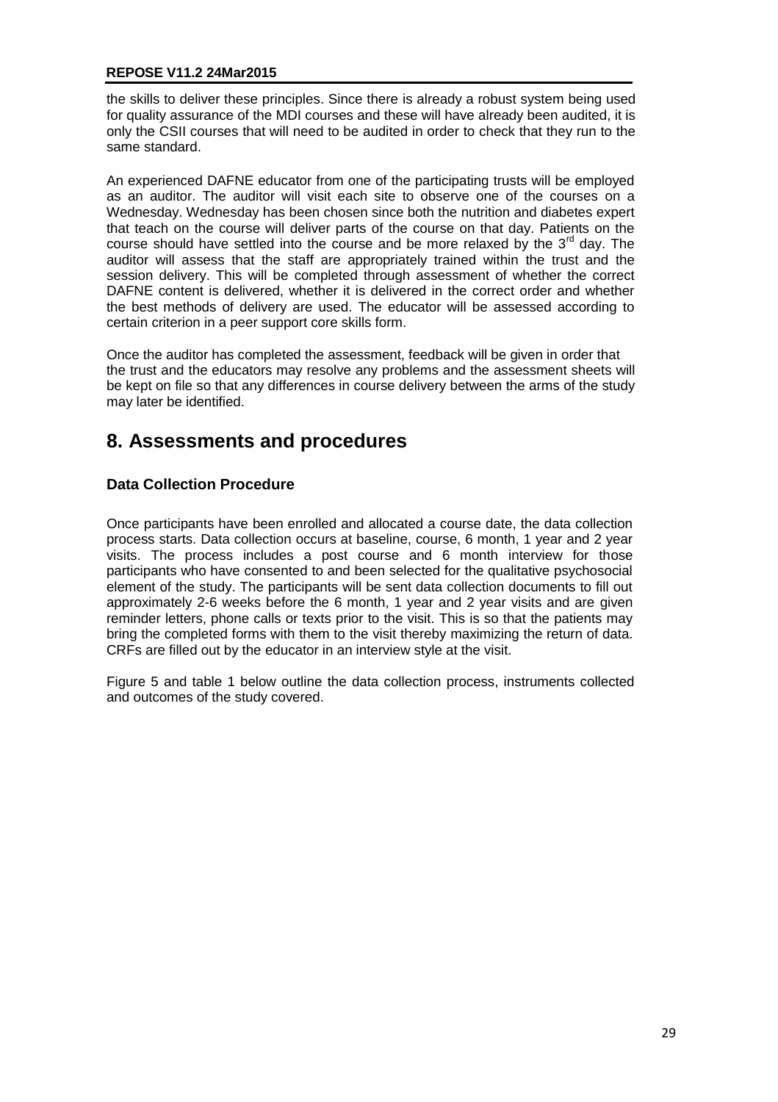the skills to deliver these principles. Since there is already a robust system being used for quality assurance of the MDI courses and these will have already been audited, it is only the CSII courses that will need to be audited in order to check that they run to the same standard.

An experienced DAFNE educator from one of the participating trusts will be employed as an auditor. The auditor will visit each site to observe one of the courses on a Wednesday. Wednesday has been chosen since both the nutrition and diabetes expert that teach on the course will deliver parts of the course on that day. Patients on the course should have settled into the course and be more relaxed by the  $3<sup>rd</sup>$  day. The auditor will assess that the staff are appropriately trained within the trust and the session delivery. This will be completed through assessment of whether the correct DAFNE content is delivered, whether it is delivered in the correct order and whether the best methods of delivery are used. The educator will be assessed according to certain criterion in a peer support core skills form.

Once the auditor has completed the assessment, feedback will be given in order that the trust and the educators may resolve any problems and the assessment sheets will be kept on file so that any differences in course delivery between the arms of the study may later be identified.

## **8. Assessments and procedures**

## **Data Collection Procedure**

Once participants have been enrolled and allocated a course date, the data collection process starts. Data collection occurs at baseline, course, 6 month, 1 year and 2 year visits. The process includes a post course and 6 month interview for those participants who have consented to and been selected for the qualitative psychosocial element of the study. The participants will be sent data collection documents to fill out approximately 2-6 weeks before the 6 month, 1 year and 2 year visits and are given reminder letters, phone calls or texts prior to the visit. This is so that the patients may bring the completed forms with them to the visit thereby maximizing the return of data. CRFs are filled out by the educator in an interview style at the visit.

Figure 5 and table 1 below outline the data collection process, instruments collected and outcomes of the study covered.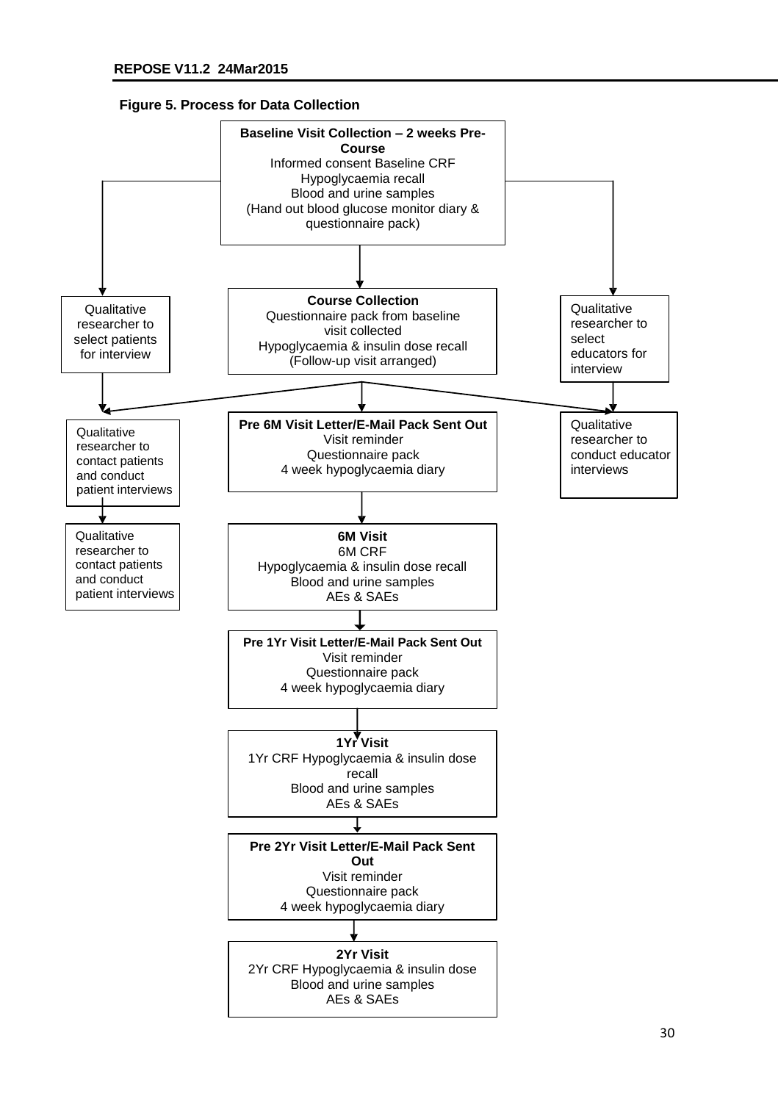

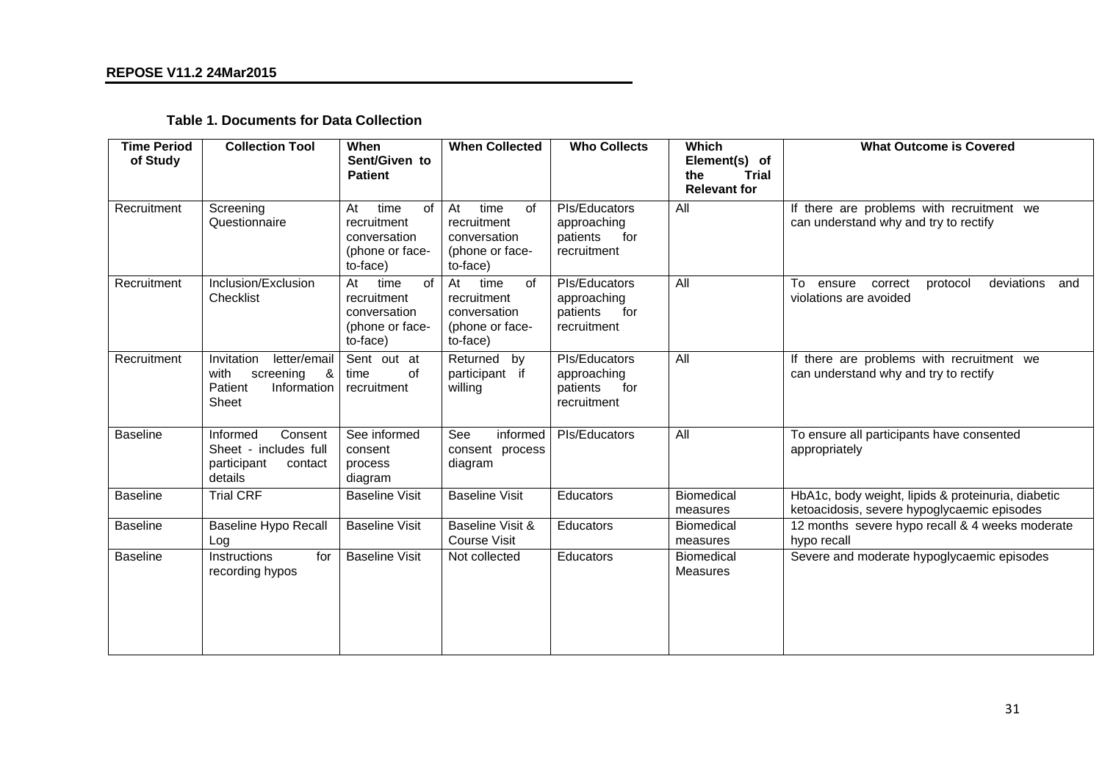## **Table 1. Documents for Data Collection**

| <b>Time Period</b><br>of Study | <b>Collection Tool</b>                                                                    | When<br>Sent/Given to<br><b>Patient</b>                                        | <b>When Collected</b>                                                          | <b>Who Collects</b>                                            | Which<br>Element(s) of<br>Trial<br>the<br><b>Relevant for</b> | <b>What Outcome is Covered</b>                                                                    |
|--------------------------------|-------------------------------------------------------------------------------------------|--------------------------------------------------------------------------------|--------------------------------------------------------------------------------|----------------------------------------------------------------|---------------------------------------------------------------|---------------------------------------------------------------------------------------------------|
| Recruitment                    | Screening<br>Questionnaire                                                                | time<br>At<br>0f<br>recruitment<br>conversation<br>(phone or face-<br>to-face) | At<br>time<br>of<br>recruitment<br>conversation<br>(phone or face-<br>to-face) | PIs/Educators<br>approaching<br>patients<br>for<br>recruitment | All                                                           | If there are problems with recruitment we<br>can understand why and try to rectify                |
| Recruitment                    | Inclusion/Exclusion<br>Checklist                                                          | time<br>of<br>At<br>recruitment<br>conversation<br>(phone or face-<br>to-face) | time<br>At<br>of<br>recruitment<br>conversation<br>(phone or face-<br>to-face) | PIs/Educators<br>approaching<br>patients<br>for<br>recruitment | All                                                           | deviations and<br>ensure<br>correct<br>protocol<br>To<br>violations are avoided                   |
| Recruitment                    | Invitation<br>letter/email<br>- &<br>with<br>screening<br>Patient<br>Information<br>Sheet | Sent out at<br>of<br>time<br>recruitment                                       | Returned<br>by<br>participant if<br>willing                                    | PIs/Educators<br>approaching<br>patients<br>for<br>recruitment | All                                                           | If there are problems with recruitment we<br>can understand why and try to rectify                |
| <b>Baseline</b>                | Informed<br>Consent<br>Sheet - includes full<br>participant<br>contact<br>details         | See informed<br>consent<br>process<br>diagram                                  | informed<br>See<br>consent process<br>diagram                                  | PIs/Educators                                                  | All                                                           | To ensure all participants have consented<br>appropriately                                        |
| <b>Baseline</b>                | <b>Trial CRF</b>                                                                          | <b>Baseline Visit</b>                                                          | <b>Baseline Visit</b>                                                          | Educators                                                      | <b>Biomedical</b><br>measures                                 | HbA1c, body weight, lipids & proteinuria, diabetic<br>ketoacidosis, severe hypoglycaemic episodes |
| <b>Baseline</b>                | <b>Baseline Hypo Recall</b><br>Log                                                        | <b>Baseline Visit</b>                                                          | Baseline Visit &<br><b>Course Visit</b>                                        | Educators                                                      | <b>Biomedical</b><br>measures                                 | 12 months severe hypo recall & 4 weeks moderate<br>hypo recall                                    |
| <b>Baseline</b>                | Instructions<br>for<br>recording hypos                                                    | <b>Baseline Visit</b>                                                          | Not collected                                                                  | Educators                                                      | <b>Biomedical</b><br><b>Measures</b>                          | Severe and moderate hypoglycaemic episodes                                                        |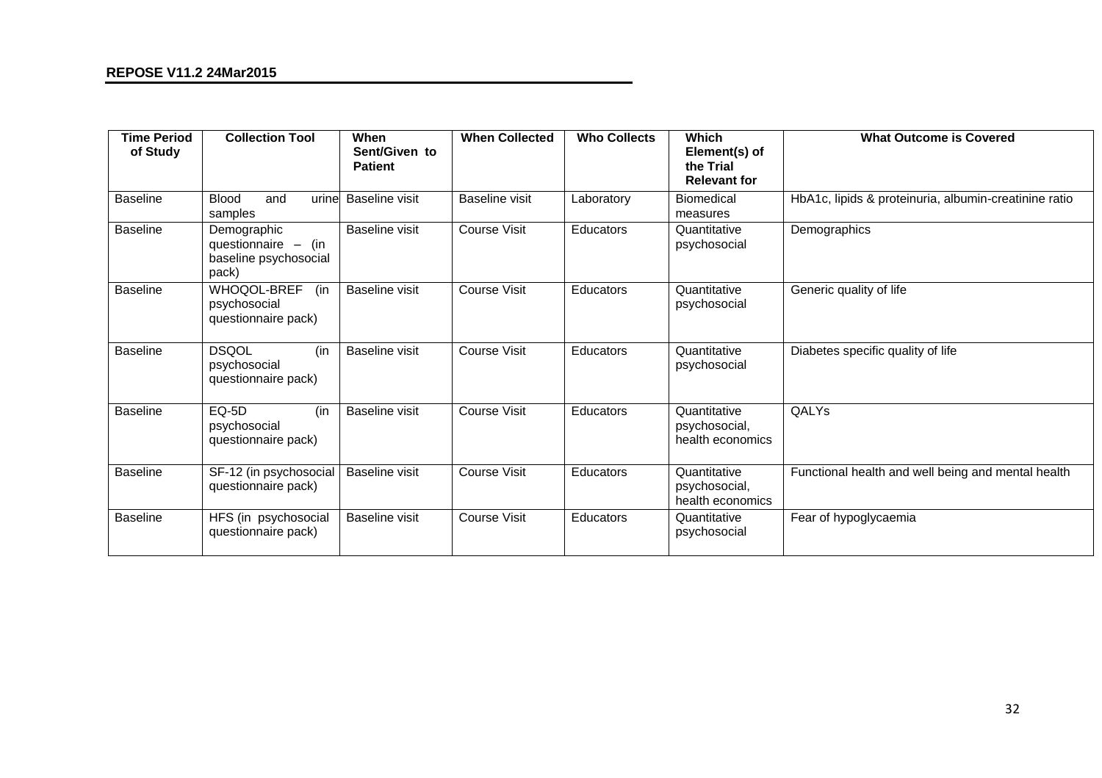| <b>Time Period</b><br>of Study | <b>Collection Tool</b>                                               | <b>When</b><br>Sent/Given to<br><b>Patient</b> | <b>When Collected</b> | <b>Who Collects</b> | <b>Which</b><br>Element(s) of<br>the Trial<br><b>Relevant for</b> | <b>What Outcome is Covered</b>                        |
|--------------------------------|----------------------------------------------------------------------|------------------------------------------------|-----------------------|---------------------|-------------------------------------------------------------------|-------------------------------------------------------|
| <b>Baseline</b>                | <b>Blood</b><br>and<br>urinel<br>samples                             | <b>Baseline visit</b>                          | <b>Baseline visit</b> | Laboratory          | <b>Biomedical</b><br>measures                                     | HbA1c, lipids & proteinuria, albumin-creatinine ratio |
| <b>Baseline</b>                | Demographic<br>questionnaire - (in<br>baseline psychosocial<br>pack) | Baseline visit                                 | Course Visit          | Educators           | Quantitative<br>psychosocial                                      | Demographics                                          |
| <b>Baseline</b>                | WHOQOL-BREF<br>(in<br>psychosocial<br>questionnaire pack)            | Baseline visit                                 | Course Visit          | Educators           | Quantitative<br>psychosocial                                      | Generic quality of life                               |
| <b>Baseline</b>                | <b>DSQOL</b><br>(in<br>psychosocial<br>questionnaire pack)           | Baseline visit                                 | Course Visit          | Educators           | Quantitative<br>psychosocial                                      | Diabetes specific quality of life                     |
| <b>Baseline</b>                | EQ-5D<br>(in<br>psychosocial<br>questionnaire pack)                  | <b>Baseline visit</b>                          | <b>Course Visit</b>   | <b>Educators</b>    | Quantitative<br>psychosocial,<br>health economics                 | QALYs                                                 |
| <b>Baseline</b>                | SF-12 (in psychosocial<br>questionnaire pack)                        | <b>Baseline visit</b>                          | <b>Course Visit</b>   | <b>Educators</b>    | Quantitative<br>psychosocial,<br>health economics                 | Functional health and well being and mental health    |
| <b>Baseline</b>                | HFS (in psychosocial<br>questionnaire pack)                          | Baseline visit                                 | <b>Course Visit</b>   | <b>Educators</b>    | Quantitative<br>psychosocial                                      | Fear of hypoglycaemia                                 |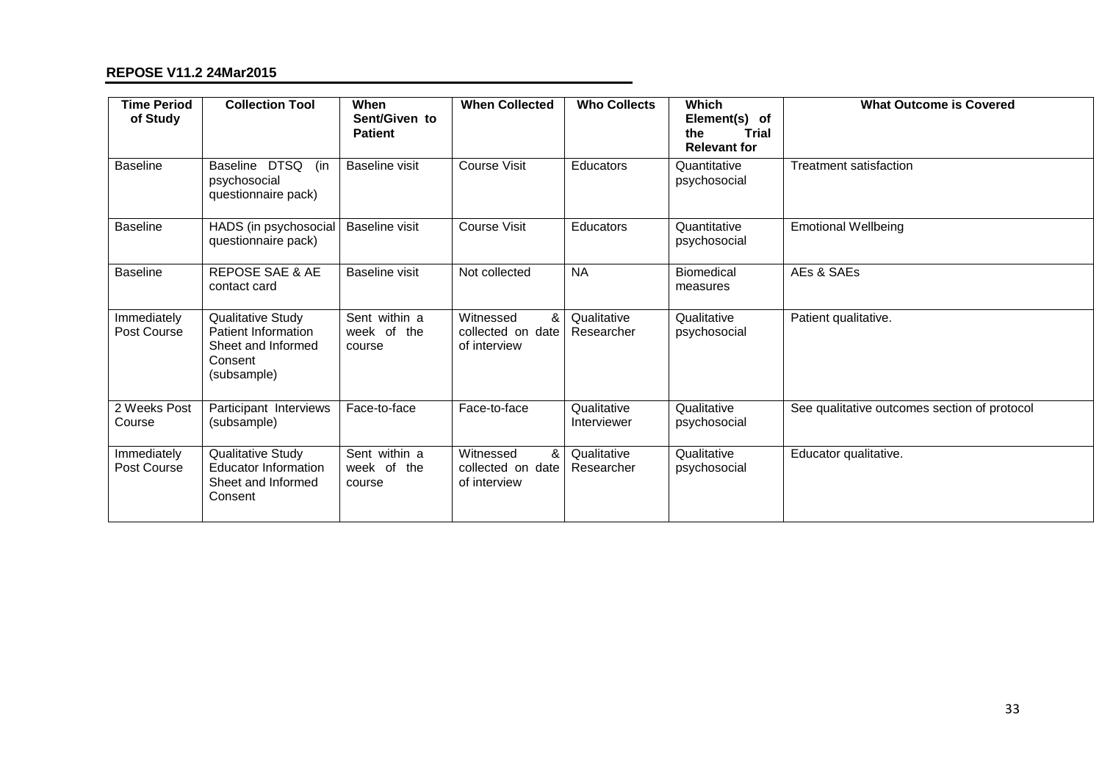| <b>Time Period</b><br>of Study | <b>Collection Tool</b>                                                                          | When<br>Sent/Given to<br><b>Patient</b> | <b>When Collected</b>                               | <b>Who Collects</b>                              | <b>Which</b><br>Element(s) of<br><b>Trial</b><br>the<br><b>Relevant for</b> | <b>What Outcome is Covered</b>               |
|--------------------------------|-------------------------------------------------------------------------------------------------|-----------------------------------------|-----------------------------------------------------|--------------------------------------------------|-----------------------------------------------------------------------------|----------------------------------------------|
| <b>Baseline</b>                | Baseline DTSQ<br>(in<br>psychosocial<br>questionnaire pack)                                     | Baseline visit                          | <b>Course Visit</b>                                 | <b>Educators</b>                                 | Quantitative<br>psychosocial                                                | <b>Treatment satisfaction</b>                |
| <b>Baseline</b>                | HADS (in psychosocial<br>questionnaire pack)                                                    | <b>Baseline visit</b>                   | Course Visit                                        | <b>Educators</b><br>Quantitative<br>psychosocial |                                                                             | <b>Emotional Wellbeing</b>                   |
| <b>Baseline</b>                | <b>REPOSE SAE &amp; AE</b><br>contact card                                                      | <b>Baseline visit</b>                   | Not collected                                       | <b>NA</b>                                        | Biomedical<br>measures                                                      | AEs & SAEs                                   |
| Immediately<br>Post Course     | <b>Qualitative Study</b><br>Patient Information<br>Sheet and Informed<br>Consent<br>(subsample) | Sent within a<br>week of the<br>course  | Witnessed<br>&<br>collected on date<br>of interview | Qualitative<br>Researcher                        | Qualitative<br>psychosocial                                                 | Patient qualitative.                         |
| 2 Weeks Post<br>Course         | Participant Interviews<br>(subsample)                                                           | Face-to-face                            | Face-to-face                                        | Qualitative<br>Interviewer                       | Qualitative<br>psychosocial                                                 | See qualitative outcomes section of protocol |
| Immediately<br>Post Course     | <b>Qualitative Study</b><br><b>Educator Information</b><br>Sheet and Informed<br>Consent        | Sent within a<br>week of the<br>course  | Witnessed<br>&<br>collected on date<br>of interview | Qualitative<br>Researcher                        | Qualitative<br>psychosocial                                                 | Educator qualitative.                        |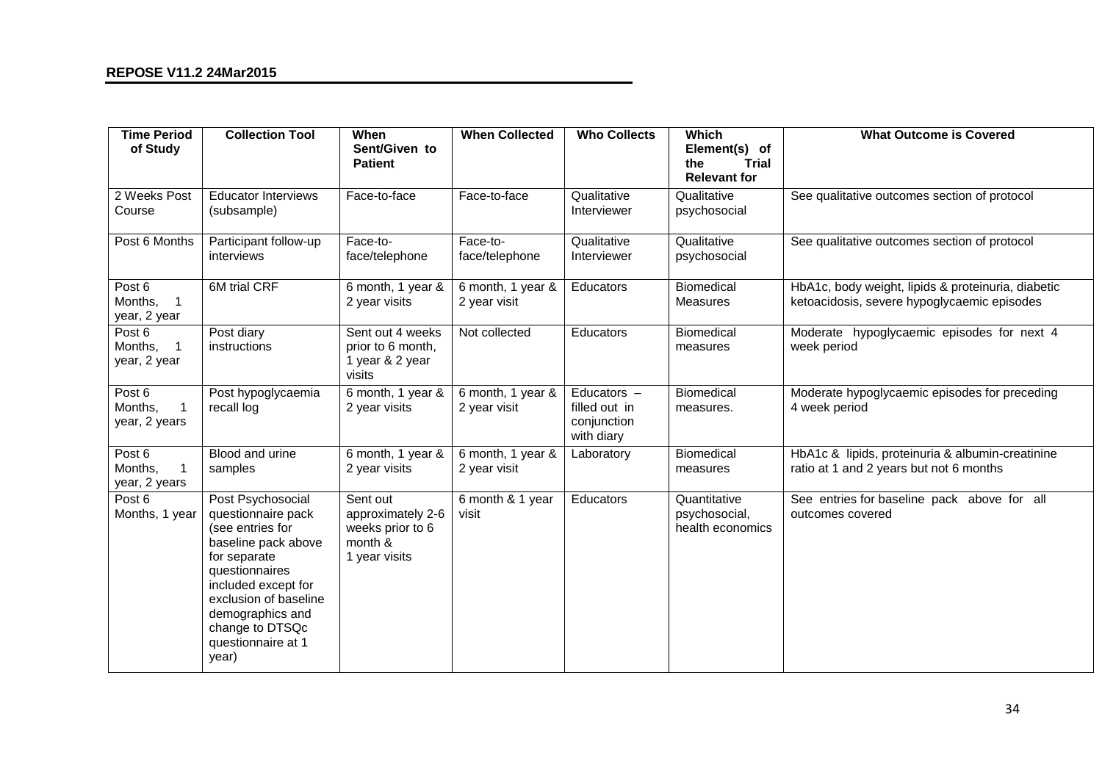| <b>Time Period</b><br>of Study                   | <b>Collection Tool</b>                                                                                                                                                                                                                     | When<br>Sent/Given to<br><b>Patient</b>                                       | <b>When Collected</b>             | <b>Who Collects</b>                                         | Which<br>Element(s) of<br><b>Trial</b><br>the<br><b>Relevant for</b> | <b>What Outcome is Covered</b>                                                                    |
|--------------------------------------------------|--------------------------------------------------------------------------------------------------------------------------------------------------------------------------------------------------------------------------------------------|-------------------------------------------------------------------------------|-----------------------------------|-------------------------------------------------------------|----------------------------------------------------------------------|---------------------------------------------------------------------------------------------------|
| 2 Weeks Post<br>Course                           | <b>Educator Interviews</b><br>(subsample)                                                                                                                                                                                                  | Face-to-face                                                                  | Face-to-face                      | Qualitative<br>Qualitative<br>Interviewer<br>psychosocial   |                                                                      | See qualitative outcomes section of protocol                                                      |
| Post 6 Months                                    | Participant follow-up<br>interviews                                                                                                                                                                                                        | Face-to-<br>face/telephone                                                    | Face-to-<br>face/telephone        | Qualitative<br>Interviewer                                  | Qualitative<br>psychosocial                                          | See qualitative outcomes section of protocol                                                      |
| Post 6<br>Months,<br>$\mathbf 1$<br>year, 2 year | 6M trial CRF                                                                                                                                                                                                                               | 6 month, 1 year &<br>2 year visits                                            | 6 month, 1 year &<br>2 year visit | Educators<br><b>Biomedical</b><br>Measures                  |                                                                      | HbA1c, body weight, lipids & proteinuria, diabetic<br>ketoacidosis, severe hypoglycaemic episodes |
| Post 6<br>Months,<br>$\mathbf 1$<br>year, 2 year | Post diary<br>instructions                                                                                                                                                                                                                 | Sent out 4 weeks<br>prior to 6 month,<br>1 year & 2 year<br>visits            | Not collected                     | Educators                                                   | <b>Biomedical</b><br>measures                                        | Moderate hypoglycaemic episodes for next 4<br>week period                                         |
| Post 6<br>Months,<br>year, 2 years               | Post hypoglycaemia<br>recall log                                                                                                                                                                                                           | 6 month, 1 year &<br>2 year visits                                            | 6 month, 1 year &<br>2 year visit | Educators $-$<br>filled out in<br>conjunction<br>with diary | <b>Biomedical</b><br>measures.                                       | Moderate hypoglycaemic episodes for preceding<br>4 week period                                    |
| Post 6<br>Months,<br>year, 2 years               | Blood and urine<br>samples                                                                                                                                                                                                                 | 6 month, 1 year &<br>2 year visits                                            | 6 month, 1 year &<br>2 year visit | Laboratory                                                  | Biomedical<br>measures                                               | HbA1c & lipids, proteinuria & albumin-creatinine<br>ratio at 1 and 2 years but not 6 months       |
| Post 6<br>Months, 1 year                         | Post Psychosocial<br>questionnaire pack<br>(see entries for<br>baseline pack above<br>for separate<br>questionnaires<br>included except for<br>exclusion of baseline<br>demographics and<br>change to DTSQc<br>questionnaire at 1<br>year) | Sent out<br>approximately 2-6<br>weeks prior to 6<br>month &<br>1 year visits | 6 month & 1 year<br>visit         | Educators                                                   | Quantitative<br>psychosocial,<br>health economics                    | See entries for baseline pack above for all<br>outcomes covered                                   |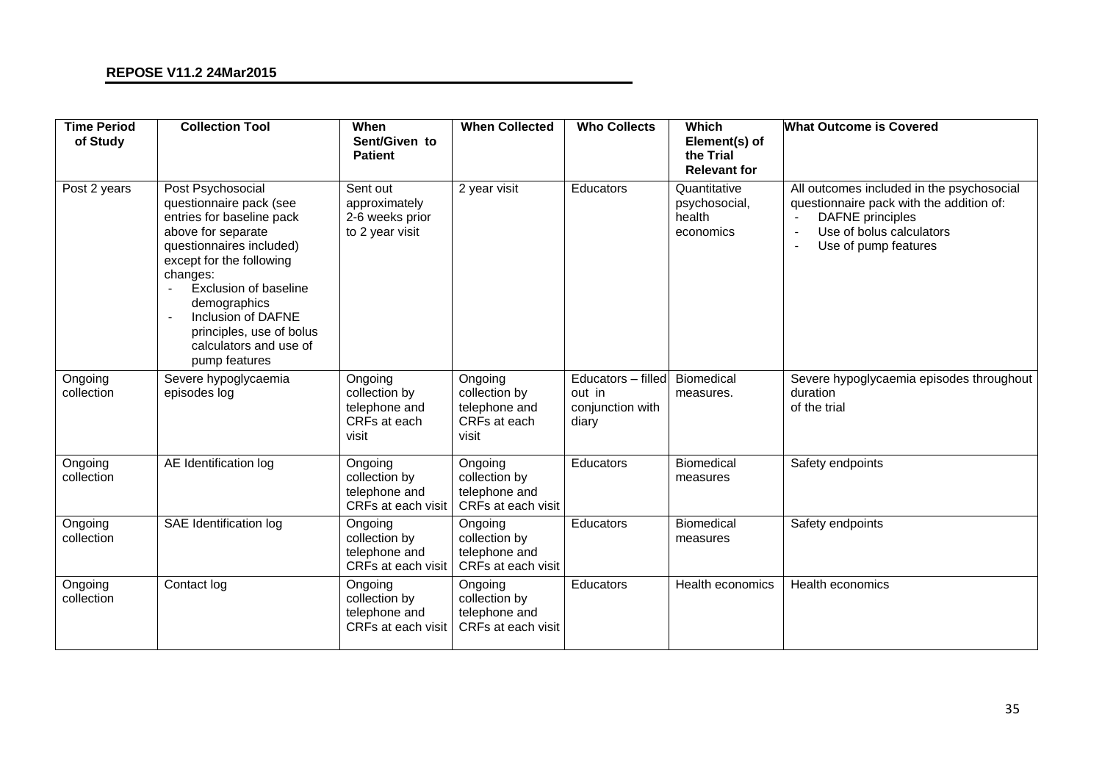| <b>Time Period</b><br>of Study | <b>Collection Tool</b>                                                                                                                                                                                                                                                                                    | <b>When</b><br>Sent/Given to<br><b>Patient</b>                     | <b>When Collected</b>                                              | <b>Who Collects</b>                                       | Which<br>Element(s) of<br>the Trial<br><b>Relevant for</b> | <b>What Outcome is Covered</b>                                                                                                                                                         |
|--------------------------------|-----------------------------------------------------------------------------------------------------------------------------------------------------------------------------------------------------------------------------------------------------------------------------------------------------------|--------------------------------------------------------------------|--------------------------------------------------------------------|-----------------------------------------------------------|------------------------------------------------------------|----------------------------------------------------------------------------------------------------------------------------------------------------------------------------------------|
| Post 2 years                   | Post Psychosocial<br>questionnaire pack (see<br>entries for baseline pack<br>above for separate<br>questionnaires included)<br>except for the following<br>changes:<br>Exclusion of baseline<br>demographics<br>Inclusion of DAFNE<br>principles, use of bolus<br>calculators and use of<br>pump features | Sent out<br>approximately<br>2-6 weeks prior<br>to 2 year visit    | 2 year visit                                                       | Educators                                                 | Quantitative<br>psychosocial,<br>health<br>economics       | All outcomes included in the psychosocial<br>questionnaire pack with the addition of:<br><b>DAFNE</b> principles<br>Use of bolus calculators<br>$\blacksquare$<br>Use of pump features |
| Ongoing<br>collection          | Severe hypoglycaemia<br>episodes log                                                                                                                                                                                                                                                                      | Ongoing<br>collection by<br>telephone and<br>CRFs at each<br>visit | Ongoing<br>collection by<br>telephone and<br>CRFs at each<br>visit | Educators - filled<br>out in<br>conjunction with<br>diary | <b>Biomedical</b><br>measures.                             | Severe hypoglycaemia episodes throughout<br>duration<br>of the trial                                                                                                                   |
| Ongoing<br>collection          | AE Identification log                                                                                                                                                                                                                                                                                     | Ongoing<br>collection by<br>telephone and<br>CRFs at each visit    | Ongoing<br>collection by<br>telephone and<br>CRFs at each visit    | <b>Educators</b>                                          | <b>Biomedical</b><br>measures                              | Safety endpoints                                                                                                                                                                       |
| Ongoing<br>collection          | SAE Identification log                                                                                                                                                                                                                                                                                    | Ongoing<br>collection by<br>telephone and<br>CRFs at each visit    | Ongoing<br>collection by<br>telephone and<br>CRFs at each visit    | <b>Educators</b>                                          | <b>Biomedical</b><br>measures                              | Safety endpoints                                                                                                                                                                       |
| Ongoing<br>collection          | Contact log                                                                                                                                                                                                                                                                                               | Ongoing<br>collection by<br>telephone and<br>CRFs at each visit    | Ongoing<br>collection by<br>telephone and<br>CRFs at each visit    | Educators                                                 | Health economics                                           | Health economics                                                                                                                                                                       |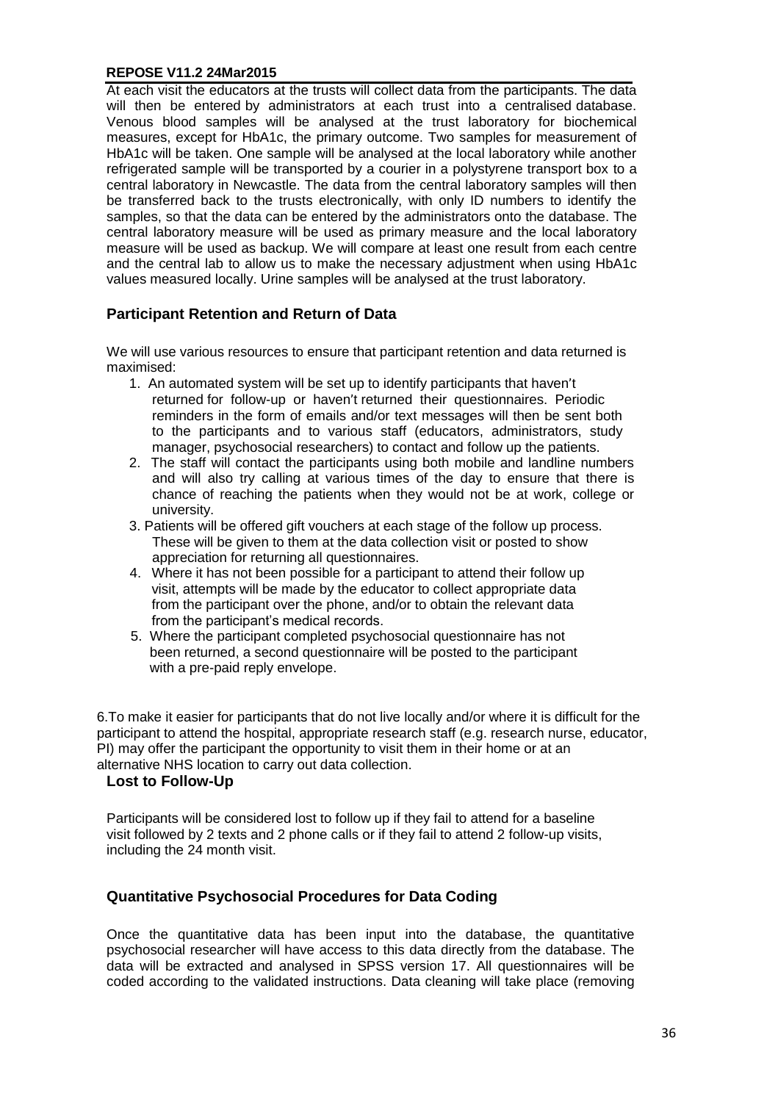At each visit the educators at the trusts will collect data from the participants. The data will then be entered by administrators at each trust into a centralised database. Venous blood samples will be analysed at the trust laboratory for biochemical measures, except for HbA1c, the primary outcome. Two samples for measurement of HbA1c will be taken. One sample will be analysed at the local laboratory while another refrigerated sample will be transported by a courier in a polystyrene transport box to a central laboratory in Newcastle. The data from the central laboratory samples will then be transferred back to the trusts electronically, with only ID numbers to identify the samples, so that the data can be entered by the administrators onto the database. The central laboratory measure will be used as primary measure and the local laboratory measure will be used as backup. We will compare at least one result from each centre and the central lab to allow us to make the necessary adjustment when using HbA1c values measured locally. Urine samples will be analysed at the trust laboratory.

## **Participant Retention and Return of Data**

We will use various resources to ensure that participant retention and data returned is maximised:

- 1. An automated system will be set up to identify participants that haven't returned for follow-up or haven't returned their questionnaires. Periodic reminders in the form of emails and/or text messages will then be sent both to the participants and to various staff (educators, administrators, study manager, psychosocial researchers) to contact and follow up the patients.
- 2. The staff will contact the participants using both mobile and landline numbers and will also try calling at various times of the day to ensure that there is chance of reaching the patients when they would not be at work, college or university.
- 3. Patients will be offered gift vouchers at each stage of the follow up process. These will be given to them at the data collection visit or posted to show appreciation for returning all questionnaires.
- 4. Where it has not been possible for a participant to attend their follow up visit, attempts will be made by the educator to collect appropriate data from the participant over the phone, and/or to obtain the relevant data from the participant's medical records.
- 5. Where the participant completed psychosocial questionnaire has not been returned, a second questionnaire will be posted to the participant with a pre-paid reply envelope.

6.To make it easier for participants that do not live locally and/or where it is difficult for the participant to attend the hospital, appropriate research staff (e.g. research nurse, educator, PI) may offer the participant the opportunity to visit them in their home or at an alternative NHS location to carry out data collection.

#### **Lost to Follow-Up**

Participants will be considered lost to follow up if they fail to attend for a baseline visit followed by 2 texts and 2 phone calls or if they fail to attend 2 follow-up visits, including the 24 month visit.

## **Quantitative Psychosocial Procedures for Data Coding**

Once the quantitative data has been input into the database, the quantitative psychosocial researcher will have access to this data directly from the database. The data will be extracted and analysed in SPSS version 17. All questionnaires will be coded according to the validated instructions. Data cleaning will take place (removing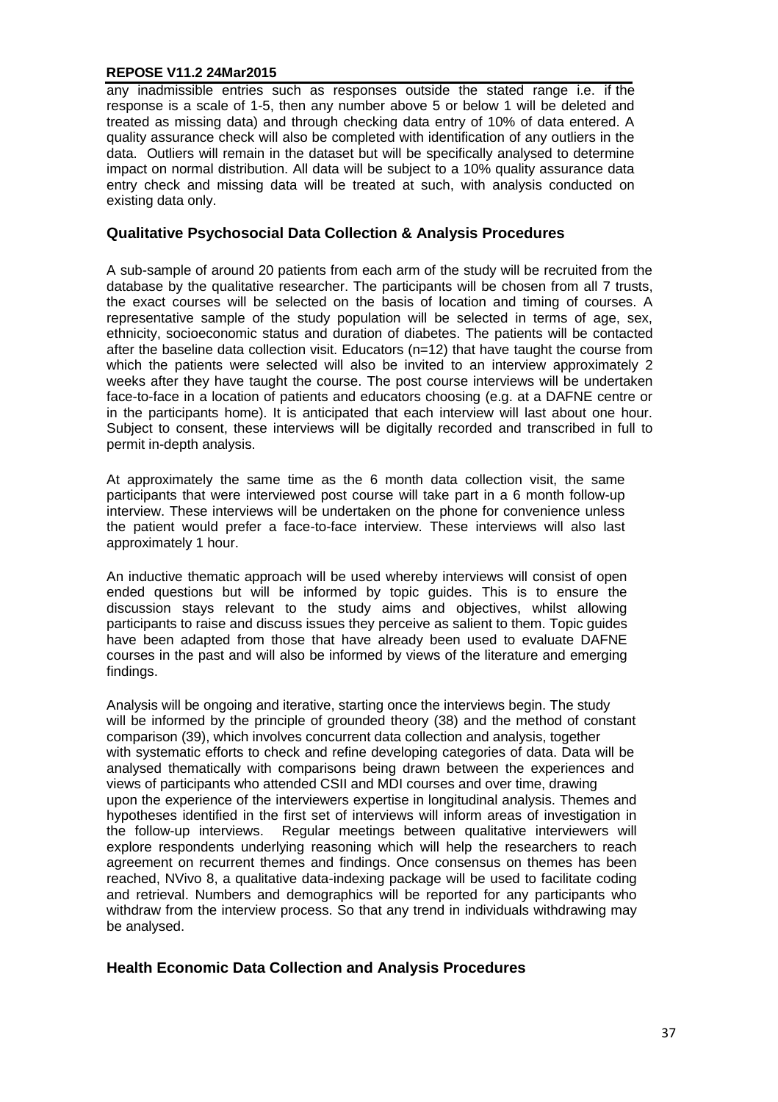any inadmissible entries such as responses outside the stated range i.e. if the response is a scale of 1-5, then any number above 5 or below 1 will be deleted and treated as missing data) and through checking data entry of 10% of data entered. A quality assurance check will also be completed with identification of any outliers in the data. Outliers will remain in the dataset but will be specifically analysed to determine impact on normal distribution. All data will be subject to a 10% quality assurance data entry check and missing data will be treated at such, with analysis conducted on existing data only.

### **Qualitative Psychosocial Data Collection & Analysis Procedures**

A sub-sample of around 20 patients from each arm of the study will be recruited from the database by the qualitative researcher. The participants will be chosen from all 7 trusts, the exact courses will be selected on the basis of location and timing of courses. A representative sample of the study population will be selected in terms of age, sex, ethnicity, socioeconomic status and duration of diabetes. The patients will be contacted after the baseline data collection visit. Educators  $(n=12)$  that have taught the course from which the patients were selected will also be invited to an interview approximately 2 weeks after they have taught the course. The post course interviews will be undertaken face-to-face in a location of patients and educators choosing (e.g. at a DAFNE centre or in the participants home). It is anticipated that each interview will last about one hour. Subject to consent, these interviews will be digitally recorded and transcribed in full to permit in-depth analysis.

At approximately the same time as the 6 month data collection visit, the same participants that were interviewed post course will take part in a 6 month follow-up interview. These interviews will be undertaken on the phone for convenience unless the patient would prefer a face-to-face interview. These interviews will also last approximately 1 hour.

An inductive thematic approach will be used whereby interviews will consist of open ended questions but will be informed by topic guides. This is to ensure the discussion stays relevant to the study aims and objectives, whilst allowing participants to raise and discuss issues they perceive as salient to them. Topic guides have been adapted from those that have already been used to evaluate DAFNE courses in the past and will also be informed by views of the literature and emerging findings.

Analysis will be ongoing and iterative, starting once the interviews begin. The study will be informed by the principle of grounded theory (38) and the method of constant comparison (39), which involves concurrent data collection and analysis, together with systematic efforts to check and refine developing categories of data. Data will be analysed thematically with comparisons being drawn between the experiences and views of participants who attended CSII and MDI courses and over time, drawing upon the experience of the interviewers expertise in longitudinal analysis. Themes and hypotheses identified in the first set of interviews will inform areas of investigation in the follow-up interviews. Regular meetings between qualitative interviewers will explore respondents underlying reasoning which will help the researchers to reach agreement on recurrent themes and findings. Once consensus on themes has been reached, NVivo 8, a qualitative data-indexing package will be used to facilitate coding and retrieval. Numbers and demographics will be reported for any participants who withdraw from the interview process. So that any trend in individuals withdrawing may be analysed.

#### **Health Economic Data Collection and Analysis Procedures**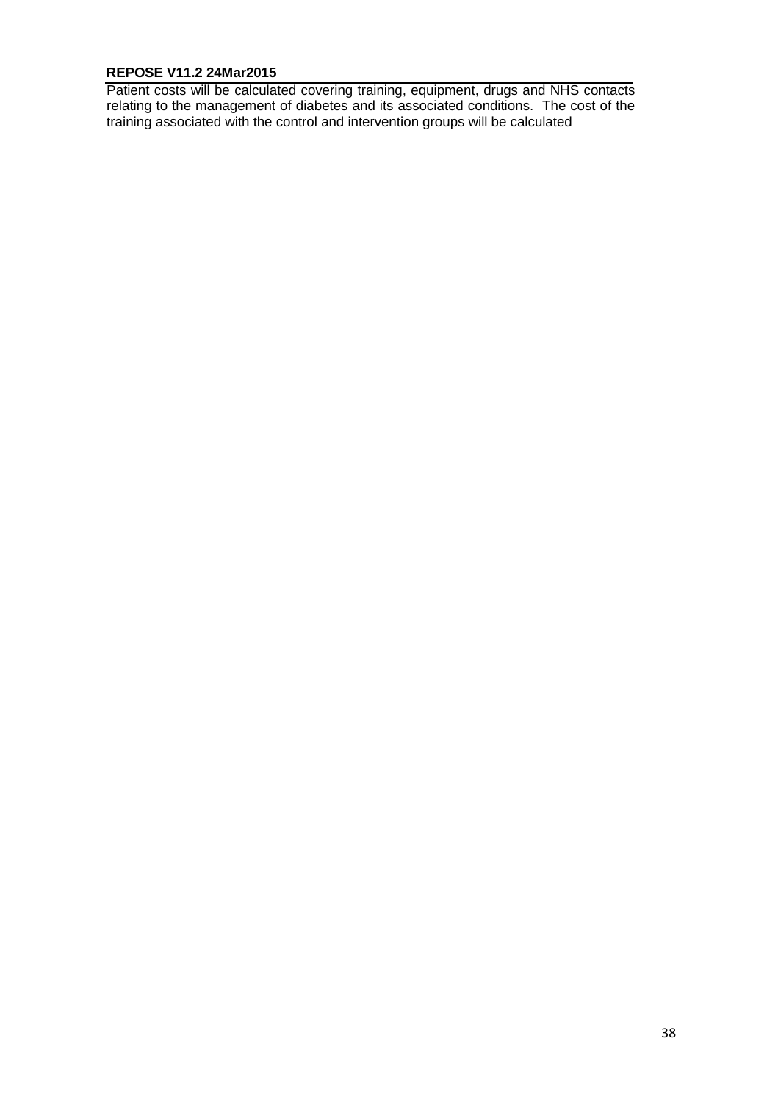Patient costs will be calculated covering training, equipment, drugs and NHS contacts relating to the management of diabetes and its associated conditions. The cost of the training associated with the control and intervention groups will be calculated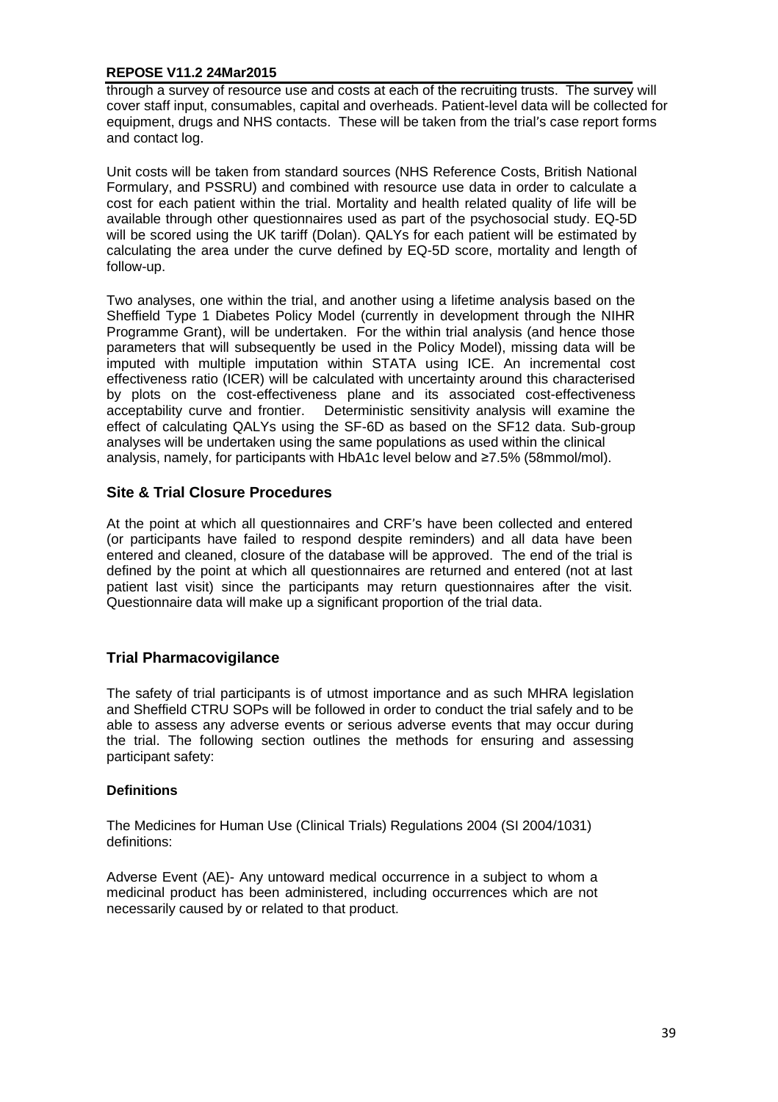through a survey of resource use and costs at each of the recruiting trusts. The survey will cover staff input, consumables, capital and overheads. Patient-level data will be collected for equipment, drugs and NHS contacts. These will be taken from the trial's case report forms and contact log.

Unit costs will be taken from standard sources (NHS Reference Costs, British National Formulary, and PSSRU) and combined with resource use data in order to calculate a cost for each patient within the trial. Mortality and health related quality of life will be available through other questionnaires used as part of the psychosocial study. EQ-5D will be scored using the UK tariff (Dolan). QALYs for each patient will be estimated by calculating the area under the curve defined by EQ-5D score, mortality and length of follow-up.

Two analyses, one within the trial, and another using a lifetime analysis based on the Sheffield Type 1 Diabetes Policy Model (currently in development through the NIHR Programme Grant), will be undertaken. For the within trial analysis (and hence those parameters that will subsequently be used in the Policy Model), missing data will be imputed with multiple imputation within STATA using ICE. An incremental cost effectiveness ratio (ICER) will be calculated with uncertainty around this characterised by plots on the cost-effectiveness plane and its associated cost-effectiveness acceptability curve and frontier. Deterministic sensitivity analysis will examine the effect of calculating QALYs using the SF-6D as based on the SF12 data. Sub-group analyses will be undertaken using the same populations as used within the clinical analysis, namely, for participants with HbA1c level below and ≥7.5% (58mmol/mol).

## **Site & Trial Closure Procedures**

At the point at which all questionnaires and CRF's have been collected and entered (or participants have failed to respond despite reminders) and all data have been entered and cleaned, closure of the database will be approved. The end of the trial is defined by the point at which all questionnaires are returned and entered (not at last patient last visit) since the participants may return questionnaires after the visit. Questionnaire data will make up a significant proportion of the trial data.

## **Trial Pharmacovigilance**

The safety of trial participants is of utmost importance and as such MHRA legislation and Sheffield CTRU SOPs will be followed in order to conduct the trial safely and to be able to assess any adverse events or serious adverse events that may occur during the trial. The following section outlines the methods for ensuring and assessing participant safety:

#### **Definitions**

The Medicines for Human Use (Clinical Trials) Regulations 2004 (SI 2004/1031) definitions:

Adverse Event (AE)- Any untoward medical occurrence in a subject to whom a medicinal product has been administered, including occurrences which are not necessarily caused by or related to that product.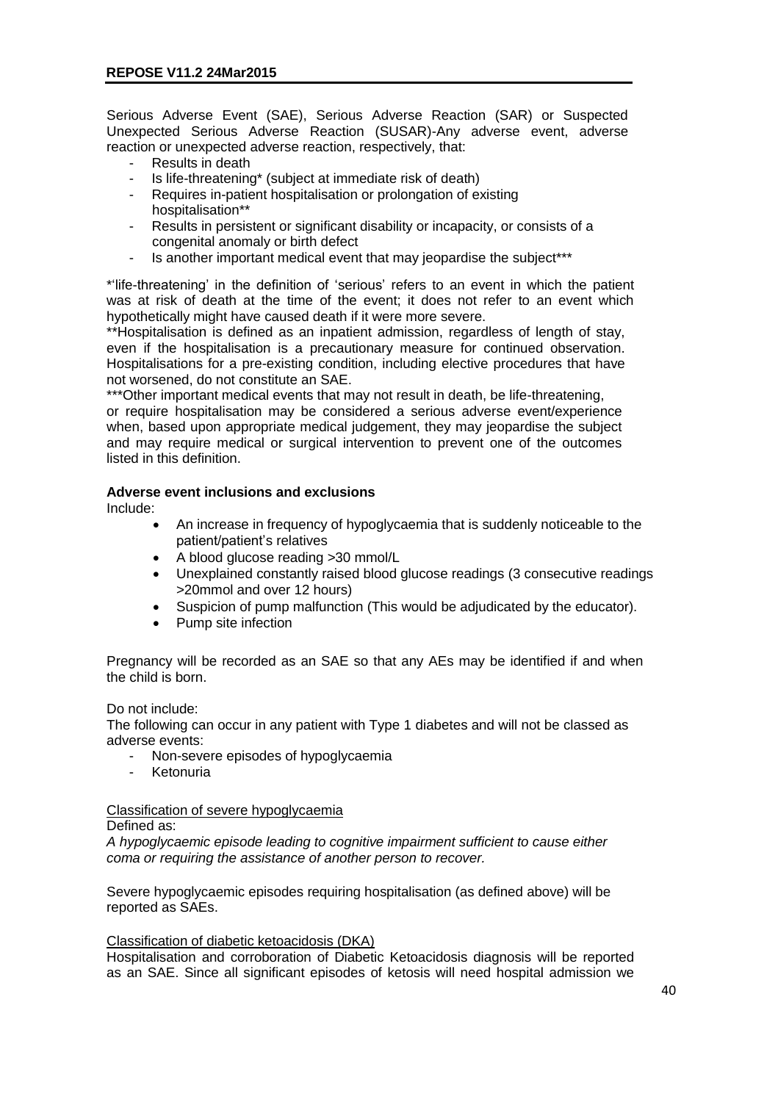Serious Adverse Event (SAE), Serious Adverse Reaction (SAR) or Suspected Unexpected Serious Adverse Reaction (SUSAR)-Any adverse event, adverse reaction or unexpected adverse reaction, respectively, that:

- Results in death
- Is life-threatening\* (subject at immediate risk of death)
- Requires in-patient hospitalisation or prolongation of existing hospitalisation\*\*
- Results in persistent or significant disability or incapacity, or consists of a congenital anomaly or birth defect
- Is another important medical event that may jeopardise the subject\*\*\*

\*'life-threatening' in the definition of 'serious' refers to an event in which the patient was at risk of death at the time of the event; it does not refer to an event which hypothetically might have caused death if it were more severe.

\*\*Hospitalisation is defined as an inpatient admission, regardless of length of stay, even if the hospitalisation is a precautionary measure for continued observation. Hospitalisations for a pre-existing condition, including elective procedures that have not worsened, do not constitute an SAE.

\*\*\*Other important medical events that may not result in death, be life-threatening, or require hospitalisation may be considered a serious adverse event/experience when, based upon appropriate medical judgement, they may jeopardise the subject and may require medical or surgical intervention to prevent one of the outcomes listed in this definition.

## **Adverse event inclusions and exclusions**

Include:

- An increase in frequency of hypoglycaemia that is suddenly noticeable to the patient/patient's relatives
- A blood glucose reading >30 mmol/L
- Unexplained constantly raised blood glucose readings (3 consecutive readings >20mmol and over 12 hours)
- Suspicion of pump malfunction (This would be adjudicated by the educator).
- Pump site infection

Pregnancy will be recorded as an SAE so that any AEs may be identified if and when the child is born.

Do not include:

The following can occur in any patient with Type 1 diabetes and will not be classed as adverse events:

- Non-severe episodes of hypoglycaemia
- **Ketonuria**

#### Classification of severe hypoglycaemia

Defined as:

*A hypoglycaemic episode leading to cognitive impairment sufficient to cause either coma or requiring the assistance of another person to recover.*

Severe hypoglycaemic episodes requiring hospitalisation (as defined above) will be reported as SAEs.

#### Classification of diabetic ketoacidosis (DKA)

Hospitalisation and corroboration of Diabetic Ketoacidosis diagnosis will be reported as an SAE. Since all significant episodes of ketosis will need hospital admission we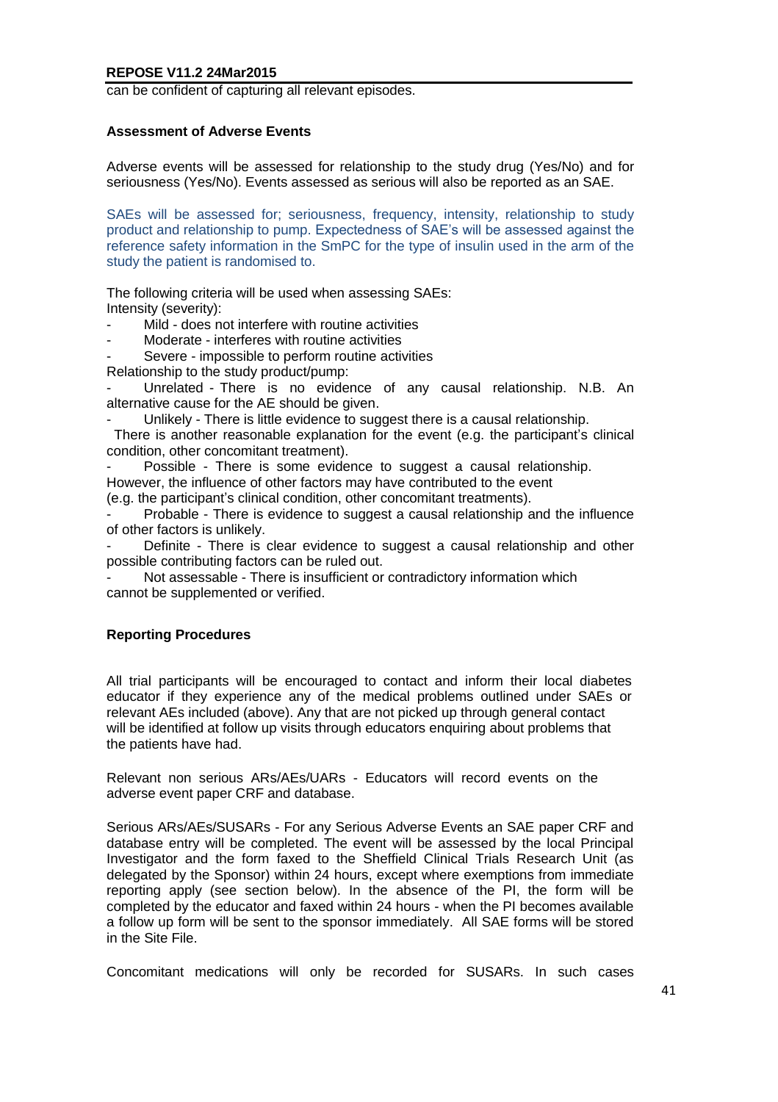can be confident of capturing all relevant episodes.

#### **Assessment of Adverse Events**

Adverse events will be assessed for relationship to the study drug (Yes/No) and for seriousness (Yes/No). Events assessed as serious will also be reported as an SAE.

SAEs will be assessed for; seriousness, frequency, intensity, relationship to study product and relationship to pump. Expectedness of SAE's will be assessed against the reference safety information in the SmPC for the type of insulin used in the arm of the study the patient is randomised to.

The following criteria will be used when assessing SAEs: Intensity (severity):

Mild - does not interfere with routine activities

Moderate - interferes with routine activities

Severe - impossible to perform routine activities

Relationship to the study product/pump:

- Unrelated - There is no evidence of any causal relationship. N.B. An alternative cause for the AE should be given.

Unlikely - There is little evidence to suggest there is a causal relationship.

 There is another reasonable explanation for the event (e.g. the participant's clinical condition, other concomitant treatment).

Possible - There is some evidence to suggest a causal relationship. However, the influence of other factors may have contributed to the event

(e.g. the participant's clinical condition, other concomitant treatments).

Probable - There is evidence to suggest a causal relationship and the influence of other factors is unlikely.

Definite - There is clear evidence to suggest a causal relationship and other possible contributing factors can be ruled out.

Not assessable - There is insufficient or contradictory information which cannot be supplemented or verified.

## **Reporting Procedures**

All trial participants will be encouraged to contact and inform their local diabetes educator if they experience any of the medical problems outlined under SAEs or relevant AEs included (above). Any that are not picked up through general contact will be identified at follow up visits through educators enquiring about problems that the patients have had.

Relevant non serious ARs/AEs/UARs - Educators will record events on the adverse event paper CRF and database.

Serious ARs/AEs/SUSARs - For any Serious Adverse Events an SAE paper CRF and database entry will be completed. The event will be assessed by the local Principal Investigator and the form faxed to the Sheffield Clinical Trials Research Unit (as delegated by the Sponsor) within 24 hours, except where exemptions from immediate reporting apply (see section below). In the absence of the PI, the form will be completed by the educator and faxed within 24 hours - when the PI becomes available a follow up form will be sent to the sponsor immediately. All SAE forms will be stored in the Site File.

Concomitant medications will only be recorded for SUSARs. In such cases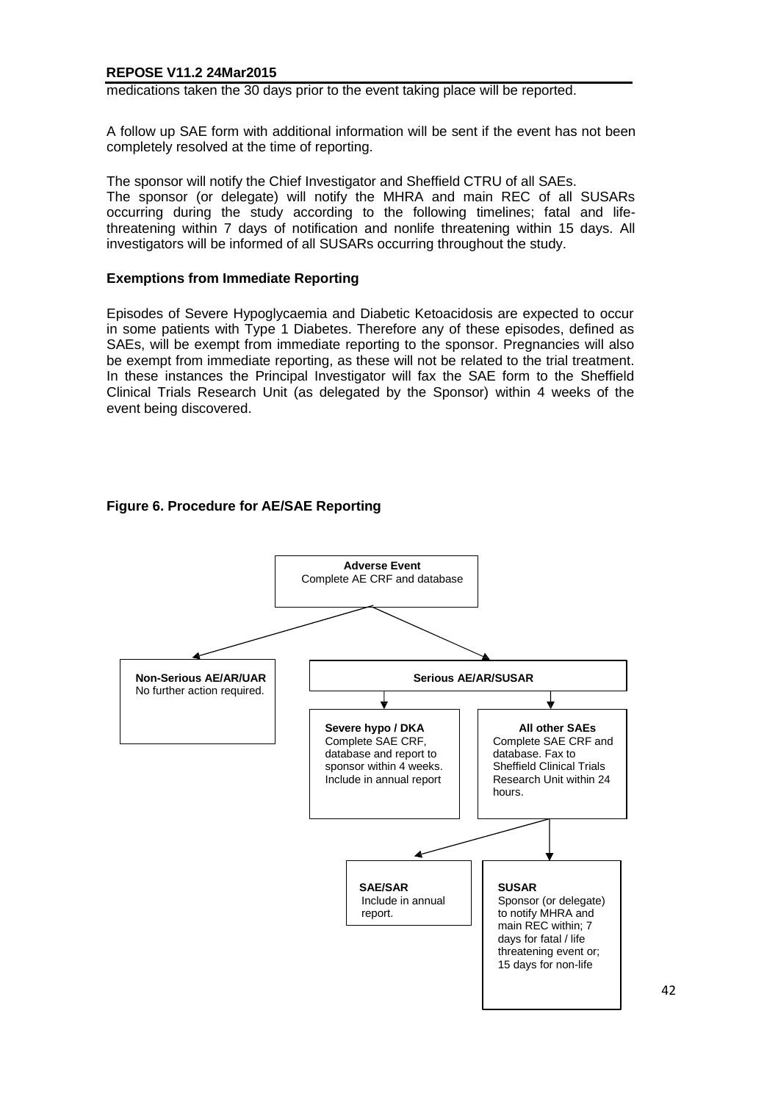medications taken the 30 days prior to the event taking place will be reported.

A follow up SAE form with additional information will be sent if the event has not been completely resolved at the time of reporting.

The sponsor will notify the Chief Investigator and Sheffield CTRU of all SAEs. The sponsor (or delegate) will notify the MHRA and main REC of all SUSARs occurring during the study according to the following timelines; fatal and lifethreatening within 7 days of notification and nonlife threatening within 15 days. All investigators will be informed of all SUSARs occurring throughout the study.

#### **Exemptions from Immediate Reporting**

Episodes of Severe Hypoglycaemia and Diabetic Ketoacidosis are expected to occur in some patients with Type 1 Diabetes. Therefore any of these episodes, defined as SAEs, will be exempt from immediate reporting to the sponsor. Pregnancies will also be exempt from immediate reporting, as these will not be related to the trial treatment. In these instances the Principal Investigator will fax the SAE form to the Sheffield Clinical Trials Research Unit (as delegated by the Sponsor) within 4 weeks of the event being discovered.

#### **Figure 6. Procedure for AE/SAE Reporting**

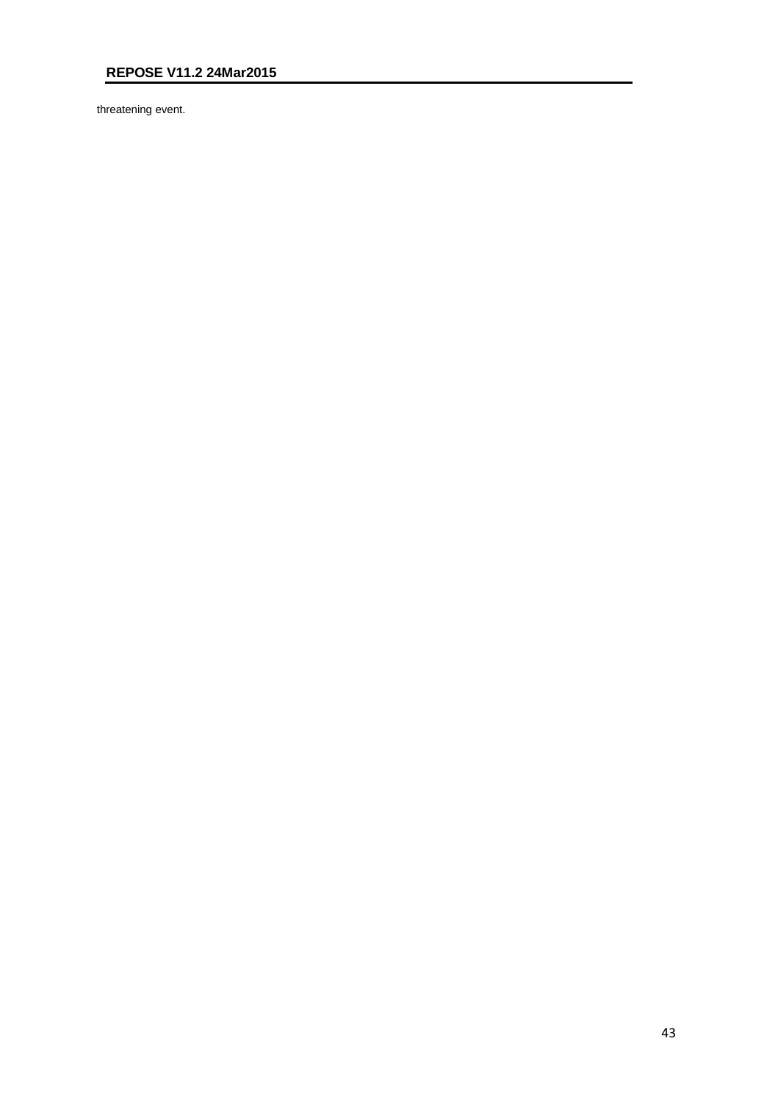threatening event.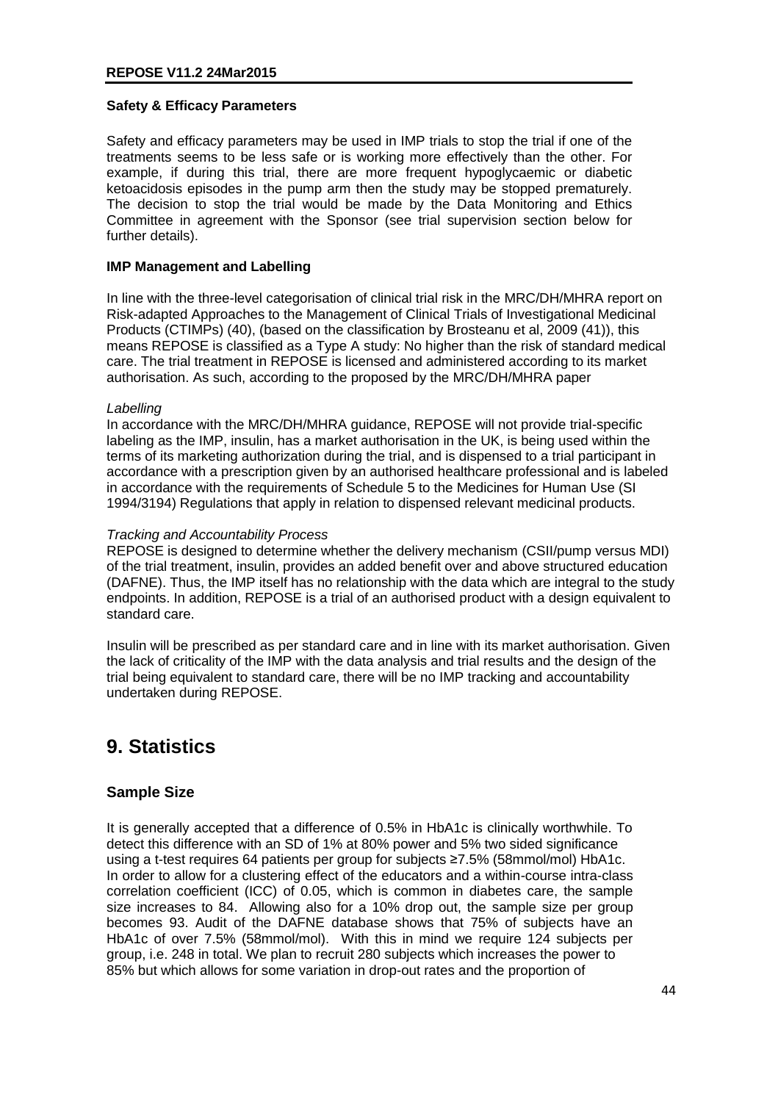#### **Safety & Efficacy Parameters**

Safety and efficacy parameters may be used in IMP trials to stop the trial if one of the treatments seems to be less safe or is working more effectively than the other. For example, if during this trial, there are more frequent hypoglycaemic or diabetic ketoacidosis episodes in the pump arm then the study may be stopped prematurely. The decision to stop the trial would be made by the Data Monitoring and Ethics Committee in agreement with the Sponsor (see trial supervision section below for further details).

#### **IMP Management and Labelling**

In line with the three-level categorisation of clinical trial risk in the MRC/DH/MHRA report on Risk-adapted Approaches to the Management of Clinical Trials of Investigational Medicinal Products (CTIMPs) (40), (based on the classification by Brosteanu et al, 2009 (41)), this means REPOSE is classified as a Type A study: No higher than the risk of standard medical care. The trial treatment in REPOSE is licensed and administered according to its market authorisation. As such, according to the proposed by the MRC/DH/MHRA paper

#### *Labelling*

In accordance with the MRC/DH/MHRA guidance, REPOSE will not provide trial-specific labeling as the IMP, insulin, has a market authorisation in the UK, is being used within the terms of its marketing authorization during the trial, and is dispensed to a trial participant in accordance with a prescription given by an authorised healthcare professional and is labeled in accordance with the requirements of Schedule 5 to the Medicines for Human Use (SI 1994/3194) Regulations that apply in relation to dispensed relevant medicinal products.

#### *Tracking and Accountability Process*

REPOSE is designed to determine whether the delivery mechanism (CSII/pump versus MDI) of the trial treatment, insulin, provides an added benefit over and above structured education (DAFNE). Thus, the IMP itself has no relationship with the data which are integral to the study endpoints. In addition, REPOSE is a trial of an authorised product with a design equivalent to standard care.

Insulin will be prescribed as per standard care and in line with its market authorisation. Given the lack of criticality of the IMP with the data analysis and trial results and the design of the trial being equivalent to standard care, there will be no IMP tracking and accountability undertaken during REPOSE.

## **9. Statistics**

#### **Sample Size**

It is generally accepted that a difference of 0.5% in HbA1c is clinically worthwhile. To detect this difference with an SD of 1% at 80% power and 5% two sided significance using a t-test requires 64 patients per group for subjects ≥7.5% (58mmol/mol) HbA1c. In order to allow for a clustering effect of the educators and a within-course intra-class correlation coefficient (ICC) of 0.05, which is common in diabetes care, the sample size increases to 84. Allowing also for a 10% drop out, the sample size per group becomes 93. Audit of the DAFNE database shows that 75% of subjects have an HbA1c of over 7.5% (58mmol/mol). With this in mind we require 124 subjects per group, i.e. 248 in total. We plan to recruit 280 subjects which increases the power to 85% but which allows for some variation in drop-out rates and the proportion of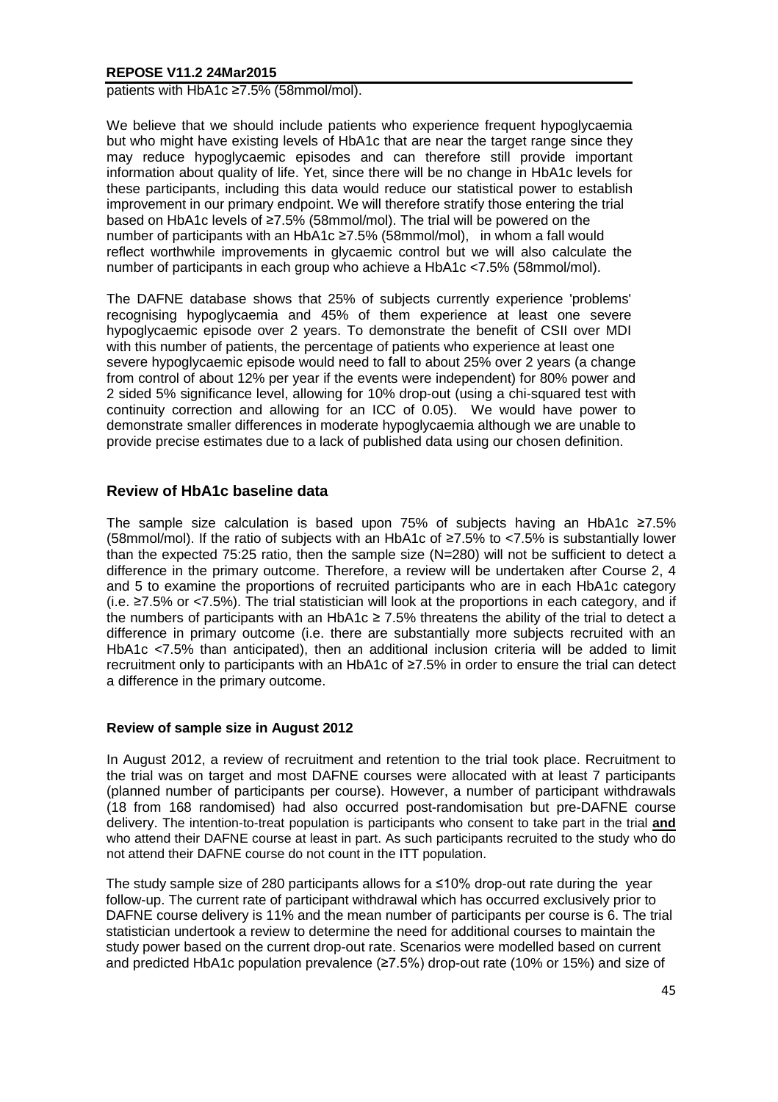patients with HbA1c ≥7.5% (58mmol/mol).

We believe that we should include patients who experience frequent hypoglycaemia but who might have existing levels of HbA1c that are near the target range since they may reduce hypoglycaemic episodes and can therefore still provide important information about quality of life. Yet, since there will be no change in HbA1c levels for these participants, including this data would reduce our statistical power to establish improvement in our primary endpoint. We will therefore stratify those entering the trial based on HbA1c levels of ≥7.5% (58mmol/mol). The trial will be powered on the number of participants with an HbA1c ≥7.5% (58mmol/mol), in whom a fall would reflect worthwhile improvements in glycaemic control but we will also calculate the number of participants in each group who achieve a HbA1c <7.5% (58mmol/mol).

The DAFNE database shows that 25% of subjects currently experience 'problems' recognising hypoglycaemia and 45% of them experience at least one severe hypoglycaemic episode over 2 years. To demonstrate the benefit of CSII over MDI with this number of patients, the percentage of patients who experience at least one severe hypoglycaemic episode would need to fall to about 25% over 2 years (a change from control of about 12% per year if the events were independent) for 80% power and 2 sided 5% significance level, allowing for 10% drop-out (using a chi-squared test with continuity correction and allowing for an ICC of 0.05). We would have power to demonstrate smaller differences in moderate hypoglycaemia although we are unable to provide precise estimates due to a lack of published data using our chosen definition.

#### **Review of HbA1c baseline data**

The sample size calculation is based upon 75% of subjects having an HbA1c ≥7.5% (58mmol/mol). If the ratio of subjects with an HbA1c of ≥7.5% to <7.5% is substantially lower than the expected 75:25 ratio, then the sample size (N=280) will not be sufficient to detect a difference in the primary outcome. Therefore, a review will be undertaken after Course 2, 4 and 5 to examine the proportions of recruited participants who are in each HbA1c category (i.e. ≥7.5% or <7.5%). The trial statistician will look at the proportions in each category, and if the numbers of participants with an HbA1c  $\geq$  7.5% threatens the ability of the trial to detect a difference in primary outcome (i.e. there are substantially more subjects recruited with an HbA1c <7.5% than anticipated), then an additional inclusion criteria will be added to limit recruitment only to participants with an HbA1c of ≥7.5% in order to ensure the trial can detect a difference in the primary outcome.

#### **Review of sample size in August 2012**

In August 2012, a review of recruitment and retention to the trial took place. Recruitment to the trial was on target and most DAFNE courses were allocated with at least 7 participants (planned number of participants per course). However, a number of participant withdrawals (18 from 168 randomised) had also occurred post-randomisation but pre-DAFNE course delivery. The intention-to-treat population is participants who consent to take part in the trial **and** who attend their DAFNE course at least in part. As such participants recruited to the study who do not attend their DAFNE course do not count in the ITT population.

The study sample size of 280 participants allows for a  $\leq 10\%$  drop-out rate during the year follow-up. The current rate of participant withdrawal which has occurred exclusively prior to DAFNE course delivery is 11% and the mean number of participants per course is 6. The trial statistician undertook a review to determine the need for additional courses to maintain the study power based on the current drop-out rate. Scenarios were modelled based on current and predicted HbA1c population prevalence (≥7.5%) drop-out rate (10% or 15%) and size of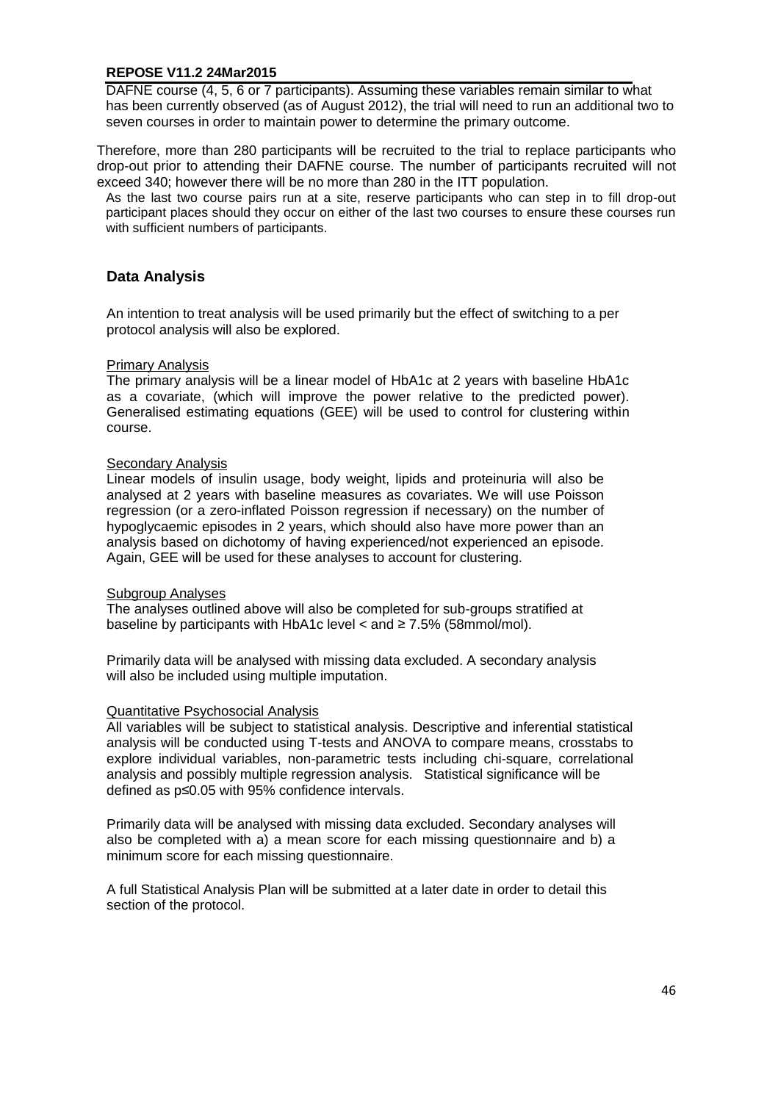DAFNE course (4, 5, 6 or 7 participants). Assuming these variables remain similar to what has been currently observed (as of August 2012), the trial will need to run an additional two to seven courses in order to maintain power to determine the primary outcome.

Therefore, more than 280 participants will be recruited to the trial to replace participants who drop-out prior to attending their DAFNE course. The number of participants recruited will not exceed 340; however there will be no more than 280 in the ITT population.

As the last two course pairs run at a site, reserve participants who can step in to fill drop-out participant places should they occur on either of the last two courses to ensure these courses run with sufficient numbers of participants.

#### **Data Analysis**

An intention to treat analysis will be used primarily but the effect of switching to a per protocol analysis will also be explored.

#### Primary Analysis

The primary analysis will be a linear model of HbA1c at 2 years with baseline HbA1c as a covariate, (which will improve the power relative to the predicted power). Generalised estimating equations (GEE) will be used to control for clustering within course.

#### Secondary Analysis

Linear models of insulin usage, body weight, lipids and proteinuria will also be analysed at 2 years with baseline measures as covariates. We will use Poisson regression (or a zero-inflated Poisson regression if necessary) on the number of hypoglycaemic episodes in 2 years, which should also have more power than an analysis based on dichotomy of having experienced/not experienced an episode. Again, GEE will be used for these analyses to account for clustering.

#### Subgroup Analyses

The analyses outlined above will also be completed for sub-groups stratified at baseline by participants with HbA1c level < and ≥ 7.5% (58mmol/mol).

Primarily data will be analysed with missing data excluded. A secondary analysis will also be included using multiple imputation.

#### Quantitative Psychosocial Analysis

All variables will be subject to statistical analysis. Descriptive and inferential statistical analysis will be conducted using T-tests and ANOVA to compare means, crosstabs to explore individual variables, non-parametric tests including chi-square, correlational analysis and possibly multiple regression analysis. Statistical significance will be defined as p≤0.05 with 95% confidence intervals.

Primarily data will be analysed with missing data excluded. Secondary analyses will also be completed with a) a mean score for each missing questionnaire and b) a minimum score for each missing questionnaire.

A full Statistical Analysis Plan will be submitted at a later date in order to detail this section of the protocol.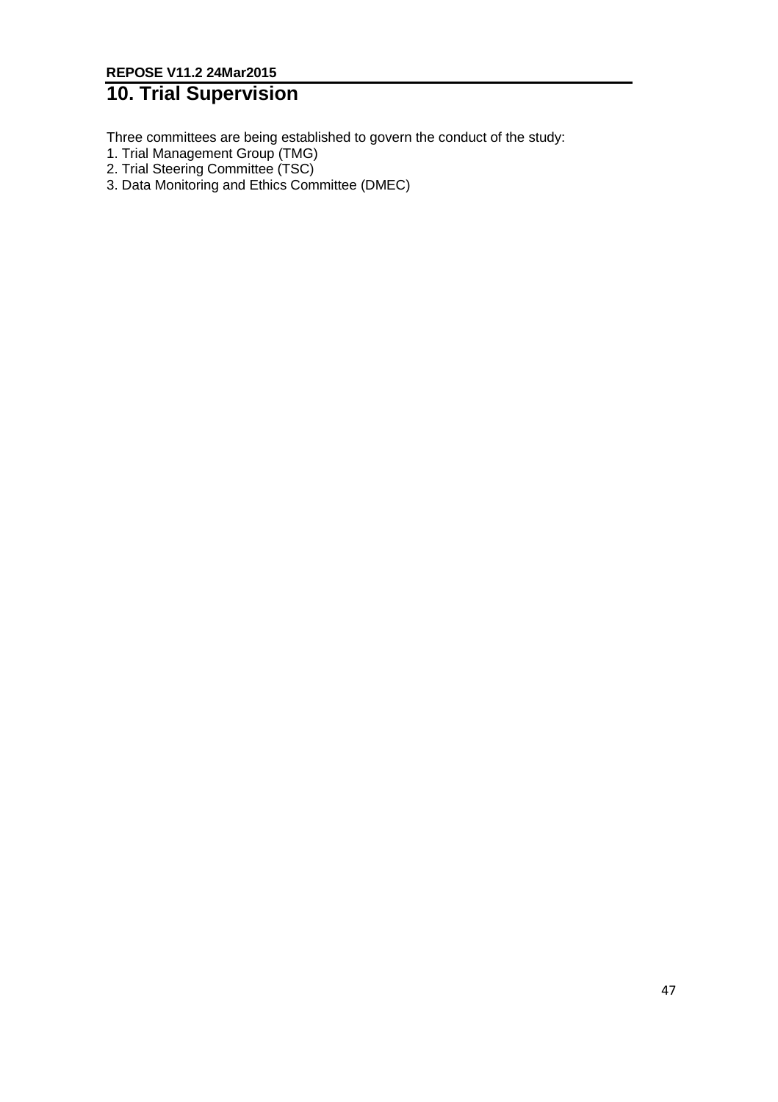# **10. Trial Supervision**

Three committees are being established to govern the conduct of the study:

- 1. Trial Management Group (TMG)
- 2. Trial Steering Committee (TSC)
- 3. Data Monitoring and Ethics Committee (DMEC)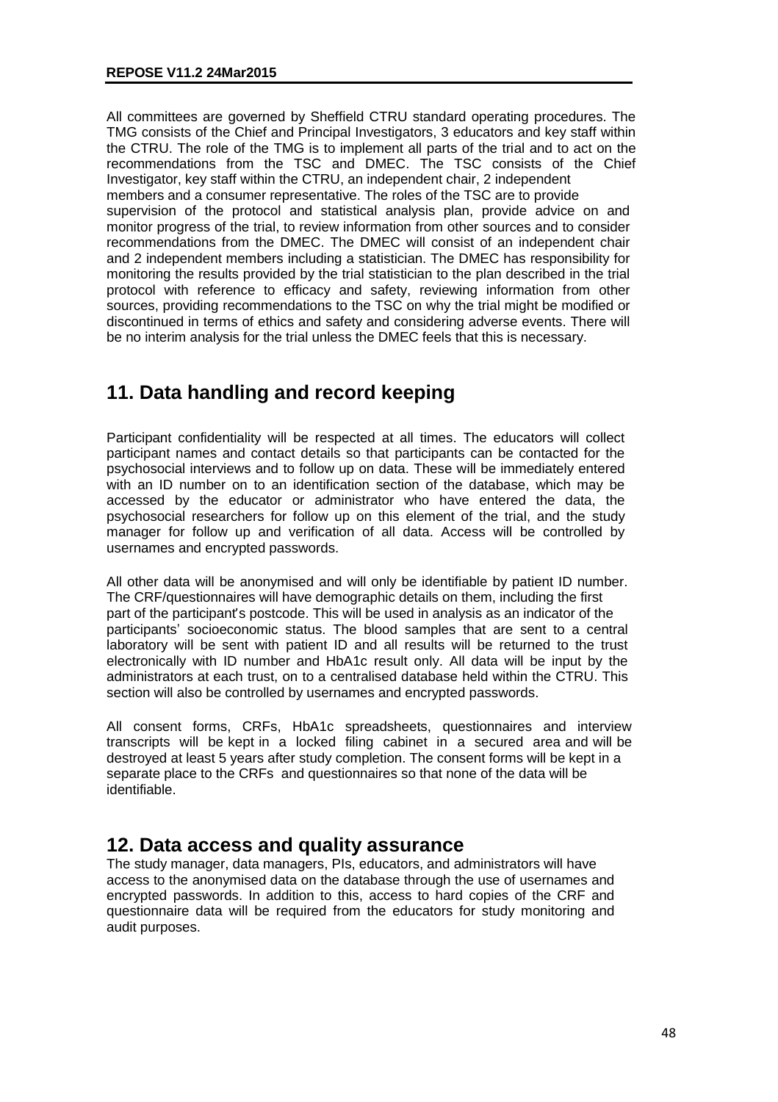All committees are governed by Sheffield CTRU standard operating procedures. The TMG consists of the Chief and Principal Investigators, 3 educators and key staff within the CTRU. The role of the TMG is to implement all parts of the trial and to act on the recommendations from the TSC and DMEC. The TSC consists of the Chief Investigator, key staff within the CTRU, an independent chair, 2 independent members and a consumer representative. The roles of the TSC are to provide supervision of the protocol and statistical analysis plan, provide advice on and monitor progress of the trial, to review information from other sources and to consider recommendations from the DMEC. The DMEC will consist of an independent chair and 2 independent members including a statistician. The DMEC has responsibility for monitoring the results provided by the trial statistician to the plan described in the trial protocol with reference to efficacy and safety, reviewing information from other sources, providing recommendations to the TSC on why the trial might be modified or discontinued in terms of ethics and safety and considering adverse events. There will be no interim analysis for the trial unless the DMEC feels that this is necessary.

## **11. Data handling and record keeping**

Participant confidentiality will be respected at all times. The educators will collect participant names and contact details so that participants can be contacted for the psychosocial interviews and to follow up on data. These will be immediately entered with an ID number on to an identification section of the database, which may be accessed by the educator or administrator who have entered the data, the psychosocial researchers for follow up on this element of the trial, and the study manager for follow up and verification of all data. Access will be controlled by usernames and encrypted passwords.

All other data will be anonymised and will only be identifiable by patient ID number. The CRF/questionnaires will have demographic details on them, including the first part of the participant's postcode. This will be used in analysis as an indicator of the participants' socioeconomic status. The blood samples that are sent to a central laboratory will be sent with patient ID and all results will be returned to the trust electronically with ID number and HbA1c result only. All data will be input by the administrators at each trust, on to a centralised database held within the CTRU. This section will also be controlled by usernames and encrypted passwords.

All consent forms, CRFs, HbA1c spreadsheets, questionnaires and interview transcripts will be kept in a locked filing cabinet in a secured area and will be destroyed at least 5 years after study completion. The consent forms will be kept in a separate place to the CRFs and questionnaires so that none of the data will be identifiable.

## **12. Data access and quality assurance**

The study manager, data managers, PIs, educators, and administrators will have access to the anonymised data on the database through the use of usernames and encrypted passwords. In addition to this, access to hard copies of the CRF and questionnaire data will be required from the educators for study monitoring and audit purposes.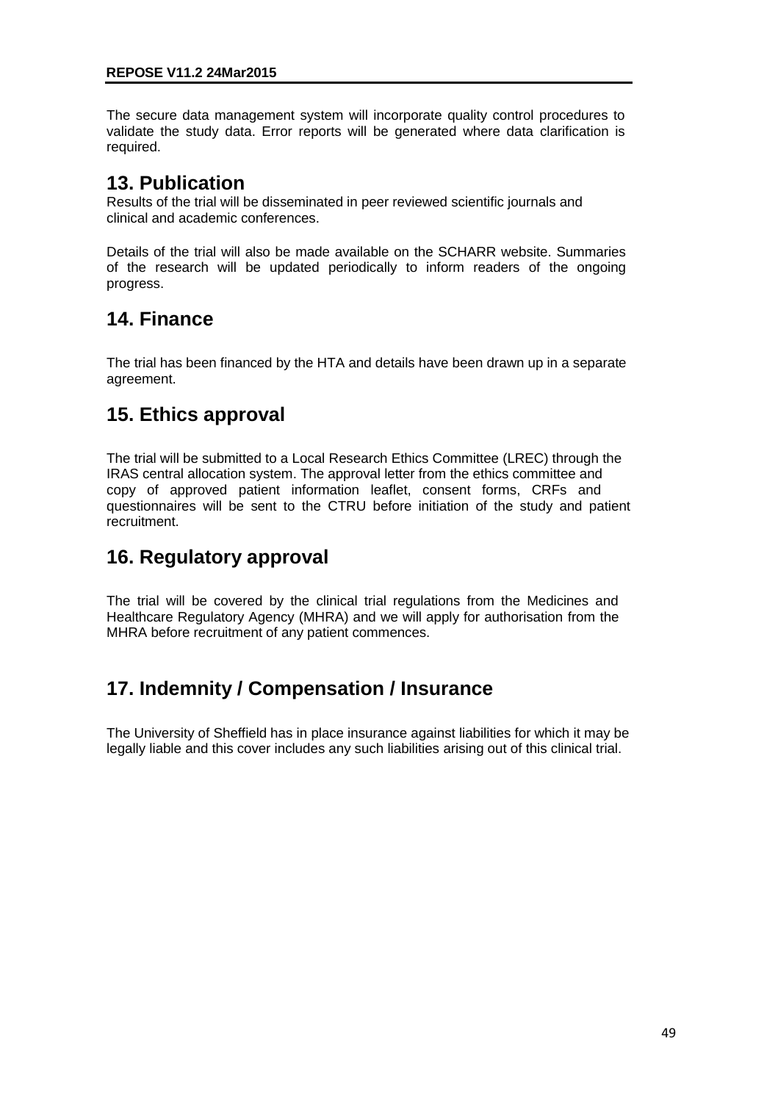The secure data management system will incorporate quality control procedures to validate the study data. Error reports will be generated where data clarification is required.

## **13. Publication**

Results of the trial will be disseminated in peer reviewed scientific journals and clinical and academic conferences.

Details of the trial will also be made available on the SCHARR website. Summaries of the research will be updated periodically to inform readers of the ongoing progress.

# **14. Finance**

The trial has been financed by the HTA and details have been drawn up in a separate agreement.

# **15. Ethics approval**

The trial will be submitted to a Local Research Ethics Committee (LREC) through the IRAS central allocation system. The approval letter from the ethics committee and copy of approved patient information leaflet, consent forms, CRFs and questionnaires will be sent to the CTRU before initiation of the study and patient recruitment.

# **16. Regulatory approval**

The trial will be covered by the clinical trial regulations from the Medicines and Healthcare Regulatory Agency (MHRA) and we will apply for authorisation from the MHRA before recruitment of any patient commences.

# **17. Indemnity / Compensation / Insurance**

The University of Sheffield has in place insurance against liabilities for which it may be legally liable and this cover includes any such liabilities arising out of this clinical trial.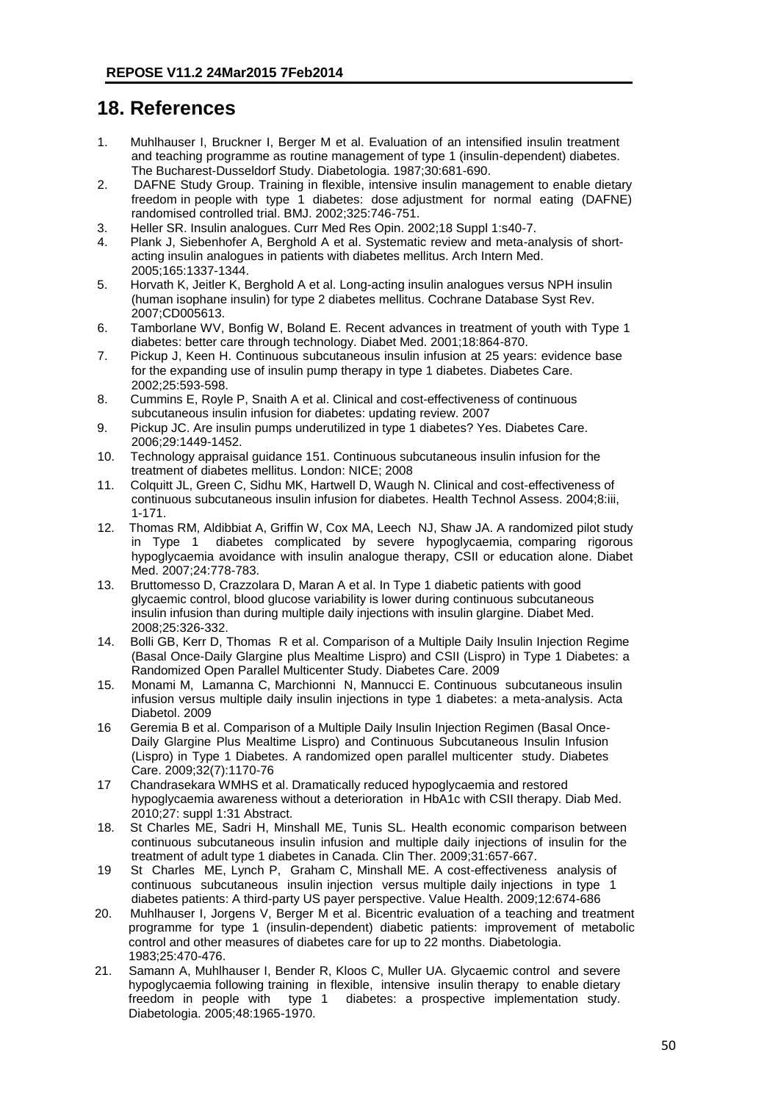## **18. References**

- 1. Muhlhauser I, Bruckner I, Berger M et al. Evaluation of an intensified insulin treatment and teaching programme as routine management of type 1 (insulin-dependent) diabetes. The Bucharest-Dusseldorf Study. Diabetologia. 1987;30:681-690.
- 2. DAFNE Study Group. Training in flexible, intensive insulin management to enable dietary freedom in people with type 1 diabetes: dose adjustment for normal eating (DAFNE) randomised controlled trial. BMJ. 2002;325:746-751.
- 3. Heller SR. Insulin analogues. Curr Med Res Opin. 2002;18 Suppl 1:s40-7.
- 4. Plank J, Siebenhofer A, Berghold A et al. Systematic review and meta-analysis of shortacting insulin analogues in patients with diabetes mellitus. Arch Intern Med. 2005;165:1337-1344.
- 5. Horvath K, Jeitler K, Berghold A et al. Long-acting insulin analogues versus NPH insulin (human isophane insulin) for type 2 diabetes mellitus. Cochrane Database Syst Rev. 2007;CD005613.
- 6. Tamborlane WV, Bonfig W, Boland E. Recent advances in treatment of youth with Type 1 diabetes: better care through technology. Diabet Med. 2001;18:864-870.
- 7. Pickup J, Keen H. Continuous subcutaneous insulin infusion at 25 years: evidence base for the expanding use of insulin pump therapy in type 1 diabetes. Diabetes Care. 2002;25:593-598.
- 8. Cummins E, Royle P, Snaith A et al. Clinical and cost-effectiveness of continuous subcutaneous insulin infusion for diabetes: updating review. 2007
- 9. Pickup JC. Are insulin pumps underutilized in type 1 diabetes? Yes. Diabetes Care. 2006;29:1449-1452.
- 10. Technology appraisal guidance 151. Continuous subcutaneous insulin infusion for the treatment of diabetes mellitus. London: NICE; 2008
- 11. Colquitt JL, Green C, Sidhu MK, Hartwell D, Waugh N. Clinical and cost-effectiveness of continuous subcutaneous insulin infusion for diabetes. Health Technol Assess. 2004;8:iii, 1-171.
- 12. Thomas RM, Aldibbiat A, Griffin W, Cox MA, Leech NJ, Shaw JA. A randomized pilot study in Type 1 diabetes complicated by severe hypoglycaemia, comparing rigorous hypoglycaemia avoidance with insulin analogue therapy, CSII or education alone. Diabet Med. 2007;24:778-783.
- 13. Bruttomesso D, Crazzolara D, Maran A et al. In Type 1 diabetic patients with good glycaemic control, blood glucose variability is lower during continuous subcutaneous insulin infusion than during multiple daily injections with insulin glargine. Diabet Med. 2008;25:326-332.
- 14. Bolli GB, Kerr D, Thomas R et al. Comparison of a Multiple Daily Insulin Injection Regime (Basal Once-Daily Glargine plus Mealtime Lispro) and CSII (Lispro) in Type 1 Diabetes: a Randomized Open Parallel Multicenter Study. Diabetes Care. 2009
- 15. Monami M, Lamanna C, Marchionni N, Mannucci E. Continuous subcutaneous insulin infusion versus multiple daily insulin injections in type 1 diabetes: a meta-analysis. Acta Diabetol. 2009
- 16 Geremia B et al. Comparison of a Multiple Daily Insulin Injection Regimen (Basal Once-Daily Glargine Plus Mealtime Lispro) and Continuous Subcutaneous Insulin Infusion (Lispro) in Type 1 Diabetes. A randomized open parallel multicenter study. Diabetes Care. 2009;32(7):1170-76
- 17 Chandrasekara WMHS et al. Dramatically reduced hypoglycaemia and restored hypoglycaemia awareness without a deterioration in HbA1c with CSII therapy. Diab Med. 2010;27: suppl 1:31 Abstract.
- 18. St Charles ME, Sadri H, Minshall ME, Tunis SL. Health economic comparison between continuous subcutaneous insulin infusion and multiple daily injections of insulin for the treatment of adult type 1 diabetes in Canada. Clin Ther. 2009;31:657-667.
- 19 St Charles ME, Lynch P, Graham C, Minshall ME. A cost-effectiveness analysis of continuous subcutaneous insulin injection versus multiple daily injections in type 1 diabetes patients: A third-party US payer perspective. Value Health. 2009;12:674-686
- 20. Muhlhauser I, Jorgens V, Berger M et al. Bicentric evaluation of a teaching and treatment programme for type 1 (insulin-dependent) diabetic patients: improvement of metabolic control and other measures of diabetes care for up to 22 months. Diabetologia. 1983;25:470-476.
- 21. Samann A, Muhlhauser I, Bender R, Kloos C, Muller UA. Glycaemic control and severe hypoglycaemia following training in flexible, intensive insulin therapy to enable dietary freedom in people with type 1 diabetes: a prospective implementation study. Diabetologia. 2005;48:1965-1970.